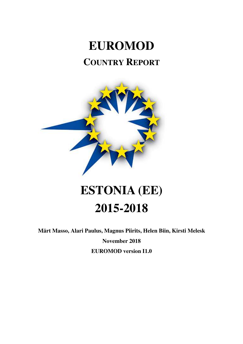# **EUROMOD COUNTRY REPORT**



# **ESTONIA (EE) 2015-2018**

**Märt Masso, Alari Paulus, Magnus Piirits, Helen Biin, Kirsti Melesk** 

**November 2018** 

**EUROMOD version I1.0**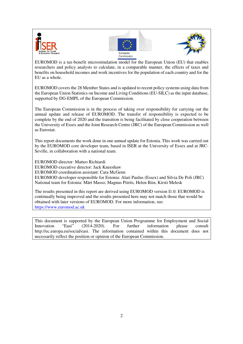





EUROMOD is a tax-benefit microsimulation model for the European Union (EU) that enables researchers and policy analysts to calculate, in a comparable manner, the effects of taxes and benefits on household incomes and work incentives for the population of each country and for the EU as a whole.

EUROMOD covers the 28 Member States and is updated to recent policy systems using data from the European Union Statistics on Income and Living Conditions (EU-SILC) as the input database, supported by DG-EMPL of the European Commission.

The European Commission is in the process of taking over responsibility for carrying out the annual update and release of EUROMOD. The transfer of responsibility is expected to be complete by the end of 2020 and the transition is being facilitated by close cooperation between the University of Essex and the Joint Research Centre (JRC) of the European Commission as well as Eurostat.

This report documents the work done in one annual update for Estonia. This work was carried out by the EUROMOD core developer team, based in ISER at the University of Essex and at JRC-Seville, in collaboration with a national team.

EUROMOD director: Matteo Richiardi EUROMOD executive director: Jack Kneeshaw EUROMOD coordination assistant: Cara McGenn EUROMOD developer responsible for Estonia: Alari Paulus (Essex) and Silvia De Poli (JRC) National team for Estonia: Märt Masso, Magnus Piirits, Helen Biin, Kirsti Melesk

The results presented in this report are derived using EUROMOD version I1.0. EUROMOD is continually being improved and the results presented here may not match those that would be obtained with later versions of EUROMOD. For more information, see: https://www.euromod.ac.uk

This document is supported by the European Union Programme for Employment and Social Innovation "Easi" (2014-2020). For further information please consult http://ec.europa.eu/social/easi. The information contained within this document does not necessarily reflect the position or opinion of the European Commission.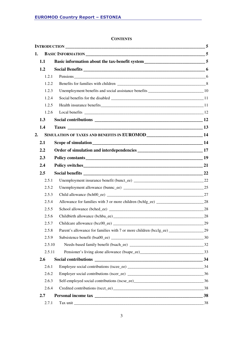#### **CONTENTS**

| 1. |        |                                                                                   |    |
|----|--------|-----------------------------------------------------------------------------------|----|
|    | 1.1    | Basic information about the tax-benefit system__________________________________5 |    |
|    | 1.2    |                                                                                   |    |
|    | 1.2.1  |                                                                                   |    |
|    | 1.2.2  |                                                                                   |    |
|    | 1.2.3  |                                                                                   |    |
|    | 1.2.4  |                                                                                   |    |
|    | 1.2.5  |                                                                                   |    |
|    | 1.2.6  |                                                                                   |    |
|    | 1.3    |                                                                                   |    |
|    | 1.4    |                                                                                   |    |
| 2. |        | SIMULATION OF TAXES AND BENEFITS IN EUROMOD __________________________14          |    |
|    | 2.1    |                                                                                   |    |
|    | 2.2    |                                                                                   |    |
|    | 2.3    | Policy constants 19                                                               |    |
|    | 2.4    |                                                                                   |    |
|    | 2.5    |                                                                                   |    |
|    | 2.5.1  |                                                                                   |    |
|    | 2.5.2  |                                                                                   |    |
|    | 2.5.3  |                                                                                   |    |
|    | 2.5.4  |                                                                                   |    |
|    | 2.5.5  |                                                                                   |    |
|    | 2.5.6  |                                                                                   |    |
|    | 2.5.7  |                                                                                   |    |
|    | 2.5.8  | Parent's allowance for families with 7 or more children (bcclg_ee) ______________ | 29 |
|    | 2.5.9  |                                                                                   |    |
|    | 2.5.10 |                                                                                   |    |
|    | 2.5.11 |                                                                                   |    |
|    | 2.6    |                                                                                   |    |
|    | 2.6.1  |                                                                                   |    |
|    | 2.6.2  |                                                                                   |    |
|    | 2.6.3  |                                                                                   |    |
|    | 2.6.4  |                                                                                   |    |
|    | 2.7    |                                                                                   |    |
|    | 2.7.1  |                                                                                   | 38 |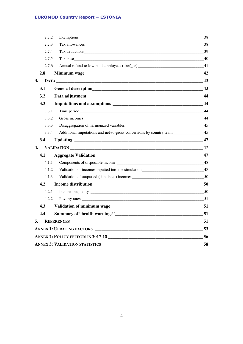### **EUROMOD Country Report – ESTONIA**

|    | 2.7.2                                                                                         |                                       | 38 |  |  |  |  |
|----|-----------------------------------------------------------------------------------------------|---------------------------------------|----|--|--|--|--|
|    | 2.7.3                                                                                         |                                       |    |  |  |  |  |
|    | 2.7.4                                                                                         |                                       |    |  |  |  |  |
|    | 2.7.5                                                                                         |                                       |    |  |  |  |  |
|    | 2.7.6                                                                                         |                                       |    |  |  |  |  |
|    | 2.8                                                                                           |                                       |    |  |  |  |  |
| 3. |                                                                                               |                                       |    |  |  |  |  |
|    | 3.1                                                                                           |                                       |    |  |  |  |  |
|    | 3.2                                                                                           |                                       |    |  |  |  |  |
|    | 3.3                                                                                           |                                       | 44 |  |  |  |  |
|    | 3.3.1                                                                                         |                                       | 44 |  |  |  |  |
|    | 3.3.2                                                                                         |                                       |    |  |  |  |  |
|    | 3.3.3                                                                                         |                                       |    |  |  |  |  |
|    | Additional imputations and net-to-gross conversions by country team_______________45<br>3.3.4 |                                       |    |  |  |  |  |
|    | 3.4                                                                                           |                                       |    |  |  |  |  |
| 4. |                                                                                               |                                       |    |  |  |  |  |
|    | 4.1                                                                                           |                                       |    |  |  |  |  |
|    | 4.1.1                                                                                         |                                       |    |  |  |  |  |
|    | 4.1.2                                                                                         |                                       |    |  |  |  |  |
|    | 4.1.3                                                                                         |                                       |    |  |  |  |  |
|    | 4.2                                                                                           |                                       |    |  |  |  |  |
|    | 4.2.1                                                                                         |                                       |    |  |  |  |  |
|    | 4.2.2                                                                                         |                                       |    |  |  |  |  |
|    | 4.3                                                                                           | Validation of minimum wage            |    |  |  |  |  |
|    | 4.4                                                                                           |                                       |    |  |  |  |  |
| 5. |                                                                                               | REFERENCES 51                         |    |  |  |  |  |
|    |                                                                                               |                                       |    |  |  |  |  |
|    |                                                                                               | ANNEX 2: POLICY EFFECTS IN 2017-18    | 56 |  |  |  |  |
|    |                                                                                               | <b>ANNEX 3: VALIDATION STATISTICS</b> | 58 |  |  |  |  |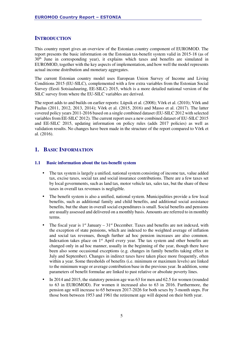#### **INTRODUCTION**

This country report gives an overview of the Estonian country component of EUROMOD. The report presents the basic information on the Estonian tax-benefit system valid in 2015-18 (as of  $30<sup>th</sup>$  June in corresponding year), it explains which taxes and benefits are simulated in EUROMOD, together with the key aspects of implementation, and how well the model represents actual income distribution and monetary aggregates.

The current Estonian country model uses European Union Survey of Income and Living Conditions 2015 (EU-SILC), complemented with a few extra variables from the Estonian Social Survey (Eesti Sotsiaaluuring, EE-SILC) 2015, which is a more detailed national version of the SILC survey from where the EU-SILC variables are derived.

The report adds to and builds on earlier reports: Lüpsik et al. (2008); Võrk et al. (2010); Võrk and Paulus (2011, 2012, 2013, 2014); Võrk et al. (2015, 2016) and Masso et al. (2017). The latter covered policy years 2011-2016 based on a single combined dataset (EU-SILC 2012 with selected variables from EE-SILC 2012). The current report uses a new combined dataset of EU-SILC 2015 and EE-SILC 2015, updating information on policy rules (adds 2017 policies) as well as validation results. No changes have been made in the structure of the report compared to Võrk et al. (2016).

### **1. BASIC INFORMATION**

#### **1.1 Basic information about the tax-benefit system**

- The tax system is largely a unified, national system consisting of income tax, value added tax, excise taxes, social tax and social insurance contributions. There are a few taxes set by local governments, such as land tax*,* motor vehicle tax*,* sales tax, but the share of these taxes in overall tax revenues is negligible.
- The benefit system is also a unified, national system. Municipalities provide a few local benefits, such as additional family and child benefits, and additional social assistance benefits*,* but the share in overall social expenditures is small. Social benefits and pensions are usually assessed and delivered on a monthly basis. Amounts are referred to in monthly terms.
- The fiscal year is  $1<sup>st</sup>$  January  $31<sup>st</sup>$  December. Taxes and benefits are not indexed, with the exception of state pensions, which are indexed to the weighted average of inflation and social tax revenues, though further ad hoc pension increases are also common. Indexation takes place on  $1<sup>st</sup>$  April every year. The tax system and other benefits are changed only in ad hoc manner, usually in the beginning of the year, though there have been also some occasional exceptions (e.g. changes in family benefits taking effect in July and September). Changes in indirect taxes have taken place more frequently, often within a year. Some thresholds of benefits (i.e. minimum or maximum levels) are linked to the minimum wage or average contribution base in the previous year. In addition, some parameters of benefit formulae are linked to past relative or absolute poverty lines.
- In 2014 and 2015, the statutory pension age was 63 for men and 62.5 for women (rounded to 63 in EUROMOD). For women it increased also to 63 in 2016. Furthermore, the pension age will increase to 65 between 2017-2026 for both sexes by 3-month steps. For those born between 1953 and 1961 the retirement age will depend on their birth year.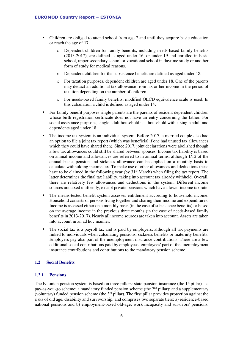- Children are obliged to attend school from age 7 and until they acquire basic education or reach the age of 17.
	- o Dependent children for family benefits, including needs-based family benefits (2013-2017), are defined as aged under 16, or under 19 and enrolled in basic school, upper secondary school or vocational school in daytime study or another form of study for medical reasons.
	- o Dependent children for the subsistence benefit are defined as aged under 18.
	- o For taxation purposes, dependent children are aged under 18. One of the parents may deduct an additional tax allowance from his or her income in the period of taxation depending on the number of children.
	- o For needs-based family benefits, modified OECD equivalence scale is used. In this calculation a child is defined as aged under 14.
- For family benefit purposes single parents are the parents of resident dependent children whose birth registration certificate does not have an entry concerning the father. For social assistance purposes, single adult household is a household with a single adult and dependents aged under 18.
- The income tax system is an individual system. Before 2017, a married couple also had an option to file a joint tax report (which was beneficial if one had unused tax allowances which they could have shared then). Since 2017, joint declarations were abolished though a few tax allowances could still be shared between spouses. Income tax liability is based on annual income and allowances are referred to in annual terms, although 1/12 of the annual basic, pension and sickness allowance can be applied on a monthly basis to calculate withholding income tax. To make use of other allowances and deductions these have to be claimed in the following year (by 31<sup>st</sup> March) when filing the tax report. The latter determines the final tax liability, taking into account tax already withheld. Overall, there are relatively few allowances and deductions in the system. Different income sources are taxed uniformly, except private pensions which have a lower income tax rate.
- The means-tested benefit system assesses entitlement according to household income. Household consists of persons living together and sharing their income and expenditures. Income is assessed either on a monthly basis (in the case of subsistence benefits) or based on the average income in the previous three months (in the case of needs-based family benefits in 2013-2017). Nearly all income sources are taken into account. Assets are taken into account in an ad hoc manner.
- The social tax is a payroll tax and is paid by employers, although all tax payments are linked to individuals when calculating pensions, sickness benefits or maternity benefits. Employers pay also part of the unemployment insurance contributions. There are a few additional social contributions paid by employees: employees' part of the unemployment insurance contributions and contributions to the mandatory pension scheme.

#### **1.2 Social Benefits**

#### **1.2.1 Pensions**

The Estonian pension system is based on three pillars: state pension insurance (the  $1<sup>st</sup>$  pillar) – a pay-as-you-go scheme; a mandatory funded pension scheme (the 2<sup>nd</sup> pillar); and a supplementary (voluntary) funded pension scheme (the  $3<sup>rd</sup>$  pillar). The first pillar provides protection against the risks of old age, disability and survivorship, and comprises two separate tiers: a) residence-based national pensions and b) employment-based old-age, work incapacity and survivors' pensions.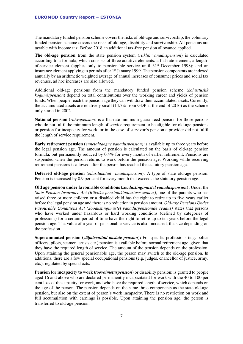The mandatory funded pension scheme covers the risks of old-age and survivorship, the voluntary funded pension scheme covers the risks of old-age, disability and survivorship. All pensions are taxable with income tax. Before 2018 an additional tax-free pension allowance applied.

**The old-age pension** from the state pension system (*riiklik vanaduspension*) is calculated according to a formula, which consists of three additive elements: a flat-rate element; a lengthof-service element (applies only to pensionable service until 31st December 1998); and an insurance element applying to periods after 1st January 1999. The pension components are indexed annually by an arithmetic weighted average of annual increases of consumer prices and social tax revenues, ad hoc increases are also allowed.

Additional old-age pensions from the mandatory funded pension scheme (*kohustuslik kogumispension*) depend on total contributions over the working career and yields of pension funds. When people reach the pension age they can withdraw their accumulated assets. Currently, the accumulated assets are relatively small (14.7% from GDP at the end of 2016) as the scheme only started in 2002.

**National pension** (*rahvapension)* is a flat-rate minimum guaranteed pension for those persons who do not fulfil the minimum length of service requirement to be eligible for old-age pensions or pension for incapacity for work, or in the case of survivor's pension a provider did not fulfil the length of service requirement.

**Early retirement pension** (*ennetähtaegne vanaduspension*) is available up to three years before the legal pension age. The amount of pension is calculated on the basis of old-age pension formula, but permanently reduced by 0.4% for every month of earlier retirement. Pensions are suspended when the person returns to work before the pension age. Working while receiving retirement pensions is allowed after the person has reached the statutory pension age.

**Deferred old-age pension** (*edasilükatud vanaduspension*): A type of state old-age pension. Pension is increased by 0.9 per cent for every month that exceeds the statutory pension age.

**Old age pension under favourable conditions (***soodustingimustel vanaduspension***):** Under the *State Pension Insurance Act (Riikliku pensionikindlustuse seadus)*, one of the parents who has raised three or more children or a disabled child has the right to retire up to five years earlier before the legal pension age and there is no reduction in pension amount. *Old-age Pensions Under Favourable Conditions Act (Soodustingimustel vanaduspensionide seadus)* states that persons who have worked under hazardous or hard working conditions (defined by categories of professions) for a certain period of time have the right to retire up to ten years before the legal pension age. The value of a year of pensionable service is also increased, the size depending on the profession.

**Superannuated pension (***väljateenitud aastate pension***):** For specific professions (e.g. police officers, pilots, seamen, artists etc.) pension is available before normal retirement age, given that they have the required length of service. The amount of the pension depends on the profession. Upon attaining the general pensionable age, the person may switch to the old-age pension. In additions, there are a few special occupational pensions (e.g. judges, chancellor of justice, army, etc.), regulated by special acts.

**Pension for incapacity to work (***töövõimetuspension***)** or disability pension: is granted to people aged 16 and above who are declared permanently incapacitated for work with the 40 to 100 per cent loss of the capacity for work, and who have the required length of service, which depends on the age of the person. The pension depends on the same three components as the state old-age pension, but also on the extent of person's work incapacity. There is no restriction on work and full accumulation with earnings is possible. Upon attaining the pension age, the person is transferred to old-age pension.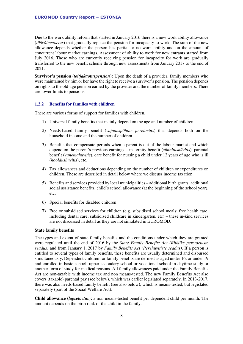Due to the work ability reform that started in January 2016 there is a new work ability allowance (*töövõimetoetus*) that gradually replace the pension for incapacity to work. The sum of the new allowance depends whether the person has partial or no work ability and on the amount of concurrent labour market earnings. Assessment of ability to work for new entrants started from July 2016. Those who are currently receiving pension for incapacity for work are gradually transferred to the new benefit scheme through new assessments from January 2017 to the end of 2021.

**Survivor's pension (***toitjakaotuspension***):** Upon the death of a provider, family members who were maintained by him or her have the right to receive a survivor's pension. The pension depends on rights to the old-age pension earned by the provider and the number of family members. There are lower limits to pensions.

#### **1.2.2 Benefits for families with children**

There are various forms of support for families with children.

- 1) Universal family benefits that mainly depend on the age and number of children.
- 2) Needs-based family benefit (*vajaduspõhine peretoetus*) that depends both on the household income and the number of children.
- 3) Benefits that compensate periods when a parent is out of the labour market and which depend on the parent's previous earnings – maternity benefit (*sünnitushüvitis*), parental benefit (*vanemahüvitis*), care benefit for nursing a child under 12 years of age who is ill (*hooldushüvitis*), etc.
- 4) Tax allowances and deductions depending on the number of children or expenditures on children. These are described in detail below where we discuss income taxation.
- 5) Benefits and services provided by local municipalities additional birth grants, additional social assistance benefits, child's school allowance (at the beginning of the school year), etc.
- 6) Special benefits for disabled children.
- 7) Free or subsidised services for children (e.g. subsidised school meals; free health care, including dental care; subsidised childcare in kindergarten, etc) – these in-kind services are not discussed in detail as they are not simulated in EUROMOD.

#### **State family benefits**

The types and extent of state family benefits and the conditions under which they are granted were regulated until the end of 2016 by the *State Family Benefits Act (Riiklike peretoetuste seadus)* and from January 1, 2017 by *Family Benefits Act (Perehüvitiste seadus)*. If a person is entitled to several types of family benefits, these benefits are usually determined and disbursed simultaneously. Dependent children for family benefits are defined as aged under 16, or under 19 and enrolled in basic school, upper secondary school or vocational school in daytime study or another form of study for medical reasons. All family allowances paid under the Family Benefits Act are non-taxable with income tax and non means-tested. The new Family Benefits Act also covers (taxable) parental pay (see below), which was earlier legislated separately. In 2013-2017, there was also needs-based family benefit (see also below), which is means-tested, but legislated separately (part of the Social Welfare Act).

**Child allowance (***lapsetoetus***):** a non means-tested benefit per dependent child per month. The amount depends on the birth rank of the child in the family.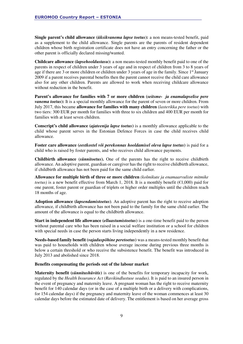**Single parent's child allowance (***üksikvanema lapse toetus***):** a non means-tested benefit, paid as a supplement to the child allowance. Single parents are the parents of resident dependent children whose birth registration certificate does not have an entry concerning the father or the other parent is officially declared missing/wanted.

**Childcare allowance (***lapsehooldustasu***):** a non means-tested monthly benefit paid to one of the parents in respect of children under 3 years of age and in respect of children from 3 to 8 years of age if there are 3 or more children or children under 3 years of age in the family. Since  $1<sup>st</sup>$  January 2009 if a parent receives parental benefits then the parent cannot receive the child care allowance also for any other children. Parents are allowed to work when receiving childcare allowance without reduction in the benefit.

**Parent's allowance for families with 7 or more children (***seitsme- ja enamalapselise pere vanema toetus***):** It is a special monthly allowance for the parent of seven or more children. From July 2017, this became **allowance for families with many children** (*lasterikka pere toetus*) with two tiers: 300 EUR per month for families with three to six children and 400 EUR per month for families with at least seven children.

**Conscript's child allowance (***ajateenija lapse toetus***)** is a monthly allowance applicable to the child whose parent serves in the Estonian Defence Forces in case the child receives child allowance.

**Foster care allowance (***eestkostel või perekonnas hooldamisel oleva lapse toetus***)** is paid for a child who is raised by foster parents, and who receives child allowance payments.

**Childbirth allowance** (*sünnitoetus***).** One of the parents has the right to receive childbirth allowance. An adoptive parent, guardian or caregiver has the right to receive childbirth allowance, if childbirth allowance has not been paid for the same child earlier.

**Allowance for multiple birth of three or more children** *(kolmikute ja enamaarvuliste mitmike toetus*) is a new benefit effective from March 1, 2018. It is a monthly benefit ( $\epsilon$ 1,000) paid for one parent, foster parent or guardian of triplets or higher order multiples until the children reach 18 months of age.

**Adoption allowance (***lapsendamistoetus***)***.* An adoptive parent has the right to receive adoption allowance, if childbirth allowance has not been paid to the family for the same child earlier. The amount of the allowance is equal to the childbirth allowance.

**Start in independent life allowance (***elluastumistoetus***)** is a one-time benefit paid to the person without parental care who has been raised in a social welfare institution or a school for children with special needs in case the person starts living independently in a new residence.

**Needs-based family benefit (***vajaduspõhine peretoetus***)** was a means-tested monthly benefit that was paid to households with children whose average income during previous three months is below a certain threshold or who receive the subsistence benefit. The benefit was introduced in July 2013 and abolished since 2018.

#### **Benefits compensating the periods out of the labour market**

**Maternity benefit (***sünnitushüvitis***)** is one of the benefits for temporary incapacity for work, regulated by the *Health Insurance Act (Ravikindlustuse seadus)*. It is paid to an insured person in the event of pregnancy and maternity leave. A pregnant woman has the right to receive maternity benefit for 140 calendar days (or in the case of a multiple birth or a delivery with complications, for 154 calendar days) if the pregnancy and maternity leave of the woman commences at least 30 calendar days before the estimated date of delivery. The entitlement is based on her average gross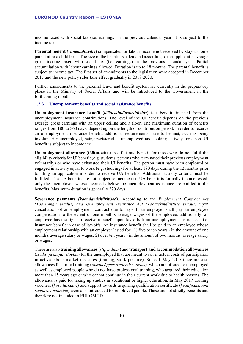income taxed with social tax (i.e. earnings) in the previous calendar year. It is subject to the income tax.

**Parental benefit** *(vanemahüvitis)* compensates for labour income not received by stay-at-home parent after a child birth. The size of the benefit is calculated according to the applicant's average gross income taxed with social tax (i.e. earnings) in the previous calendar year. Partial accumulation with labour earnings allowed. Duration is up to 18 months. The parental benefit is subject to income tax. The first set of amendments to the legislation were accepted in December 2017 and the new policy rules take effect gradually in 2018-2020.

Further amendments to the parental leave and benefit system are currently in the preparatory phase in the Ministry of Social Affairs and will be introduced to the Government in the forthcoming months.

#### **1.2.3 Unemployment benefits and social assistance benefits**

**Unemployment insurance benefit (***töötuskindlustushüvitis***)** is a benefit financed from the unemployment insurance contributions. The level of the UI benefit depends on the previous average gross earnings with an upper ceiling and a floor. The maximum duration of benefits ranges from 180 to 360 days, depending on the length of contribution period. In order to receive an unemployment insurance benefit, additional requirements have to be met, such as being involuntarily unemployed, being registered as unemployed and looking actively for a job. UI benefit is subject to income tax.

**Unemployment allowance (töötutoetus)** is a flat rate benefit for those who do not fulfil the eligibility criteria for UI benefit (e.g. students, persons who terminated their previous employment voluntarily) or who have exhausted their UI benefits. The person must have been employed or engaged in activity equal to work (e.g. studying) for at least 180 days during the 12 months prior to filing an application in order to receive UA benefits. Additional activity criteria must be fulfilled. The UA benefits are not subject to income tax. UA benefit is formally income tested: only the unemployed whose income is below the unemployment assistance are entitled to the benefits. Maximum duration is generally 270 days.

**Severance payments** *(koondamishüvitised):* According to the *Employment Contract Act (Töölepingu seadus) and Unemployment Insurance Act (Töötuskindlustuse seadus)* upon cancellation of an employment contract due to lay-off, an employer shall pay an employee compensation to the extent of one month's average wages of the employee, additionally, an employee has the right to receive a benefit upon lay-offs from unemployment insurance – i.e. insurance benefit in case of lay-offs. An insurance benefit shall be paid to an employee whose employment relationship with an employer lasted for: 1) five to ten years - in the amount of one month's average salary or wages; 2) over ten years - in the amount of two months' average salary or wages.

There are also **training allowances**(*stipendium*) and **transport and accommodation allowances** (*sõidu- ja majutustoetus*) for the unemployed that are meant to cover actual costs of participation in active labour market measures (training, work practice). Since 1 May 2017 there are also allowances for formal training (*tasemeõppes osalemise toetus*), which are offered to unemployed as well as employed people who do not have professional training, who acquired their education more than 15 years ago or who cannot continue in their current work due to health reasons. The allowance is paid for taking up studies in vocational or higher education. In May 2017 training vouchers (*koolituskaart*) and support towards acquiring qualification certificate (*kvalifikatsiooni saamise toetamine*) were also introduced for employed people. These are not strictly benefits and therefore not included in EUROMOD.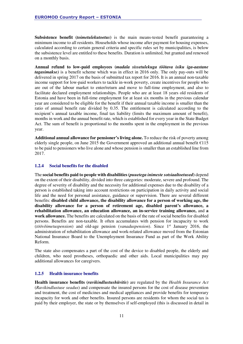**Subsistence benefit (***toimetulekutoetus***)** is the main means-tested benefit guaranteeing a minimum income to all residents. Households whose income after payment for housing expenses, calculated according to certain general criteria and specific rules set by municipalities, is below the subsistence level are entitled to these benefits. Duration is unlimited, but granted and renewed on a monthly basis.

**Annual refund to low-paid employees (***madala sissetulekuga töötava isiku iga-aastane tagasimakse)* is a benefit scheme which was in effect in 2016 only. The only pay-outs will be delivered in spring 2017 on the basis of submitted tax report for 2016. It is an annual non-taxable income support for low-paid workers to tackle in-work poverty, create incentives for people who are out of the labour market to enter/return and move to full-time employment, and also to facilitate declared employment relationships. People who are at least 18 years old residents of Estonia and have been in full-time employment for at least six months in the previous calendar year are considered to be eligible for the benefit if their annual taxable income is smaller than the ratio of annual benefit rate divided by 0.35. The entitlement is calculated according to the recipient's annual taxable income, final tax liability (limits the maximum amount of benefit), months in work and the annual benefit rate, which is established for every year in the State Budget Act. The sum of benefit is proportional to the months spent in the employment in the previous year.

**Additional annual allowance for pensioner's living alone.** To reduce the risk of poverty among elderly single people, on June 2015 the Government approved an additional annual benefit  $\epsilon$ 115 to be paid to pensioners who live alone and whose pension is smaller than an established line from 2017.

#### **1.2.4 Social benefits for the disabled**

The **social benefits paid to people with disabilities(***puuetega inimeste sotsiaaltoetused***)** depend on the extent of their disability, divided into three categories: moderate, severe and profound. The degree of severity of disability and the necessity for additional expenses due to the disability of a person is established taking into account restrictions on participation in daily activity and social life and the need for personal assistance, guidance or supervision. There are several different benefits: **disabled child allowance, the disability allowance for a person of working age, the disability allowance for a person of retirement age, disabled parent's allowance, a rehabilitation allowance, an education allowance, an in-service training allowance,** and **a work allowance.** The benefits are calculated on the basis of the rate of social benefits for disabled persons. Benefits are non-taxable. It often accumulates with pension for incapacity to work (*töövõimetuspension*) and old-age pension (*vanaduspension*). Since 1st January 2016, the administration of rehabilitation allowance and work-related allowance moved from the Estonian National Insurance Board to the Unemployment Insurance Fund as part of the Work Ability Reform.

The state also compensates a part of the cost of the device to disabled people, the elderly and children, who need prostheses, orthopaedic and other aids. Local municipalities may pay additional allowances for caregivers.

#### **1.2.5 Health insurance benefits**

**Health insurance benefits (***ravikindlustushüvitis***)** are regulated by the *Health Insurance Act*  (*Ravikindlustuse seadus*) and compensate the insured persons for the cost of disease prevention and treatment, the cost of medicines and medical appliances and provide benefits for temporary incapacity for work and other benefits. Insured persons are residents for whom the social tax is paid by their employer, the state or by themselves if self-employed (this is discussed in detail in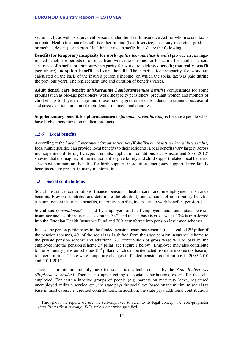section 1.4), as well as equivalent persons under the Health Insurance Act for whom social tax is not paid. Health insurance benefit is either in kind (health service, necessary medicinal products or medical device), or in cash. Health insurance benefits in cash are the following.

**Benefits for temporary incapacity for work (***ajutise töövõimetuse hüvitis***)** provide an earningsrelated benefit for periods of absence from work due to illness or for caring for another person. The types of benefit for temporary incapacity for work are: **sickness benefit**; **maternity benefit** (see above); **adoption benefit** and **care benefit**. The benefits for incapacity for work are calculated on the basis of the insured person's income (on which the social tax was paid during the previous year). The replacement rate and duration of benefits varies.

**Adult dental care benefit (***täiskasvanute hambaraviteenuse hüvitis***)** compensates for some groups (such as old-age pensioners, work incapacity pensioners, pregnant women and mothers of children up to 1 year of age and those having greater need for dental treatment because of sickness) a certain amount of their dental treatment and dentures.

**Supplementary benefit for pharmaceuticals (***täiendav ravimihüvitis***)** is for those people who have high expenditures on medical products.

#### **1.2.6 Local benefits**

According to the *Local Government Organisation Act (Kohaliku omavalitsuse korralduse seadus)*  local municipalities can provide local benefits to their residents. Local benefits vary largely across municipalities, differing by type, amounts, application conditions etc. Ainsaar and Soo (2012) showed that the majority of the municipalities give family and child support related local benefits. The most common are benefits for birth support, in addition emergency support, large family benefits etc are present in many municipalities.

#### **1.3 Social contributions**

l

Social insurance contributions finance pensions, health care, and unemployment insurance benefits. Previous contributions determine the eligibility and amount of contributory benefits (unemployment insurance benefits, maternity benefits, incapacity to work benefits, pensions).

Social tax (*sotsiaalmaks*) is paid by employers and self-employed<sup>1</sup> and funds state pension insurance and health insurance. Tax rate is 33% and the tax base is gross wage. 13% is transferred into the Estonian Health Insurance Fund and 20% transferred into pension insurance schemes.

In case the person participates in the funded pension insurance scheme (the so-called  $2<sup>nd</sup>$  pillar of the pension scheme), 4% of the social tax is shifted from the state pension insurance scheme to the private pension scheme and additional 2% contribution of gross wage will be paid by the employee into the pension scheme  $2<sup>nd</sup>$  pillar (see Figure 1 below). Employee may also contribute to the voluntary pension schemes  $(3<sup>rd</sup>$  pillar) which can be deducted from the income tax base up to a certain limit. There were temporary changes in funded pension contributions in 2009-2010 and 2014-2017.

There is a minimum monthly base for social tax calculation, set by the *State Budget Act (Riigieelarve seadus)*. There is no upper ceiling of social contributions, except for the selfemployed. For certain inactive groups of people (e.g. parents on maternity leave, registered unemployed, military service, etc.) the state pays the social tax, based on the minimum social tax base in most cases, i.e. credited contributions. In addition, the state pays additional contributions

<sup>&</sup>lt;sup>1</sup> Throughout the report, we use the self-employed to refer to its legal concept, i.e. sole-proprietor (*füüsilisest isikust ettevõtja, FIE*), unless otherwise specified.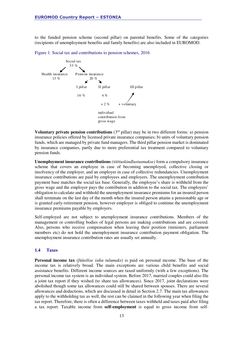to the funded pension scheme (second pillar) on parental benefits. Some of the categories (recipients of unemployment benefits and family benefits) are also included in EUROMOD.

Figure 1. Social tax and contributions to pension schemes, 2016



**Voluntary private pension contributions**  $(3<sup>rd</sup> pillar)$  may be in two different forms: a) pension insurance policies offered by licensed private insurance companies; b) units of voluntary pension funds, which are managed by private fund managers. The third pillar pension market is dominated by insurance companies, partly due to more preferential tax treatment compared to voluntary pension funds.

**Unemployment insurance contributions** *(töötuskindlustusmakse)* form a compulsory insurance scheme that covers an employee in case of becoming unemployed, collective closing or insolvency of the employer, and an employer in case of collective redundancies. Unemployment insurance contributions are paid by employees and employers. The unemployment contribution payment base matches the social tax base. Generally, the employee's share is withheld from the gross wage and the employer pays the contribution in addition to the social tax. The employers' obligation to calculate and withhold the unemployment insurance premiums for an insured person shall terminate on the last day of the month when the insured person attains a pensionable age or is granted early-retirement pension, however employer is obliged to continue the unemployment insurance premiums payable by employers.

Self-employed are not subject to unemployment insurance contributions. Members of the management or controlling bodies of legal persons are making contributions and are covered. Also, persons who receive compensation when leaving their position (ministers, parliament members etc) do not hold the unemployment insurance contribution payment obligation. The unemployment insurance contribution rates are usually set annually.

#### **1.4 Taxes**

**Personal income tax** (*füüsilise isiku tulumaks*) is paid on personal income. The base of the income tax is relatively broad. The main exceptions are various child benefits and social assistance benefits. Different income sources are taxed uniformly (with a few exceptions). The personal income tax system is an individual system. Before 2017, married couples could also file a joint tax report if they wished (to share tax allowances). Since 2017, joint declarations were abolished though some tax allowances could still be shared between spouses. There are several allowances and deductions, which are discussed in detail in Section 2.7. The main tax allowances apply to the withholding tax as well, the rest can be claimed in the following year when filing the tax report. Therefore, there is often a difference between taxes withheld and taxes paid after filing a tax report. Taxable income from **self-employment** is equal to gross income from self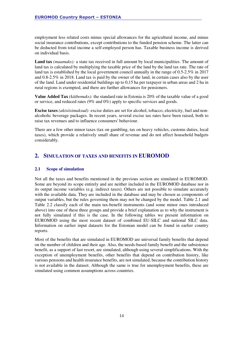employment less related costs minus special allowances for the agricultural income, and minus social insurance contributions, except contributions to the funded pension scheme. The latter can be deducted from total income a self-employed person has. Taxable business income is derived on individual basis.

**Land tax** *(maamaks):* a state tax received in full amount by local municipalities. The amount of land tax is calculated by multiplying the taxable price of the land by the land tax rate. The rate of land tax is established by the local government council annually in the range of 0.5-2.5% in 2017 and 0.8-2.5% in 2018. Land tax is paid by the owner of the land, in certain cases also by the user of the land. Land under residential buildings up to 0,15 ha per taxpayer in urban areas and 2 ha in rural regions is exempted, and there are further allowances for pensioners.

**Value Added Tax** *(käibemaks):* the standard rate in Estonia is 20% of the taxable value of a good or service, and reduced rates (9% and 0%) apply to specific services and goods.

**Excise taxes** *(aktsiisimaksud):* excise duties are set for alcohol, tobacco, electricity, fuel and nonalcoholic beverage packages. In recent years, several excise tax rates have been raised, both to raise tax revenues and to influence consumers' behaviour.

There are a few other minor taxes (tax on gambling, tax on heavy vehicles, customs duties, local taxes), which provide a relatively small share of revenue and do not affect household budgets considerably.

### **2. SIMULATION OF TAXES AND BENEFITS IN EUROMOD**

#### **2.1 Scope of simulation**

Not all the taxes and benefits mentioned in the previous section are simulated in EUROMOD. Some are beyond its scope entirely and are neither included in the EUROMOD database nor in its output income variables (e.g. indirect taxes). Others are not possible to simulate accurately with the available data. They are included in the database and may be chosen as components of output variables, but the rules governing them may not be changed by the model. Table 2.1 and Table 2.2 classify each of the main tax-benefit instruments (and some minor ones introduced above) into one of these three groups and provide a brief explanation as to why the instrument is not fully simulated if this is the case. In the following tables we present information on EUROMOD using the most recent dataset of combined EU-SILC and national SILC data. Information on earlier input datasets for the Estonian model can be found in earlier country reports.

Most of the benefits that are simulated in EUROMOD are universal family benefits that depend on the number of children and their age. Also, the needs-based family benefit and the subsistence benefit, as a support of last resort, are simulated, although using several simplifications. With the exception of unemployment benefits, other benefits that depend on contribution history, like various pensions and health insurance benefits, are not simulated, because the contribution history is not available in the dataset. Although the same is true for unemployment benefits, these are simulated using common assumptions across countries.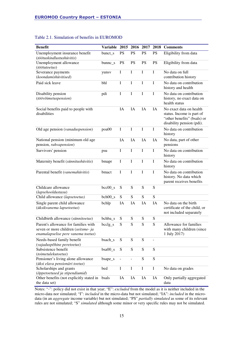| <b>Benefit</b>                                                                                                    | Variable 2015 2016 2017 2018 |             |               |             |             | <b>Comments</b>                                                                                                  |
|-------------------------------------------------------------------------------------------------------------------|------------------------------|-------------|---------------|-------------|-------------|------------------------------------------------------------------------------------------------------------------|
| Unemployment insurance benefit<br>(töötuskindlustushüvitis)                                                       | bunct_s                      | <b>PS</b>   | <b>PS</b>     | <b>PS</b>   | <b>PS</b>   | Eligibility from data                                                                                            |
| Unemployment allowance<br>(töötutoetus)                                                                           | bunnc_s                      | <b>PS</b>   | <b>PS</b>     | <b>PS</b>   | <b>PS</b>   | Eligibility from data                                                                                            |
| Severance payments<br>(koondamishüvitised)                                                                        | yunsv                        | I           | I             | I           | I           | No data on full<br>contribution history                                                                          |
| Paid sick leave                                                                                                   | bhl                          | $\mathbf I$ | $\bf I$       | $\mathbf I$ | $\bf I$     | No data on contribution<br>history and health                                                                    |
| Disability pension<br>(töövõimetuspension)                                                                        | pdi                          | $\mathbf I$ | $\bf I$       | I           | $\mathbf I$ | No data on contribution<br>history, no exact data on<br>health status                                            |
| Social benefits paid to people with<br>disabilities                                                               |                              | IA          | IA            | IA          | IA          | No exact data on health<br>status. Income is part of<br>"other benefits" (bsals) or<br>disability pension (pdi). |
| Old age pension (vanaduspension)                                                                                  | poa00                        | $\mathbf I$ | $\bf{I}$      | I           | I           | No data on contribution<br>history                                                                               |
| National pension (minimum old age<br>pension, rahvapension)                                                       |                              | IA          | IA            | IA          | IA          | No data, part of other<br>pensions                                                                               |
| Survivors' pension                                                                                                | psu                          | I           | $\bf I$       | I           | I           | No data on contribution<br>history                                                                               |
| Maternity benefit (sünnitushüvitis)                                                                               | bmapr                        | $\mathbf I$ | $\mathbf I$   | I           | $\mathbf I$ | No data on contribution<br>history                                                                               |
| Parental benefit (vanemahüvitis)                                                                                  | bmact                        | $\mathbf I$ | $\bf I$       | I           | $\mathbf I$ | No data on contribution<br>history. No data which<br>parent receives benefits                                    |
| Childcare allowance<br>(lapsehooldustasu)                                                                         | $bcc00_s$                    | S           | ${\bf S}$     | ${\bf S}$   | S           |                                                                                                                  |
| Child allowance (lapsetoetus)                                                                                     | $beh00_s$                    | S           | ${\bf S}$     | ${\bf S}$   | S           |                                                                                                                  |
| Single parent child allowance<br>(üksikvanema lapsetoetus)                                                        | bchlp                        | IA          | IA            | IA          | IA          | No data on the birth<br>certificate of the child, or<br>not included separately                                  |
| Childbirth allowance (sünnitoetus)                                                                                | bchba_s                      | S           | ${\bf S}$     | ${\bf S}$   | ${\bf S}$   |                                                                                                                  |
| Parent's allowance for families with<br>seven or more children (seitsme- ja<br>enamalapselise pere vanema toetus) | bcclg_s                      | S           | S             | ${\bf S}$   | S           | Allowance for families<br>with many children (since<br>1 July 2017)                                              |
| Needs-based family benefit<br>(vajaduspõhine peretoetus)                                                          | bsach_s                      | ${\bf S}$   | ${\bf S}$     | ${\bf S}$   | ÷,          |                                                                                                                  |
| Subsistence benefit<br>(toimetulekutoetus)                                                                        | $bsa00_s$                    | S           | ${\bf S}$     | ${\bf S}$   | S           |                                                                                                                  |
| Pensioner's living alone allowance<br>(üksi elava pensionäri toetus)                                              | bsape_s                      |             | $\frac{1}{2}$ | ${\bf S}$   | ${\bf S}$   |                                                                                                                  |
| Scholarships and grants<br>(õppetoetused ja stipendiumid)                                                         | bed                          | $\mathbf I$ | $\mathbf I$   | $\mathbf I$ | I           | No data on grades                                                                                                |
| Other benefits (not explicitly stated in<br>the data set)                                                         | bsals                        | IA          | IA            | IA          | IA          | Only partially aggregated<br>data                                                                                |

#### Table 2.1. Simulation of benefits in EUROMOD

Notes: "-": policy did not exist in that year; "E": *excluded* from the model as it is neither included in the micro-data nor simulated; "I": *included* in the micro-data but not simulated; "IA": *included* in the microdata (in an *aggregate* income variable) but not simulated; "PS" *partially simulated* as some of its relevant rules are not simulated; "S" *simulated* although some minor or very specific rules may not be simulated.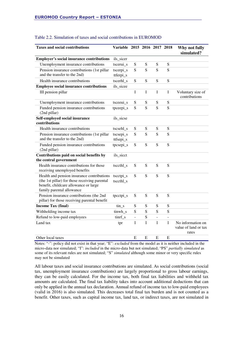| <b>Taxes and social contributions</b>                                                                                                                             | Variable 2015 2016 2017 2018 |                |             |    |                | Why not fully<br>simulated?                        |
|-------------------------------------------------------------------------------------------------------------------------------------------------------------------|------------------------------|----------------|-------------|----|----------------|----------------------------------------------------|
| <b>Employer's social insurance contributions</b>                                                                                                                  | ils_sicer                    |                |             |    |                |                                                    |
| Unemployment insurance contributions                                                                                                                              | tscerui s                    | S              | S           | S  | S              |                                                    |
| Pension insurance contributions (1st pillar<br>and the transfer to the 2nd)                                                                                       | tscerpi_s<br>ttferpi_s       | S              | S           | S  | S              |                                                    |
| Health insurance contributions                                                                                                                                    | tscerhl s                    | S              | S           | S  | S              |                                                    |
| <b>Employee social insurance contributions</b>                                                                                                                    | ils_sicee                    |                |             |    |                |                                                    |
| III pension pillar                                                                                                                                                |                              | $\mathbf I$    | $\mathbf I$ | I  | $\bf I$        | Voluntary size of<br>contributions                 |
| Unemployment insurance contributions                                                                                                                              | tsceeui_s                    | ${\bf S}$      | S           | S  | S              |                                                    |
| Funded pension insurance contributions<br>(2nd pillar)                                                                                                            | tpceepi_s                    | S              | S           | S  | S              |                                                    |
| Self-employed social insurance<br>contributions                                                                                                                   | ils_sicse                    |                |             |    |                |                                                    |
| Health insurance contributions                                                                                                                                    | tscsehl_s                    | S              | S           | S  | S              |                                                    |
| Pension insurance contributions (1st pillar<br>and the transfer to the 2nd)                                                                                       | tscsepi_s<br>ttfsepi_s       | S              | S           | S  | S              |                                                    |
| Funded pension insurance contributions<br>(2nd pillar)                                                                                                            | tpcsepi_s                    | S              | S           | S  | S              |                                                    |
| Contributions paid on social benefits by<br>the central government                                                                                                | ils_sicct                    |                |             |    |                |                                                    |
| Health insurance contributions for those<br>receiving unemployed benefits                                                                                         | tsccthl_s                    | S              | S           | S  | S              |                                                    |
| Health and pension insurance contributions<br>(the 1st pillar) for those receiving parental<br>benefit, childcare allowance or large<br>family parental allowance | tscctpi_s<br>tsccthl_s       | S              | S           | S  | S              |                                                    |
| Pension insurance contributions (the 2nd<br>pillar) for those receiving parental benefit                                                                          | tpcctpi_s                    | S              | S           | S  | S              |                                                    |
| <b>Income Tax (final)</b>                                                                                                                                         | tin_s                        | S              | S           | S  | S              |                                                    |
| Withholding income tax                                                                                                                                            | tinwh_s                      | S              | S           | S  | S              |                                                    |
| Refund to low-paid employees                                                                                                                                      | tinrf_s                      | $\overline{a}$ | S           | ÷, | $\overline{a}$ |                                                    |
| Land tax                                                                                                                                                          | tpr                          | $\mathbf I$    | I           | I  | $\mathbf I$    | No information on<br>value of land or tax<br>rates |
| Other local taxes                                                                                                                                                 |                              | E              | E           | E  | E              |                                                    |

#### Table 2.2. Simulation of taxes and social contributions in EUROMOD

Notes: "-": policy did not exist in that year; "E": *excluded* from the model as it is neither included in the micro-data nor simulated; "I": *included* in the micro-data but not simulated; "PS" *partially simulated* as some of its relevant rules are not simulated; "S" *simulated* although some minor or very specific rules may not be simulated

All labour taxes and social insurance contributions are simulated. As social contributions (social tax, unemployment insurance contributions) are largely proportional to gross labour earnings, they can be easily calculated. For the income tax, both final tax liabilities and withheld tax amounts are calculated. The final tax liability takes into account additional deductions that can only be applied in the annual tax declaration. Annual refund of income tax to low-paid employees (valid in 2016) is also simulated. This decreases total final tax burden and is not counted as a benefit. Other taxes, such as capital income tax, land tax, or indirect taxes, are not simulated in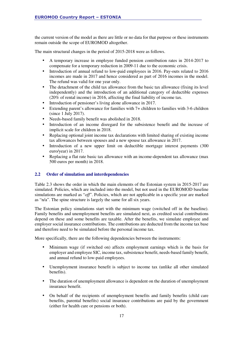the current version of the model as there are little or no data for that purpose or these instruments remain outside the scope of EUROMOD altogether.

The main structural changes in the period of 2015-2018 were as follows.

- A temporary increase in employee funded pension contribution rates in 2014-2017 to compensate for a temporary reduction in 2009-11 due to the economic crisis.
- Introduction of annual refund to low-paid employees in 2016. Pay-outs related to 2016 incomes are made in 2017 and hence considered as part of 2016 incomes in the model. The refund was valid for one year only.
- The detachment of the child tax allowance from the basic tax allowance (fixing its level independently) and the introduction of an additional category of deductible expenses (20% of rental income) in 2016, affecting the final liability of income tax.
- Introduction of pensioner's living alone allowance in 2017.
- Extending parent's allowance for families with 7+ children to families with 3-6 children (since 1 July 2017).
- Needs-based family benefit was abolished in 2018.
- Introduction of an income disregard for the subsistence benefit and the increase of implicit scale for children in 2018.
- Replacing optional joint income tax declarations with limited sharing of existing income tax allowances between spouses and a new spouse tax allowance in 2017.
- Introduction of a new upper limit on deductible mortgage interest payments (300) euro/year) in 2017.
- Replacing a flat rate basic tax allowance with an income-dependent tax allowance (max 500 euros per month) in 2018.

#### **2.2 Order of simulation and interdependencies**

Table 2.3 shows the order in which the main elements of the Estonian system in 2015-2017 are simulated. Policies, which are included into the model, but not used in the EUROMOD baseline simulations are marked as "*off*". Policies, which are not applicable in a specific year are marked as "n/a". The spine structure is largely the same for all six years.

The Estonian policy simulations start with the minimum wage (switched off in the baseline). Family benefits and unemployment benefits are simulated next, as credited social contributions depend on these and some benefits are taxable. After the benefits, we simulate employee and employer social insurance contributions. The contributions are deducted from the income tax base and therefore need to be simulated before the personal income tax.

More specifically, there are the following dependencies between the instruments:

- Minimum wage (if switched on) affects employment earnings which is the basis for employer and employee SIC, income tax, subsistence benefit, needs-based family benefit, and annual refund to low-paid employees.
- Unemployment insurance benefit is subject to income tax (unlike all other simulated benefits).
- The duration of unemployment allowance is dependent on the duration of unemployment insurance benefit.
- On behalf of the recipients of unemployment benefits and family benefits (child care benefits, parental benefits) social insurance contributions are paid by the government (either for health care or pensions or both).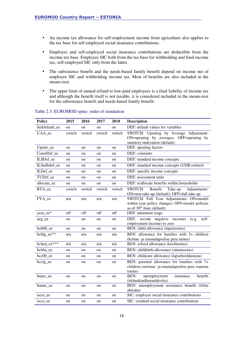- An income tax allowance for self-employment income from agriculture also applies to the tax base for self-employed social insurance contributions.
- Employee and self-employed social insurance contributions are deductible from the income tax base. Employee SIC both from the tax base for withholding and final income tax, self-employed SIC only from the latter.
- The subsistence benefit and the needs-based family benefit depend on income net of employee SIC and withholding income tax. Most of benefits are also included in the means-test.
- The upper limit of annual refund to low-paid employees is a final liability of income tax and although the benefit itself is not taxable, it is considered included in the means-test for the subsistence benefit and needs-based family benefit.

| <b>Policy</b> | 2015   | 2016        | 2017   | 2018          | <b>Description</b>                                                                                                                 |
|---------------|--------|-------------|--------|---------------|------------------------------------------------------------------------------------------------------------------------------------|
| SetDefault_ee | on     | on          | on     | on            | DEF: default values for variables                                                                                                  |
| UAA_ee        | switch | switch      | switch | switch        | SWITCH: Uprating by Average Adjustment:<br>ON=uprating by averages; OFF=uprating by<br>statutory indexation (default)              |
| Uprate_ee     | on     | on          | on     | on            | DEF: uprating factors                                                                                                              |
| ConstDef ee   | on     | on          | on     | on            | DEF: constants                                                                                                                     |
| ILSDef_ee     | on     | on          | on     | on            | DEF: standard income concepts                                                                                                      |
| ILSudbdef ee  | on     | on          | on     | on            | DEF: standard income concepts (UDB related)                                                                                        |
| ILDef_ee      | on     | on          | on     | on            | DEF: specific income concepts                                                                                                      |
| TUDef ee      | on     | on          | on     | on            | DEF: assessment units                                                                                                              |
| allocate ee   | on     | on          | on     | <sub>on</sub> | DEF: reallocate benefits within households                                                                                         |
| BTA_ee        | switch | switch      | switch | switch        | Benefit<br>SWITCH:<br>Take-up<br>Adjustments:<br>ON=non take-up (default); OFF=full take up                                        |
| FYA_ee        | n/a    | n/a         | n/a    | n/a           | SWITCH: Full Year Adjustments: ON=model<br>within-year policy changes; OFF=model policies<br>as of 30 <sup>th</sup> June (default) |
| yem_ee*       | off    | off         | off    | off           | DEF: minimum wage                                                                                                                  |
| neg_ee        | on     | on          | on     | on            | DEF:<br>recode negative incomes<br>self-<br>(e.g.<br>employment income) to zero                                                    |
| bch00_ee      | on     | on          | on     | on            | BEN: child allowance (lapsetoetus)                                                                                                 |
| bchlg ee**    | n/a    | n/a         | n/a    | n/a           | BEN: allowance for families with 3+ children<br>(kolme- ja enamalapselise pere toetus)                                             |
| bched ee***   | n/a    | n/a         | n/a    | n/a           | BEN: school allowance (koolitoetus)                                                                                                |
| bchba_ee      | on     | on          | on     | on            | BEN: childbirth allowance (sünnitoetus)                                                                                            |
| bcc00 ee      | on     | on          | on     | on            | BEN: childcare allowance (lapsehooldustasu)                                                                                        |
| bcclg_ee      | on     | on          | on     | on            | BEN: parental allowance for families with 7+<br>children (seitsme- ja enamalapselise pere vanema<br>toetus)                        |
| bunct_ee      | on     | $_{\rm on}$ | on     | $_{\rm on}$   | unemployment<br>benefit<br>BEN:<br>insurance<br>(töötuskindlustushüvitis)                                                          |
| bunnc_ee      | on     | on          | on     | on            | BEN: unemployment assistance benefit (töötu<br>abiraha)                                                                            |
| tscer ee      | on     | on          | on     | on            | SIC: employer social insurance contributions                                                                                       |
| tscct_ee      | on     | on          | on     | on            | SIC: credited social insurance contributions                                                                                       |

#### Table 2.3. EUROMOD spine: order of simulation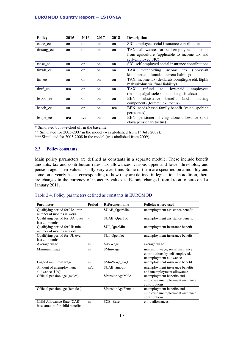| <b>Policy</b> | 2015          | 2016          | 2017          | 2018 | <b>Description</b>                                                   |
|---------------|---------------|---------------|---------------|------|----------------------------------------------------------------------|
| tscee ee      | on            | on            | on            | on   | SIC: employee social insurance contributions                         |
| tintaagee     | on            | on            | on            | on   | TAX: allowance for self-employment income                            |
|               |               |               |               |      | from agriculture (applicable to income tax and<br>self-employed SIC) |
| tscse_ee      | <sub>on</sub> | <sub>on</sub> | <sub>on</sub> | on   | SIC: self-employed social insurance contributions                    |
| tinwh ee      | on            | on            | on            | on   | TAX: withholding income tax<br>(jooksvalt)                           |
|               |               |               |               |      | kinnipeetud tulumaks, current liability)                             |
| tin ee        | on            | on            | on            | on   | TAX: income tax (deklaratsioonijärgne ehk lõplik                     |
|               |               |               |               |      | maksukohustus, final liability)                                      |
| tinrf_ee      | n/a           | on            | on            | on   | refund<br>TAX:<br>low-paid<br>employees<br>to                        |
|               |               |               |               |      | (madalapalgalistele suunatud tagasimakse)                            |
| bsa00 ee      | on            | on            | on            | on   | benefit<br>BEN:<br>subsistence<br>(incl.<br>housing                  |
|               |               |               |               |      | component) (toimetule kuto etus)                                     |
| bsach ee      | on            | on            | on            | n/a  | BEN: needs-based family benefit (vajaduspõhine                       |
|               |               |               |               |      | peretoetus)                                                          |
| bsape_ee      | n/a           | n/a           | on            | on   | BEN: pensioner's living alone allowance (üksi                        |
|               |               |               |               |      | elava pensionäri toetus)                                             |

\* Simulated but switched off in the baseline.

\*\* Simulated for 2005-2007 in the model (was abolished from 1<sup>st</sup> July 2007).

\*\*\* Simulated for 2005-2008 in the model (was abolished from 2009).

#### **2.3 Policy constants**

Main policy parameters are defined as constants in a separate module. These include benefit amounts, tax and contribution rates, tax allowances, various upper and lower thresholds, and pension age. Their values usually vary over time. Some of them are specified on a monthly and some on a yearly basis, corresponding to how they are defined in legislation. In addition, there are changes in the currency of monetary values as Estonia changed from kroon to euro on 1st January 2011.

#### Table 2.4. Policy parameters defined as constants in EUROMOD

| <b>Parameter</b>                                               | <b>Period</b> | Reference name     | <b>Policies where used</b>                                                                  |
|----------------------------------------------------------------|---------------|--------------------|---------------------------------------------------------------------------------------------|
| Qualifying period for UA: min<br>number of months in work      |               | \$UAB QperMin      | unemployment assistance benefit                                                             |
| Qualifying period for UA: over<br>last  months                 |               | \$UAB OperTot      | unemployment assistance benefit                                                             |
| Qualifying period for UI: min<br>number of months in work      |               | \$UI QperMin       | unemployment insurance benefit                                                              |
| Qualifying period for UI: over<br>last  months                 |               | \$UI_QperTot       | unemployment insurance benefit                                                              |
| Average wage                                                   | m             | \$AvWage           | average wage                                                                                |
| Minimum wage                                                   | m             | \$Minwage          | minimum wage, social insurance<br>contributions by self-employed,<br>unemployment allowance |
| Lagged minimum wage                                            | m             | \$MinWage lag1     | unemployment insurance benefit                                                              |
| Amount of unemployment<br>allowance (UA)                       | m/d           | \$UAB amount       | unemployment insurance benefits<br>and unemployment allowance                               |
| Official pension age (males)                                   |               | \$PensionAgeMale   | unemployment benefits and<br>employee unemployment insurance<br>contributions               |
| Official pension age (females)                                 |               | \$PensionAgeFemale | unemployment benefits and<br>employee unemployment insurance<br>contributions               |
| Child Allowance Rate (CAR) -<br>base amount for child benefits | m             | \$CB Base          | child allowances                                                                            |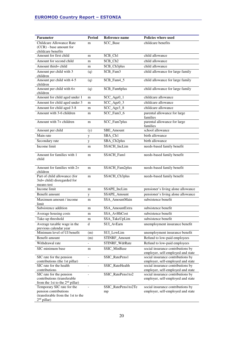| <b>Parameter</b>                                           | <b>Period</b>     | Reference name             | Policies where used                                                    |  |  |  |  |  |
|------------------------------------------------------------|-------------------|----------------------------|------------------------------------------------------------------------|--|--|--|--|--|
| Childcare Allowance Rate                                   | m                 | \$CC Base                  | childcare benefits                                                     |  |  |  |  |  |
| (CCR) - base amount for                                    |                   |                            |                                                                        |  |  |  |  |  |
| childcare benefits<br>Amount for first child               | m                 | \$CB_Ch1                   | child allowance                                                        |  |  |  |  |  |
| Amount for second child                                    | m                 | \$CB_Ch2                   | child allowance                                                        |  |  |  |  |  |
| Amount third+ child                                        |                   | \$CB_Ch3plus               | child allowance                                                        |  |  |  |  |  |
| Amount per child with 3                                    | m                 | \$CB_Fam3                  | child allowance for large family                                       |  |  |  |  |  |
| children                                                   | (q)               |                            |                                                                        |  |  |  |  |  |
| Amount per child with 4-5<br>children                      | (q)               | \$CB_Fam4_5                | child allowance for large family                                       |  |  |  |  |  |
| Amount per child with 6+<br>children                       | (q)               | \$CB_Fam6plus              | child allowance for large family                                       |  |  |  |  |  |
| Amount for child aged under 1                              | m                 | \$CC_Age0_1                | childcare allowance                                                    |  |  |  |  |  |
| Amount for child aged under 3                              | m                 | \$CC_Age0_3                | childcare allowance                                                    |  |  |  |  |  |
| Amount for child aged 3-8                                  | m                 | \$CC_Age3_8                | childcare allowance                                                    |  |  |  |  |  |
| Amount with 3-6 children                                   | m                 | \$CC_Fam3_6                | parental allowance for large<br>families                               |  |  |  |  |  |
| Amount with 7+ children                                    | m                 | \$CC_Fam7plus              | parental allowance for large<br>families                               |  |  |  |  |  |
| Amount per child                                           | (y)               | \$BE Amount                | school allowance                                                       |  |  |  |  |  |
| Main rate                                                  | у                 | \$BA_Ch1                   | birth allowance                                                        |  |  |  |  |  |
| Secondary rate                                             | y                 | \$BA_Ch2plus               | birth allowance                                                        |  |  |  |  |  |
| Income limit                                               | m                 | \$SACH_IncLim              | needs-based family benefit                                             |  |  |  |  |  |
| Amount for families with 1                                 | m                 | \$SACH_Fam1                | needs-based family benefit                                             |  |  |  |  |  |
| child                                                      |                   |                            |                                                                        |  |  |  |  |  |
|                                                            |                   |                            |                                                                        |  |  |  |  |  |
| Amount for families with 2+<br>children                    | m                 | \$SACH_Fam2plus            | needs-based family benefit                                             |  |  |  |  |  |
| Part of child allowance (for                               | m                 | \$SACH_Ch3plus             | needs-based family benefit                                             |  |  |  |  |  |
| 3rd+ child) disregarded for<br>means-test                  |                   |                            |                                                                        |  |  |  |  |  |
| Income limit                                               | m                 | \$SAPE_IncLim              | pensioner's living alone allowance                                     |  |  |  |  |  |
| Benefit amount                                             | у                 | \$SAPE Amount              | pensioner's living alone allowance                                     |  |  |  |  |  |
| Maximum amount / income                                    | m                 | \$SA_AmountMain            | subsistence benefit                                                    |  |  |  |  |  |
| limit                                                      |                   |                            |                                                                        |  |  |  |  |  |
| Subsistence addition                                       | m                 | \$SA_AmountExtra           | subsistence benefit                                                    |  |  |  |  |  |
| Average housing costs                                      | m                 | \$SA_AvHhCost              | subsistence benefit                                                    |  |  |  |  |  |
| Take-up threshold                                          | m                 | \$SA TakeUpLim             | subsistence benefit                                                    |  |  |  |  |  |
| Average taxable wage in the<br>previous calendar year      | $\mathbf d$       | \$UI AvEarn                | unemployment insurance benefit                                         |  |  |  |  |  |
| Minimum level of UI benefit                                | (m)               | \$UI_LowLim                | unemployment insurance benefit                                         |  |  |  |  |  |
| Benefit amount                                             | (m)               | \$TINRF_Amount             | Refund to low-paid employees                                           |  |  |  |  |  |
| Withdrawal rate                                            | $\qquad \qquad -$ | \$TINRF_WdrRate            | Refund to low-paid employees                                           |  |  |  |  |  |
| SIC minimum base                                           | m                 | \$SIC_MinBase              | social insurance contributions by                                      |  |  |  |  |  |
|                                                            |                   |                            | employer, self-employed and state                                      |  |  |  |  |  |
| SIC rate for the pension<br>contributions (the 1st pillar) |                   | \$SIC_RatePens1            | social insurance contributions by<br>employer, self-employed and state |  |  |  |  |  |
| SIC rate for the health                                    |                   | \$SIC_RateHealth           | social insurance contributions by                                      |  |  |  |  |  |
| contributions                                              |                   |                            | employer, self-employed and state                                      |  |  |  |  |  |
| SIC rate for the pension                                   |                   | \$SIC_RatePens1to2         | social insurance contributions by                                      |  |  |  |  |  |
| contributions (transferable                                |                   |                            | employer, self-employed and state                                      |  |  |  |  |  |
| from the 1st to the 2 <sup>nd</sup> pillar)                |                   |                            |                                                                        |  |  |  |  |  |
| Temporary SIC rate for the<br>pension contributions        |                   | \$SIC_RatePens1to2Te<br>mp | social insurance contributions by<br>employer, self-employed and state |  |  |  |  |  |
| (transferable from the 1st to the                          |                   |                            |                                                                        |  |  |  |  |  |
| $2nd$ pillar)                                              |                   |                            |                                                                        |  |  |  |  |  |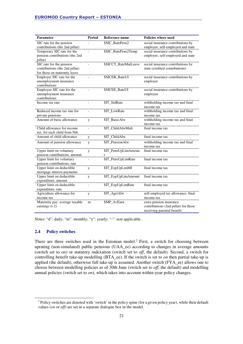| Parameter                                                                                  | <b>Period</b>            | Reference name           | <b>Policies where used</b>                                                                    |  |  |  |  |  |
|--------------------------------------------------------------------------------------------|--------------------------|--------------------------|-----------------------------------------------------------------------------------------------|--|--|--|--|--|
| SIC rate for the pension<br>contributions (the 2nd pillar)                                 |                          | \$SIC RatePens2          | social insurance contributions by<br>employer, self-employed and state                        |  |  |  |  |  |
| Temporary SIC rate for the<br>pension contributions (the 2nd<br>pillar)                    |                          | \$SIC_RatePens2Temp      | social insurance contributions by<br>employer, self-employed and state                        |  |  |  |  |  |
| SIC rate for the pension<br>contributions (the 2nd pillar)<br>for those on maternity leave | $\blacksquare$           | \$SICCT_RateMatLeave     | social insurance contributions by<br>state (credited contributions)                           |  |  |  |  |  |
| Employer SIC rate for the<br>unemployment insurance<br>contributions                       |                          | \$SICER_RateUI           | social insurance contributions by<br>employer                                                 |  |  |  |  |  |
| Employee SIC rate for the<br>unemployment insurance<br>contributions                       | $\overline{a}$           | \$SICEE_RateUI           | social insurance contributions by<br>employee                                                 |  |  |  |  |  |
| Income tax rate                                                                            | $\overline{\phantom{a}}$ | \$IT_StdRate             | withholding income tax and final<br>income tax                                                |  |  |  |  |  |
| Reduced income tax rate for<br>private pensions                                            |                          | \$IT_LowRate             | withholding income tax and final<br>income tax                                                |  |  |  |  |  |
| Amount of basic allowance                                                                  | y                        | \$IT_BasicAlw            | withholding income tax and final<br>income tax                                                |  |  |  |  |  |
| Child allowance for income<br>tax, for each child from Nth                                 | $\blacksquare$           | \$IT_ChildAlwMult        | final income tax                                                                              |  |  |  |  |  |
| Amount of child allowance                                                                  | y                        | \$IT_ChildAlw            | final income tax                                                                              |  |  |  |  |  |
| Amount of pension allowance                                                                | y                        | \$IT_PensionAlw          | withholding income tax and final<br>income tax                                                |  |  |  |  |  |
| Upper limit on voluntary<br>pension contributions, amount                                  | y                        | \$IT_PensUpLimAmoun<br>t | final income tax                                                                              |  |  |  |  |  |
| Upper limit for voluntary<br>pension contributions, rate                                   | $\overline{a}$           | \$IT_PensUpLimRate       | final income tax                                                                              |  |  |  |  |  |
| Upper limit on deductible<br>mortgage interest payments                                    | y                        | \$IT_ExpUpLimMI          | final income tax                                                                              |  |  |  |  |  |
| Upper limit on deductible<br>expenditure, amount                                           | y                        | \$IT_ExpUpLimAmount      | final income tax                                                                              |  |  |  |  |  |
| Upper limit on deductible<br>expenditure, rate                                             | $\overline{\phantom{a}}$ | \$IT_ExpUpLimRate        | final income tax                                                                              |  |  |  |  |  |
| Agriculture allowance for<br>income tax                                                    | y                        | \$IT_AgriAlw             | self-employed tax allowance, final<br>income tax                                              |  |  |  |  |  |
| Maternity pay: average taxable<br>earnings $(t-2)$                                         | m                        | \$MP_AvEarn              | extra pension insurance<br>contributions (2nd pillar) for those<br>receiving parental benefit |  |  |  |  |  |

Notes: "d": daily; "m": monthly; "y": yearly; "-": non applicable.

#### **2.4 Policy switches**

l

There are three switches used in the Estonian model.<sup>2</sup> First, a switch for choosing between uprating (non-simulated) public pensions (UAA\_ee) according to changes in average amounts (switch set to *on*) or statutory indexation (switch set to *off*, the default). Second, a switch for controlling benefit take-up modelling (BTA\_ee). If the switch is set to *on* then partial take-up is applied (the default), otherwise full take-up is assumed. Another switch (FYA\_ee) allows one to choose between modelling policies as of 30th June (switch set to *off*, the default) and modelling annual policies (switch set to *on*), which takes into account within-year policy changes.

 $2$  Policy switches are denoted with 'switch' in the policy spine (for a given policy year), while their default values (*on* or *off*) are set in a separate dialogue box in the model.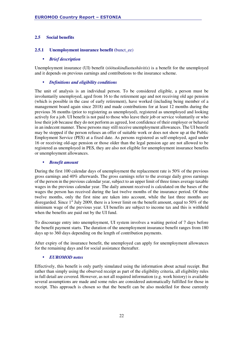#### **2.5 Social benefits**

#### **2.5.1 Unemployment insurance benefit (**bunct\_ee)

#### • *Brief description*

Unemployment insurance (UI) benefit (*töötuskindlustushüvitis*) is a benefit for the unemployed and it depends on previous earnings and contributions to the insurance scheme.

#### • *Definitions and eligibility conditions*

The unit of analysis is an individual person. To be considered eligible, a person must be involuntarily unemployed, aged from 16 to the retirement age and not receiving old age pension (which is possible in the case of early retirement), have worked (including being member of a management board again since 2018) and made contributions for at least 12 months during the previous 36 months (prior to registering as unemployed), registered as unemployed and looking actively for a job. UI benefit is not paid to those who leave their job or service voluntarily or who lose their job because they do not perform as agreed, lost confidence of their employer or behaved in an indecent manner. These persons may still receive unemployment allowances. The UI benefit may be stopped if the person refuses an offer of suitable work or does not show up at the Public Employment Service (PES) at a fixed date. As persons registered as self-employed, aged under 16 or receiving old-age pension or those older than the legal pension age are not allowed to be registered as unemployed in PES, they are also not eligible for unemployment insurance benefits or unemployment allowances.

#### • *Benefit amount*

During the first 100 calendar days of unemployment the replacement rate is 50% of the previous gross earnings and 40% afterwards. The gross earnings refer to the average daily gross earnings of the person in the previous calendar year, subject to an upper limit of three times average taxable wages in the previous calendar year. The daily amount received is calculated on the bases of the wages the person has received during the last twelve months of the insurance period. Of those twelve months, only the first nine are taken into account, while the last three months are disregarded. Since 1<sup>st</sup> July 2009, there is a lower limit on the benefit amount, equal to 50% of the minimum wage of the previous year. UI benefits are subject to income tax and this is withheld when the benefits are paid out by the UI fund.

To discourage entry into unemployment, UI system involves a waiting period of 7 days before the benefit payment starts. The duration of the unemployment insurance benefit ranges from 180 days up to 360 days depending on the length of contribution payments.

After expiry of the insurance benefit, the unemployed can apply for unemployment allowances for the remaining days and for social assistance thereafter.

#### • *EUROMOD notes*

Effectively, this benefit is only partly simulated using the information about actual receipt. But rather than simply using the observed receipt as part of the eligibility criteria, all eligibility rules in full detail are covered. However, as not all required information (e.g. work history) is available several assumptions are made and some rules are considered automatically fulfilled for those in receipt. This approach is chosen so that the benefit can be also modelled for those currently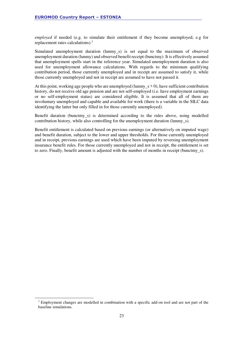*employed* if needed (e.g. to simulate their entitlement if they become unemployed, e.g for replacement rates calculations).<sup>3</sup>

Simulated unemployment duration (lunmy\_s) is set equal to the maximum of observed unemployment duration (lunmy) and observed benefit receipt (bunctmy). It is effectively assumed that unemployment spells start in the reference year. Simulated unemployment duration is also used for unemployment allowance calculations. With regards to the minimum qualifying contribution period, those currently unemployed and in receipt are assumed to satisfy it, while those currently unemployed and not in receipt are assumed to have not passed it.

At this point, working age people who are unemployed (lunmy\_s  $> 0$ ), have sufficient contribution history, do not receive old age pension and are not self-employed (i.e. have employment earnings or no self-employment status) are considered eligible. It is assumed that all of them are involuntary unemployed and capable and available for work (there is a variable in the SILC data identifying the latter but only filled in for those currently unemployed).

Benefit duration (bunctmy\_s) is determined according to the rules above, using modelled contribution history, while also controlling for the unemployment duration (lunmy\_s).

Benefit entitlement is calculated based on previous earnings (or alternatively on imputed wage) and benefit duration, subject to the lower and upper thresholds. For those currently unemployed and in receipt, previous earnings are used which have been imputed by reversing unemployment insurance benefit rules. For those currently unemployed and not in receipt, the entitlement is set to zero. Finally, benefit amount is adjusted with the number of months in receipt (bunctmy\_s).

l

 $3$  Employment changes are modelled in combination with a specific add-on tool and are not part of the baseline simulations.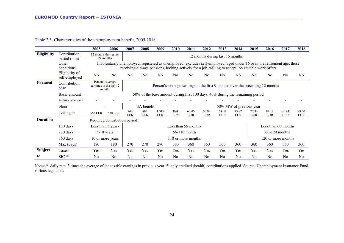|                 |                                 | 2005                                                  | 2006                          | 2007                                                                                                                                                                                                                            | 2008                                                                          | 2009                | 2010              | 2011                    | 2012                | 2013                            | 2014                | 2015                | 2016                | 2017                | 2018                |
|-----------------|---------------------------------|-------------------------------------------------------|-------------------------------|---------------------------------------------------------------------------------------------------------------------------------------------------------------------------------------------------------------------------------|-------------------------------------------------------------------------------|---------------------|-------------------|-------------------------|---------------------|---------------------------------|---------------------|---------------------|---------------------|---------------------|---------------------|
| Eligibility     | Contribution<br>period (min)    | 12 months during last<br>24 months                    |                               |                                                                                                                                                                                                                                 |                                                                               |                     |                   |                         |                     | 12 months during last 36 months |                     |                     |                     |                     |                     |
|                 | Other<br>conditions             |                                                       |                               | Involuntarily unemployed, registered as unemployed (excludes self-employed, aged under 16 or in the retirement age, those<br>receiving old-age pension), looking actively for a job, willing to accept job suitable work offers |                                                                               |                     |                   |                         |                     |                                 |                     |                     |                     |                     |                     |
|                 | Eligibility of<br>self-employed | N <sub>o</sub>                                        | N <sub>0</sub>                | N <sub>o</sub>                                                                                                                                                                                                                  | N <sub>0</sub>                                                                | N <sub>o</sub>      | N <sub>0</sub>    | N <sub>0</sub>          | N <sub>0</sub>      | N <sub>0</sub>                  | No.                 | N <sub>0</sub>      | N <sub>0</sub>      | N <sub>0</sub>      | No                  |
| <b>Payment</b>  | Contribution<br>base            | Person's average<br>earnings in the last 12<br>months |                               |                                                                                                                                                                                                                                 | Person's average earnings in the first 9 months over the preceding 12 months  |                     |                   |                         |                     |                                 |                     |                     |                     |                     |                     |
|                 | Basic amount                    |                                                       |                               |                                                                                                                                                                                                                                 | 50% of the base amount during first 100 days, 40% during the remaining period |                     |                   |                         |                     |                                 |                     |                     |                     |                     |                     |
|                 | Additional amount               |                                                       |                               |                                                                                                                                                                                                                                 |                                                                               |                     |                   |                         |                     |                                 |                     |                     |                     |                     |                     |
|                 | Floor                           |                                                       |                               |                                                                                                                                                                                                                                 | UA benefit                                                                    |                     |                   | 50% MW of previous year |                     |                                 |                     |                     |                     |                     |                     |
|                 | Ceiling $(a)$                   | 562 EEK                                               | <b>630 EEK</b>                | 748<br><b>EEK</b>                                                                                                                                                                                                               | 885<br><b>EEK</b>                                                             | 1,015<br><b>EEK</b> | 894<br><b>EEK</b> | 60.46<br><b>EUR</b>     | 63.99<br><b>EUR</b> | 68.07<br><b>EUR</b>             | 75.87<br><b>EUR</b> | 77.34<br><b>EUR</b> | 84.12<br><b>EUR</b> | 86.94<br><b>EUR</b> | 93.30<br><b>EUR</b> |
| <b>Duration</b> |                                 |                                                       | Required contribution period: |                                                                                                                                                                                                                                 |                                                                               |                     |                   |                         |                     |                                 |                     |                     |                     |                     |                     |
|                 | 180 days                        | Less than 5 years                                     |                               |                                                                                                                                                                                                                                 |                                                                               |                     |                   | Less than 55 months     |                     |                                 |                     |                     | Less than 60 months |                     |                     |
|                 | 270 days                        | $5-10$ years                                          |                               |                                                                                                                                                                                                                                 |                                                                               |                     |                   | 56-110 month            |                     |                                 |                     |                     | $60-120$ months     |                     |                     |
|                 | 360 days                        | 10 or more years                                      |                               |                                                                                                                                                                                                                                 | 110 or more months                                                            |                     |                   |                         |                     |                                 |                     | 120 or more months  |                     |                     |                     |
|                 | Max (days)                      | 180                                                   | 180                           | 270                                                                                                                                                                                                                             | 270                                                                           | 270                 | 360               | 360                     | 360                 | 360                             | 360                 | 360                 | 360                 | 360                 | 360                 |
| <b>Subject</b>  | Taxes                           | Yes                                                   | Yes                           | Yes                                                                                                                                                                                                                             | Yes                                                                           | Yes                 | Yes               | Yes                     | Yes                 | Yes                             | Yes                 | Yes                 | Yes                 | Yes                 | Yes                 |
| to              | $SIC^{(b)}$                     | No                                                    | N <sub>o</sub>                | N <sub>0</sub>                                                                                                                                                                                                                  | No                                                                            | No                  | No                | N <sub>0</sub>          | N <sub>0</sub>      | N <sub>0</sub>                  | N <sub>0</sub>      | N <sub>o</sub>      | No                  | N <sub>o</sub>      | No                  |

Table 2.5. Characteristics of the unemployment benefit, 2005-2018

Notes: <sup>(a)</sup> daily rate, 3 times the average of the taxable earnings in previous year; <sup>(b)</sup> only credited (health) contributions applied. Source: Unemployment Insurance Fund, various legal acts.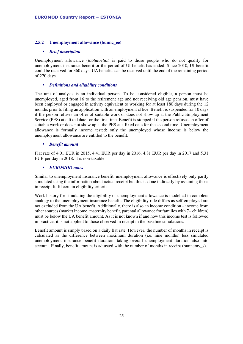#### **2.5.2 Unemployment allowance (bunnc\_ee)**

#### • *Brief description*

Unemployment allowance (*töötutoetus*) is paid to those people who do not qualify for unemployment insurance benefit or the period of UI benefit has ended. Since 2010, UI benefit could be received for 360 days. UA benefits can be received until the end of the remaining period of 270 days.

#### • *Definitions and eligibility conditions*

The unit of analysis is an individual person. To be considered eligible, a person must be unemployed, aged from 16 to the retirement age and not receiving old age pension, must have been employed or engaged in activity equivalent to working for at least 180 days during the 12 months prior to filing an application with an employment office. Benefit is suspended for 10 days if the person refuses an offer of suitable work or does not show up at the Public Employment Service (PES) at a fixed date for the first time. Benefit is stopped if the person refuses an offer of suitable work or does not show up at the PES at a fixed date for the second time. Unemployment allowance is formally income tested: only the unemployed whose income is below the unemployment allowance are entitled to the benefit.

#### • *Benefit amount*

Flat rate of 4.01 EUR in 2015, 4.41 EUR per day in 2016, 4.81 EUR per day in 2017 and 5.31 EUR per day in 2018. It is non-taxable.

#### • *EUROMOD notes*

Similar to unemployment insurance benefit, unemployment allowance is effectively only partly simulated using the information about actual receipt but this is done indirectly by assuming those in receipt fulfil certain eligibility criteria.

Work history for simulating the eligibility of unemployment allowance is modelled in complete analogy to the unemployment insurance benefit. The eligibility rule differs as self-employed are not excluded from the UA benefit. Additionally, there is also an income condition – income from other sources (market income, maternity benefit, parental allowance for families with 7+ children) must be below the UA benefit amount. As it is not known if and how this income test is followed in practice, it is not applied to those observed in receipt in the baseline simulations.

Benefit amount is simply based on a daily flat rate. However, the number of months in receipt is calculated as the difference between maximum duration (i.e. nine months) less simulated unemployment insurance benefit duration, taking overall unemployment duration also into account. Finally, benefit amount is adjusted with the number of months in receipt (bunncmy\_s).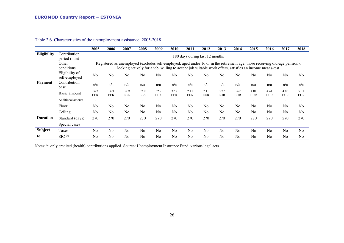|                                                                                                                                                                                                                                                              |                                 | 2005               | 2006               | 2007               | 2008                     | 2009                     | 2010               | 2011                           | 2012                     | 2013               | 2014               | 2015               | 2016               | 2017                     | 2018               |
|--------------------------------------------------------------------------------------------------------------------------------------------------------------------------------------------------------------------------------------------------------------|---------------------------------|--------------------|--------------------|--------------------|--------------------------|--------------------------|--------------------|--------------------------------|--------------------------|--------------------|--------------------|--------------------|--------------------|--------------------------|--------------------|
| Eligibility                                                                                                                                                                                                                                                  | Contribution<br>period (min)    |                    |                    |                    |                          |                          |                    | 180 days during last 12 months |                          |                    |                    |                    |                    |                          |                    |
| Other<br>Registered as unemployed (excludes self-employed, aged under 16 or in the retirement age, those receiving old-age pension),<br>conditions<br>looking actively for a job, willing to accept job suitable work offers, satisfies an income means-test |                                 |                    |                    |                    |                          |                          |                    |                                |                          |                    |                    |                    |                    |                          |                    |
|                                                                                                                                                                                                                                                              | Eligibility of<br>self-employed | N <sub>0</sub>     | N <sub>o</sub>     | N <sub>o</sub>     | No                       | No                       | No                 | N <sub>0</sub>                 | N <sub>0</sub>           | N <sub>0</sub>     | No                 | N <sub>0</sub>     | N <sub>o</sub>     | N <sub>o</sub>           | N <sub>0</sub>     |
| <b>Payment</b>                                                                                                                                                                                                                                               | Contribution<br>base            | n/a                | n/a                | n/a                | n/a                      | n/a                      | n/a                | n/a                            | n/a                      | n/a                | n/a                | n/a                | n/a                | n/a                      | n/a                |
|                                                                                                                                                                                                                                                              | Basic amount                    | 14.3<br><b>EEK</b> | 14.3<br><b>EEK</b> | 32.9<br><b>EEK</b> | 32.9<br><b>EEK</b>       | 32.9<br><b>EEK</b>       | 32.9<br><b>EEK</b> | 2.11<br><b>EUR</b>             | 2.11<br><b>EUR</b>       | 3.27<br><b>EUR</b> | 3.62<br><b>EUR</b> | 4.01<br><b>EUR</b> | 4.41<br><b>EUR</b> | 4.86<br><b>EUR</b>       | 5.31<br><b>EUR</b> |
|                                                                                                                                                                                                                                                              | <b>Additional amount</b>        | $\sim$             |                    |                    | $\overline{\phantom{a}}$ | $\overline{\phantom{a}}$ |                    |                                | $\overline{\phantom{a}}$ |                    |                    | ٠                  |                    | $\overline{\phantom{a}}$ | ٠                  |
|                                                                                                                                                                                                                                                              | Floor                           | N <sub>0</sub>     | No                 | N <sub>0</sub>     | N <sub>0</sub>           | No                       | N <sub>0</sub>     | N <sub>o</sub>                 | N <sub>0</sub>           | N <sub>o</sub>     | N <sub>0</sub>     | N <sub>0</sub>     | N <sub>o</sub>     | N <sub>0</sub>           | N <sub>0</sub>     |
|                                                                                                                                                                                                                                                              | Ceiling                         | N <sub>0</sub>     | No                 | N <sub>0</sub>     | N <sub>o</sub>           | N <sub>0</sub>           | N <sub>0</sub>     | N <sub>o</sub>                 | N <sub>0</sub>           | N <sub>o</sub>     | N <sub>0</sub>     | N <sub>0</sub>     | N <sub>o</sub>     | N <sub>0</sub>           | No                 |
| <b>Duration</b>                                                                                                                                                                                                                                              | Standard (days)                 | 270                | 270                | 270                | 270                      | 270                      | 270                | 270                            | 270                      | 270                | 270                | 270                | 270                | 270                      | 270                |
|                                                                                                                                                                                                                                                              | Special cases                   |                    |                    |                    |                          |                          |                    |                                |                          |                    |                    |                    |                    |                          |                    |
| Subject                                                                                                                                                                                                                                                      | Taxes                           | N <sub>0</sub>     | No                 | N <sub>o</sub>     | N <sub>o</sub>           | No                       | N <sub>0</sub>     | N <sub>o</sub>                 | N <sub>0</sub>           | N <sub>o</sub>     | N <sub>0</sub>     | N <sub>0</sub>     | N <sub>o</sub>     | <b>No</b>                | N <sub>o</sub>     |
| to                                                                                                                                                                                                                                                           | $SIC^{(a)}$                     | N <sub>0</sub>     | N <sub>o</sub>     | N <sub>0</sub>     | N <sub>0</sub>           | No                       | N <sub>0</sub>     | N <sub>0</sub>                 | N <sub>o</sub>           | N <sub>0</sub>     | N <sub>0</sub>     | N <sub>o</sub>     | N <sub>0</sub>     | No                       | N <sub>0</sub>     |

#### Table 2.6. Characteristics of the unemployment assistance, 2005-2018

Notes: (a) only credited (health) contributions applied. Source: Unemployment Insurance Fund, various legal acts.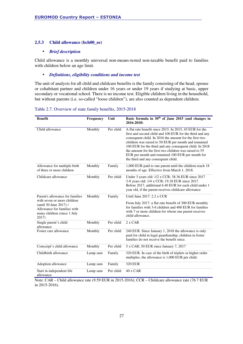#### **2.5.3 Child allowance (bch00\_ee)**

#### • *Brief description*

Child allowance is a monthly universal non-means-tested non-taxable benefit paid to families with children below an age limit.

#### • *Definitions, eligibility conditions and income test*

The unit of analysis for all child and childcare benefits is the family consisting of the head, spouse or cohabitant partner and children under 16 years or under 19 years if studying at basic, upper secondary or vocational school. There is no income test. Eligible children living in the household, but without parents (i.e. so-called "loose children"), are also counted as dependent children.

| Table 2.7. Overview of state family benefits, 2015-2018 |  |
|---------------------------------------------------------|--|
|---------------------------------------------------------|--|

| <b>Benefit</b>                                                                                | <b>Frequency</b> | Unit      | Basic formula in 30 <sup>th</sup> of June 2015 (and changes in<br>2016-2018)                                                                                                                                                                                                                                                                                                                                                                          |
|-----------------------------------------------------------------------------------------------|------------------|-----------|-------------------------------------------------------------------------------------------------------------------------------------------------------------------------------------------------------------------------------------------------------------------------------------------------------------------------------------------------------------------------------------------------------------------------------------------------------|
| Child allowance                                                                               | Monthly          | Per child | A flat rate benefit since 2015. In 2015, 45 EUR for the<br>first and second child and 100 EUR for the third and any<br>consequent child. In 2016 the amount for the first two<br>children was raised to 50 EUR per month and remained<br>100 EUR for the third and any consequent child. In 2018<br>the amount for the first two children was raised to 55<br>EUR per month and remained 100 EUR per month for<br>the third and any consequent child. |
| Allowance for multiple birth<br>of three or more children                                     | Monthly          | Family    | 1,000 EUR paid to one parent until the children reach 18<br>months of age. Effective from March 1, 2018.                                                                                                                                                                                                                                                                                                                                              |
| Childcare allowance                                                                           | Monthly          | Per child | Under 3 years old: 1/2 x CCR; 38.36 EUR since 2017<br>3-8 years old: 1/4 x CCR; 19.18 EUR since 2017.<br>Before 2017, additional 6.40 EUR for each child under 1<br>year old, if the parent receives childcare allowance                                                                                                                                                                                                                              |
| Parent's allowance for families<br>with seven or more children                                | Monthly          | Family    | Until June $2017: 2.2 \times CCR$<br>From July 2017: a flat rate benefit of 300 EUR monthly                                                                                                                                                                                                                                                                                                                                                           |
| (until 30 June 2017) /<br>Allowance for families with<br>many children (since 1 July<br>2017) |                  |           | for families with 3-6 children and 400 EUR for families<br>with 7 or more children for whom one parent receives<br>child allowance.                                                                                                                                                                                                                                                                                                                   |
| Single parent's child<br>allowance                                                            | Monthly          | Per child | 2 x CAR                                                                                                                                                                                                                                                                                                                                                                                                                                               |
| Foster care allowance                                                                         | Monthly          | Per child | 240 EUR. Since January 1, 2018 the allowance is only<br>paid for child in legal guardianship, children in foster<br>families do not receive the benefit since.                                                                                                                                                                                                                                                                                        |
| Conscript's child allowance                                                                   | Monthly          | Per child | 5 x CAR; 50 EUR since January 7, 2017                                                                                                                                                                                                                                                                                                                                                                                                                 |
| Childbirth allowance                                                                          | Lump sum         | Family    | 320 EUR. In case of the birth of triplets or higher order<br>multiples, the allowance is 1,000 EUR per child.                                                                                                                                                                                                                                                                                                                                         |
| Adoption allowance                                                                            | Lump sum         | Family    | <b>320 EUR</b>                                                                                                                                                                                                                                                                                                                                                                                                                                        |
| Start in independent life<br>allowance                                                        | Lump sum         | Per child | 40 x CAR                                                                                                                                                                                                                                                                                                                                                                                                                                              |

Note: CAR – Child allowance rate (9.59 EUR in 2015-2016); CCR – Childcare allowance rate (76.7 EUR in 2015-2016).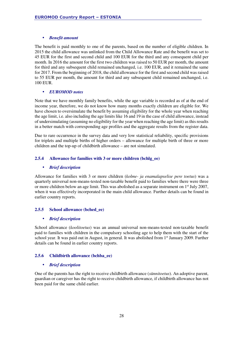#### • *Benefit amount*

The benefit is paid monthly to one of the parents, based on the number of eligible children. In 2015 the child allowance was unlinked from the Child Allowance Rate and the benefit was set to 45 EUR for the first and second child and 100 EUR for the third and any consequent child per month. In 2016 the amount for the first two children was raised to 50 EUR per month, the amount for third and any subsequent child remained unchanged, i.e. 100 EUR, and it remained the same for 2017. From the beginning of 2018, the child allowance for the first and second child was raised to 55 EUR per month, the amount for third and any subsequent child remained unchanged, i.e. 100 EUR.

#### • *EUROMOD notes*

Note that we have monthly family benefits, while the age variable is recorded as of at the end of income year, therefore, we do not know how many months exactly children are eligible for. We have chosen to oversimulate the benefit by assuming eligibility for the whole year when reaching the age limit, i.e. also including the age limits like 16 and 19 in the case of child allowance, instead of undersimulating (assuming no eligibility for the year when reaching the age limit) as this results in a better match with corresponding age profiles and the aggregate results from the register data.

Due to rare occurrence in the survey data and very low statistical reliability, specific provisions for triplets and multiple births of higher orders – allowance for multiple birth of three or more children and the top-up of childbirth allowance – are not simulated.

#### **2.5.4 Allowance for families with 3 or more children (bchlg\_ee)**

#### • *Brief description*

Allowance for families with 3 or more children (*kolme- ja enamalapselise pere toetus*) was a quarterly universal non-means-tested non-taxable benefit paid to families where there were three or more children below an age limit. This was abolished as a separate instrument on  $1<sup>st</sup>$  July 2007, when it was effectively incorporated in the main child allowance. Further details can be found in earlier country reports.

#### **2.5.5 School allowance (bched\_ee)**

#### • *Brief description*

School allowance (*koolitoetus*) was an annual universal non-means-tested non-taxable benefit paid to families with children in the compulsory schooling age to help them with the start of the school year. It was paid out in August, in general. It was abolished from 1<sup>st</sup> January 2009. Further details can be found in earlier country reports.

#### **2.5.6 Childbirth allowance (bchba\_ee)**

#### • *Brief description*

One of the parents has the right to receive childbirth allowance (*sünnitoetus*). An adoptive parent, guardian or caregiver has the right to receive childbirth allowance, if childbirth allowance has not been paid for the same child earlier.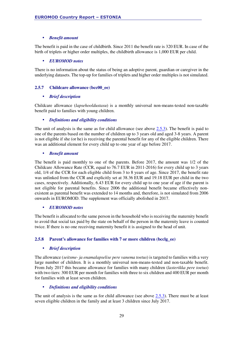#### • *Benefit amount*

The benefit is paid in the case of childbirth. Since 2011 the benefit rate is 320 EUR. In case of the birth of triplets or higher order multiples, the childbirth allowance is 1,000 EUR per child.

#### • *EUROMOD notes*

There is no information about the status of being an adoptive parent, guardian or caregiver in the underlying datasets. The top-up for families of triplets and higher order multiples is not simulated.

#### **2.5.7 Childcare allowance (bcc00\_ee)**

#### • *Brief description*

Childcare allowance (*lapsehooldustasu*) is a monthly universal non-means-tested non-taxable benefit paid to families with young children.

#### • *Definitions and eligibility conditions*

The unit of analysis is the same as for child allowance (see above 2.5.3). The benefit is paid to one of the parents based on the number of children up to 3 years old and aged 3-8 years. A parent is not eligible if she (or he) is receiving the parental benefit for any of the eligible children. There was an additional element for every child up to one year of age before 2017.

#### • *Benefit amount*

The benefit is paid monthly to one of the parents. Before 2017, the amount was 1/2 of the Childcare Allowance Rate (CCR, equal to 76.7 EUR in 2011-2016) for every child up to 3 years old, 1/4 of the CCR for each eligible child from 3 to 8 years of age. Since 2017, the benefit rate was unlinked from the CCR and explicitly set at 38.36 EUR and 19.18 EUR per child in the two cases, respectively. Additionally, 6.43 EUR for every child up to one year of age if the parent is not eligible for parental benefits. Since 2006 the additional benefit became effectively nonexistent as parental benefit was extended to 14 months and, therefore, is not simulated from 2006 onwards in EUROMOD. The supplement was officially abolished in 2017.

#### • *EUROMOD notes*

The benefit is allocated to the same person in the household who is receiving the maternity benefit to avoid that social tax paid by the state on behalf of the person in the maternity leave is counted twice. If there is no one receiving maternity benefit it is assigned to the head of unit.

#### **2.5.8 Parent's allowance for families with 7 or more children (bcclg\_ee)**

#### • *Brief description*

The allowance (*seitsme- ja enamalapselise pere vanema toetus*) is targeted to families with a very large number of children. It is a monthly universal non-means-tested and non-taxable benefit. From July 2017 this became allowance for families with many children (*lasterikka pere toetus*) with two tiers: 300 EUR per month for families with three to six children and 400 EUR per month for families with at least seven children.

#### • *Definitions and eligibility conditions*

The unit of analysis is the same as for child allowance (see above 2.5.3). There must be at least seven eligible children in the family and at least 3 children since July 2017.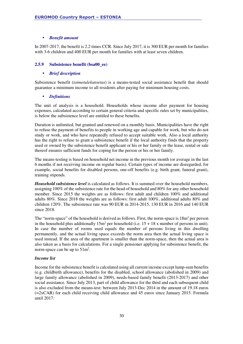#### • *Benefit amount*

In 2007-2017, the benefit is 2.2 times CCR. Since July 2017, it is 300 EUR per month for families with 3-6 children and 400 EUR per month for families with at least seven children.

#### **2.5.9 Subsistence benefit (bsa00\_ee)**

#### • *Brief description*

Subsistence benefit (*toimetulekutoetus*) is a means-tested social assistance benefit that should guarantee a minimum income to all residents after paying for minimum housing costs.

#### • *Definitions*

The unit of analysis is a household. Households whose income after payment for housing expenses, calculated according to certain general criteria and specific rules set by municipalities, is below the subsistence level are entitled to these benefits.

Duration is unlimited, but granted and renewed on a monthly basis. Municipalities have the right to refuse the payment of benefits to people in working age and capable for work, but who do not study or work, and who have repeatedly refused to accept suitable work. Also a local authority has the right to refuse to grant a subsistence benefit if the local authority finds that the property used or owned by the subsistence benefit applicant or his or her family or the lease, rental or sale thereof ensures sufficient funds for coping for the person or his or her family.

The means-testing is based on household net income in the previous month (or average in the last 6 months if not receiving income on regular basis). Certain types of income are disregarded, for example, social benefits for disabled persons, one-off benefits (e.g. birth grant, funeral grant), training stipends.

*Household subsistence level* is calculated as follows. It is summed over the household members, assigning 100% of the subsistence rate for the head of household and 80% for any other household member. Since 2015 the weights are as follows: first adult and children 100% and additional adults 80%. Since 2018 the weights are as follows: first adult 100%, additional adults 80% and children 120%. The subsistence rate was 90 EUR in 2014-2015, 130 EUR in 2016 and 140 EUR since 2018.

The "norm-space" of the household is derived as follows. First, the norm-space is  $18m^2$  per person in the household plus additionally  $15m^2$  per household (i.e.  $15 + 18$  x number of persons in unit). In case the number of rooms used equals the number of persons living in this dwelling permanently, and the actual living space exceeds the norm area then the actual living space is used instead. If the area of the apartment is smaller than the norm-space, then the actual area is also taken as a basis for calculations. For a single pensioner applying for subsistence benefit, the norm-space can be up to  $51m^2$ .

#### *Income list*

Income for the subsistence benefit is calculated using all current income except lump-sum benefits (e.g. childbirth allowance), benefits for the disabled, school allowance (abolished in 2009) and large family allowance (abolished in 2009), needs-based family benefit (2013-2017) and other social assistance. Since July 2013, part of child allowance for the third and each subsequent child is also excluded from the means-test: between July 2013-Dec 2014 in the amount of 19.18 euros  $(=2xCAR)$  for each child receiving child allowance and 45 euros since January 2015. Formula until 2017: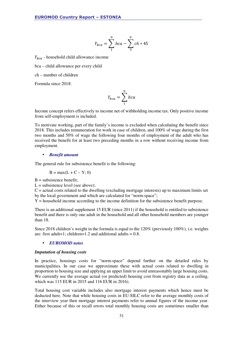$$
Y_{bca} = \sum_{1}^{n} bca - \sum_{3}^{n} ch * 45
$$

 $Y_{bca}$  - household child allowance income

bca – child allowance per every child

ch – number of children

Formula since 2018:

$$
Y_{bca} = \sum_{1}^{n} bca
$$

Income concept refers effectively to income net of withholding income tax. Only positive income from self-employment is included.

To motivate working, part of the family's income is excluded when calculating the benefit since 2018. This includes remuneration for work in case of children, and 100% of wage during the first two months and 50% of wage the following four months of employment of the adult who has received the benefit for at least two preceding months in a row without receiving income from employment.

#### • *Benefit amount*

The general rule for subsistence benefit is the following:

$$
B = \max(L + C - Y; 0)
$$

 $B =$  subsistence benefit:

 $L =$  subsistence level (see above);

 $C =$  actual costs related to the dwelling (excluding mortgage interests) up to maximum limits set by the local government and which are calculated for "norm-space";

 $Y =$  household income according to the income definition for the subsistence benefit purpose.

There is an additional supplement 15 EUR (since 2011) if the household is entitled to subsistence benefit and there is only one adult in the household and all other household members are younger than 18.

Since 2018 children's weight in the formula is equal to the 120% (previously 100%), i.e. weights are: first adult=1; children=1.2 and additional adults =  $0.8$ .

#### • *EUROMOD notes*

#### *Imputation of housing costs*

In practice, housings costs for "norm-space" depend further on the detailed rules by municipalities. In our case we approximate these with actual costs related to dwelling in proportion to housing size and applying an upper limit to avoid unreasonably large housing costs. We currently use the average actual (or predicted) housing cost from registry data as a ceiling, which was 115 EUR in 2015 and 116 EUR in 2016).

Total housing cost variable includes also mortgage interest payments which hence must be deducted here. Note that while housing costs in EU-SILC refer to the average monthly costs of the interview year then mortgage interest payments refer to annual figures of the income year. Either because of this or recall errors total monthly housing costs are sometimes smaller than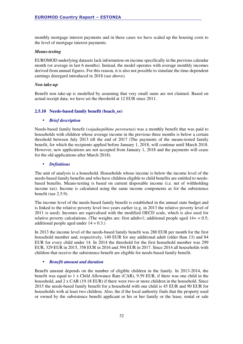monthly mortgage interest payments and in these cases we have scaled up the housing costs to the level of mortgage interest payments.

#### *Means-testing*

EUROMOD underlying datasets lack information on income specifically in the previous calendar month (or average in last 6 months). Instead, the model operates with average monthly incomes derived from annual figures. For this reason, it is also not possible to simulate the time-dependent earnings disregard introduced in 2018 (see above).

#### *Non take-up*

Benefit non take-up is modelled by assuming that very small sums are not claimed. Based on actual receipt data, we have set the threshold at 12 EUR since 2011.

#### **2.5.10 Needs-based family benefit (bsach\_ee)**

#### • *Brief description*

Needs-based family benefit (*vajaduspõhine peretoetus*) was a monthly benefit that was paid to households with children whose average income in the previous three months is below a certain threshold between July 2013 till the end of 2017 (The payments of the means-tested family benefit, for which the recipients applied before January 1, 2018, will continue until March 2018. However, new applications are not accepted from January 1, 2018 and the payments will cease for the old applications after March 2018).

#### • *Definitions*

The unit of analysis is a household. Households whose income is below the income level of the needs-based family benefits and who have children eligible to child benefits are entitled to needsbased benefits. Means-testing is based on current disposable income (i.e. net of withholding income tax). Income is calculated using the same income components as for the subsistence benefit (see 2.5.9).

The income level of the needs-based family benefit is established in the annual state budget and is linked to the relative poverty level two years earlier (e.g. in 2013 the relative poverty level of 2011 is used). Incomes are equivalised with the modified OECD scale, which is also used for relative poverty calculations. (The weights are: first adult=1; additional people aged  $14+ = 0.5$ ; additional people aged under  $14 = 0.3$ .

In 2013 the income level of the needs-based family benefit was 280 EUR per month for the first household member and, respectively, 140 EUR for any additional adult (older than 13) and 84 EUR for every child under 14. In 2014 the threshold for the first household member was 299 EUR, 329 EUR in 2015, 358 EUR in 2016 and 394 EUR in 2017. Since 2014 all households with children that receive the subsistence benefit are eligible for needs-based family benefit.

#### • *Benefit amount and duration*

Benefit amount depends on the number of eligible children in the family. In 2013-2014, the benefit was equal to 1 x Child Allowance Rate (CAR), 9.59 EUR, if there was one child in the household, and 2 x CAR (19.18 EUR) if there were two or more children in the household. Since 2015 the needs-based family benefit for a household with one child is 45 EUR and 90 EUR for households with at least two children. Also, the if the local authority finds that the property used or owned by the subsistence benefit applicant or his or her family or the lease, rental or sale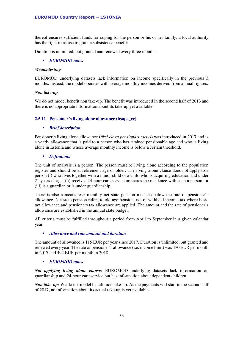thereof ensures sufficient funds for coping for the person or his or her family, a local authority has the right to refuse to grant a subsistence benefit:

Duration is unlimited, but granted and renewed every three months.

#### • *EUROMOD notes*

#### *Means-testing*

EUROMOD underlying datasets lack information on income specifically in the previous 3 months. Instead, the model operates with average monthly incomes derived from annual figures.

#### *Non take-up*

We do not model benefit non take-up. The benefit was introduced in the second half of 2013 and there is no appropriate information about its take-up yet available.

#### **2.5.11 Pensioner's living alone allowance (bsape\_ee)**

#### • *Brief description*

Pensioner's living alone allowance (*üksi elava pensionäri toetus*) was introduced in 2017 and is a yearly allowance that is paid to a person who has attained pensionable age and who is living alone in Estonia and whose average monthly income is below a certain threshold.

#### • *Definitions*

The unit of analysis is a person. The person must be living alone according to the population register and should be at retirement age or older. The living alone clause does not apply to a person (i) who lives together with a minor child or a child who is acquiring education and under 21 years of age, (ii) receives 24-hour care service or shares the residence with such a person, or (iii) is a guardian or is under guardianship.

There is also a means-test: monthly net state pension must be below the rate of pensioner's allowance. Net state pension refers to old-age pension, net of withheld income tax where basic tax allowance and pensioners tax allowance are applied. The amount and the rate of pensioner's allowance are established in the annual state budget.

All criteria must be fulfilled throughout a period from April to September in a given calendar year.

#### • *Allowance and rate amount and duration*

The amount of allowance is 115 EUR per year since 2017. Duration is unlimited, but granted and renewed every year. The rate of pensioner's allowance (i.e. income limit) was 470 EUR per month in 2017 and 492 EUR per month in 2018.

#### • *EUROMOD notes*

*Not applying living alone clause:* EUROMOD underlying datasets lack information on guardianship and 24-hour care service but has information about dependent children.

*Non take-up:* We do not model benefit non take-up. As the payments will start in the second half of 2017, no information about its actual take-up is yet available.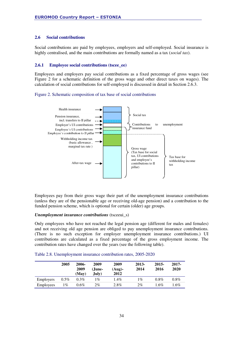#### **2.6 Social contributions**

Social contributions are paid by employees, employers and self-employed. Social insurance is highly centralised, and the main contributions are formally named as a tax (*social tax*).

#### **2.6.1 Employee social contributions (tscee\_ee)**

Employees and employers pay social contributions as a fixed percentage of gross wages (see Figure 2 for a schematic definition of the gross wage and other direct taxes on wages). The calculation of social contributions for self-employed is discussed in detail in Section 2.6.3.

#### Figure 2. Schematic composition of tax base of social contributions



Employees pay from their gross wage their part of the unemployment insurance contributions (unless they are of the pensionable age or receiving old-age pension) and a contribution to the funded pension scheme, which is optional for certain (older) age groups.

#### *Unemployment insurance contributions* (tsceeui\_s)

Only employees who have not reached the legal pension age (different for males and females) and not receiving old age pension are obliged to pay unemployment insurance contributions. (There is no such exception for employer unemployment insurance contributions.) UI contributions are calculated as a fixed percentage of the gross employment income. The contribution rates have changed over the years (see the following table).

|                  | 2005    | 2006-<br>2009<br>(May) | 2009<br>(June-<br>Julv) | 2009<br>$(Auq)$ -<br>2012 | 2013-<br>2014 | 2015-<br>2016 | 2017-<br>2020 |
|------------------|---------|------------------------|-------------------------|---------------------------|---------------|---------------|---------------|
| <b>Employers</b> | $0.5\%$ | $0.3\%$                | $\sqrt{6}$              | $1.4\%$                   | 1%            | $0.8\%$       | $0.8\%$       |
| Employees        | 1%      | $0.6\%$                | $2\%$                   | 2.8%                      | 2%            | $1.6\%$       | 1.6%          |

|  |  | Table 2.8. Unemployment insurance contribution rates, 2005-2020 |
|--|--|-----------------------------------------------------------------|
|  |  |                                                                 |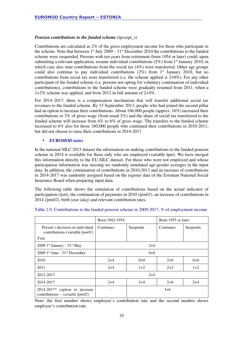#### *Pension contributions to the funded scheme* (tpceepi\_s)

Contributions are calculated as 2% of the gross employment income for those who participate in the scheme. Note that between  $1<sup>st</sup>$  July 2009 – 31<sup>st</sup> December 2010 the contributions to the funded scheme were suspended. Persons with ten years from retirement (born 1954 or later) could, upon submitting a relevant application, resume individual contributions  $(2\%)$  from  $1<sup>st</sup>$  January 2010, in which case also state contributions from the social tax (4%) were transferred. Other age groups could also continue to pay individual contributions  $(2\%)$  from 1<sup>st</sup> January 2010, but no contributions from social tax were transferred (i.e. the scheme applied is 2+0%). For any other participant of the funded scheme (i.e. persons not opting for voluntary continuation of individual contributions), contributions to the funded scheme were gradually resumed from 2011, when a 1+2% scheme was applied, and from 2012 in full amount of 2+4%.

For 2014–2017, there is a compensation mechanism that will transfer additional social tax revenues to the funded scheme. By 15 September 2013, people who had joined the second pillar had an option to increase their contributions. About 106,000 people (approx. 16%) increased their contributions to 3% of gross wage (from usual 2%) and the share of social tax transferred to the funded scheme will increase from 4% to 6% of gross wage. The transfers to the funded scheme increased to 6% also for those 180,000 people who continued their contributions in 2010-2011, but did not choose to raise their contributions in 2014-2017.

#### • *EUROMOD notes*

In the national SILC 2015 dataset the information on making contributions to the funded pension scheme in 2014 is available for those only who are employed (variable lpm). We have merged this information directly to the EU-SILC dataset. For those who were not employed and whose participation information was missing we randomly simulated age-gender averages in the input data. In addition, the continuation of contributions in 2010-2011 and an increase of contributions in 2014-2017 was randomly assigned based on the register data of the Estonian National Social Insurance Board when preparing input data.

The following table shows the simulation of contributions based on the actual indicator of participation (*lpm*), the continuation of payments in 2010 (*lpm01*), an increase of contributions in 2014 (*lpm02*), birth year (*dag*) and relevant contribution rates.

|                                                                             | Born 1942-1954        |       | Born 1955 or later |          |  |
|-----------------------------------------------------------------------------|-----------------------|-------|--------------------|----------|--|
| Person's decision on individual<br>contributions (variable $lpm01$ )        | Continues<br>Suspends |       | Continues          | Suspends |  |
| Year                                                                        |                       |       |                    |          |  |
| 2009 1st January - $31st$ May                                               | $2+4$                 |       |                    |          |  |
| $2009$ 1 <sup>st</sup> June - $31st$ December                               | $0+0$                 |       |                    |          |  |
| 2010                                                                        | $2+4$                 | $0+0$ | $2+0$              | $0+0$    |  |
| 2011                                                                        | $2+4$                 | $1+2$ | $2+2$              | $1+2$    |  |
| 2012-2013                                                                   | $2+4$                 |       |                    |          |  |
| 2014-2017                                                                   | $2+4$                 | $2+4$ | $2+6$              | $2+4$    |  |
| $2014-2017*$ (option to increase<br>contributions – <i>variable lpm02</i> ) |                       | $3+6$ |                    |          |  |

Note: the first number shows employee's contribution rate and the second number shows employer's contribution rate.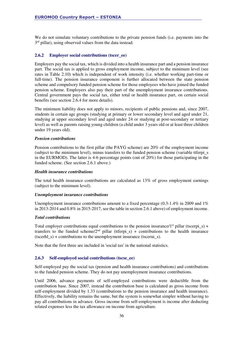We do not simulate voluntary contributions to the private pension funds (i.e. payments into the 3<sup>rd</sup> pillar), using observed values from the data instead.

#### **2.6.2 Employer social contributions (tscer\_ee)**

Employers pay the social tax, which is divided into a health insurance part and a pension insurance part. The social tax is applied to gross employment income, subject to the minimum level (see rates in Table 2.10) which is independent of work intensity (i.e. whether working part-time or full-time). The pension insurance component is further allocated between the state pension scheme and compulsory funded pension scheme for those employees who have joined the funded pension scheme. Employers also pay their part of the unemployment insurance contributions. Central government pays the social tax, either total or health insurance part, on certain social benefits (see section 2.6.4 for more details).

The minimum liability does not apply to minors, recipients of public pensions and, since 2007, students in certain age groups (studying at primary or lower secondary level and aged under 21, studying at upper secondary level and aged under 24 or studying at post-secondary or tertiary level) as well as parents raising young children (a child under 3 years old or at least three children under 19 years old).

#### *Pension contributions*

Pension contributions to the first pillar (the PAYG scheme) are 20% of the employment income (subject to the minimum level), minus transfers to the funded pension scheme (variable ttferpi\_s in the EURMOD). The latter is 4-6 percentage points (out of 20%) for those participating in the funded scheme. (See section 2.6.1 above.)

#### *Health insurance contributions*

The total health insurance contributions are calculated as 13% of gross employment earnings (subject to the minimum level).

#### *Unemployment insurance contributions*

Unemployment insurance contributions amount to a fixed percentage (0.3-1.4% in 2009 and 1%) in 2013-2014 and 0.8% in 2015-2017, see the table in section 2.6.1 above) of employment income.

#### *Total contributions*

Total employer contributions equal contributions to the pension insurance/1<sup>st</sup> pillar (tscerpi s) + transfers to the funded scheme/2<sup>nd</sup> pillar (ttferpi s) + contributions to the health insurance (tscerhl  $s$ ) + contributions to the unemployment insurance (tscerui  $s$ ).

Note that the first three are included in 'social tax' in the national statistics.

#### **2.6.3 Self-employed social contributions (tscse\_ee)**

Self-employed pay the social tax (pension and health insurance contributions) and contributions to the funded pension scheme. They do not pay unemployment insurance contributions.

Until 2006, advance payments of self-employed contributions were deductible from the contribution base. Since 2007, instead the contribution base is calculated as gross income from self-employment divided by 1.33 (contributions to the pension insurance and health insurance). Effectively, the liability remains the same, but the system is somewhat simpler without having to pay all contributions in advance. Gross income from self-employment is income after deducting related expenses less the tax allowance on income from agriculture.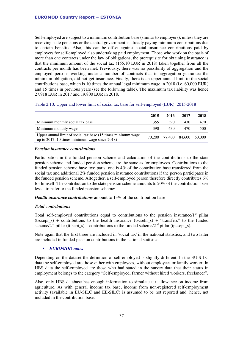Self-employed are subject to a minimum contribution base (similar to employers), unless they are receiving state pensions or the central government is already paying minimum contributions due to certain benefits. Also, this can be offset against social insurance contributions paid by employers for self-employed also undertaking paid employment. Those who work on the basis of more than one contracts under the law of obligations, the prerequisite for obtaining insurance is that the minimum amount of the social tax (155.10 EUR in 2018) taken together from all the contracts per month has been met. Previously, there was no possibility of aggregation and the employed persons working under a number of contracts that in aggregation guarantee the minimum obligation, did not get insurance. Finally, there is an upper annual limit to the social contributions base, which is 10 times the annual legal minimum wage in 2018 (i.e. 60,000 EUR) and 15 times in previous years (see the following table). The maximum tax liability was hence 27,918 EUR in 2017 and 19,800 EUR in 2018.

|  |  |  |  |  |  | Table 2.10. Upper and lower limit of social tax base for self-employed (EUR), 2015-2018 |
|--|--|--|--|--|--|-----------------------------------------------------------------------------------------|
|--|--|--|--|--|--|-----------------------------------------------------------------------------------------|

|                                                                                                               | 2015 | 2016                 | 2017 | 2018   |
|---------------------------------------------------------------------------------------------------------------|------|----------------------|------|--------|
| Minimum monthly social tax base                                                                               | 355  | 390                  | 430  | 470    |
| Minimum monthly wage                                                                                          | 390. | 430                  | 470  | 500    |
| Upper annual limit of social tax base (15 times minimum wage<br>up to 2017; 10 times minimum wage since 2018) |      | 70.200 77.400 84.600 |      | 60,000 |

#### *Pension insurance contributions*

Participation in the funded pension scheme and calculation of the contributions to the state pension scheme and funded pension scheme are the same as for employees. Contributions to the funded pension scheme have two parts: one is 4% of the contribution base transferred from the social tax and additional 2% funded pension insurance contributions if the person participates in the funded pension scheme. Altogether, a self-employed person therefore directly contributes 6% for himself. The contribution to the state pension scheme amounts to 20% of the contribution base less a transfer to the funded pension scheme:

*Health insurance contributions* amount to 13% of the contribution base

#### *Total contributions*

Total self-employed contributions equal to contributions to the pension insurance/ $1<sup>st</sup>$  pillar (tscsepi<sub>s</sub>) + contributions to the health insurance (tscsehl<sub>s</sub>) + "transfers" to the funded scheme/ $2<sup>nd</sup>$  pillar (ttfsepi\_s) + contributions to the funded scheme/ $2<sup>nd</sup>$  pillar (tpcsepi\_s).

Note again that the first three are included in 'social tax' in the national statistics, and two latter are included in funded pension contributions in the national statistics.

#### • *EUROMOD notes*

Depending on the dataset the definition of self-employed is slightly different. In the EU-SILC data the self-employed are those either with employees, without employees or family worker. In HBS data the self-employed are those who had stated in the survey data that their status in employment belongs to the category "Self-employed, farmer without hired workers, freelancer".

Also, only HBS database has enough information to simulate tax allowance on income from agriculture. As with general income tax base, income from non-registered self-employment activity (available in EU-SILC and EE-SILC) is assumed to be not reported and, hence, not included in the contribution base.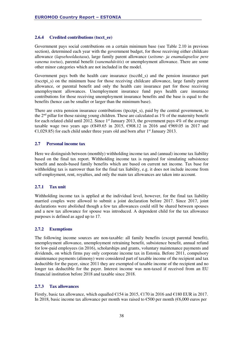#### **2.6.4 Credited contributions (tscct\_ee)**

Government pays social contributions on a certain minimum base (see Table 2.10 in previous section), determined each year with the government budget, for those receiving either childcare allowance (*lapsehooldustasu*), large family parent allowance (*seitsme- ja enamalapselise pere vanema toetus*), parental benefit (*vanemahüvitis*) or unemployment allowance. There are some other minor categories which are not included in the model.

Government pays both the health care insurance (tsccthl\_s) and the pension insurance part (tscctpi\_s) on the minimum base for those receiving childcare allowance, large family parent allowance, or parental benefit and only the health care insurance part for those receiving unemployment allowances. Unemployment insurance fund pays health care insurance contributions for those receiving unemployment insurance benefits and the base is equal to the benefits (hence can be smaller or larger than the minimum base).

There are extra pension insurance contributions (tpcctpi\_s), paid by the central government, to the  $2<sup>nd</sup>$  pillar for those raising young children. These are calculated as 1% of the maternity benefit for each related child until 2012. Since  $1<sup>st</sup>$  January 2013, the government pays 4% of the average taxable wage two years ago (€849.65 in 2015, €908.12 in 2016 and €969.05 in 2017 and  $\epsilon$ 1,029.85) for each child under three years old and born after 1<sup>st</sup> January 2013.

#### **2.7 Personal income tax**

Here we distinguish between (monthly) withholding income tax and (annual) income tax liability based on the final tax report. Withholding income tax is required for simulating subsistence benefit and needs-based family benefits which are based on current net income. Tax base for withholding tax is narrower than for the final tax liability, e.g. it does not include income from self-employment, rent, royalties, and only the main tax allowances are taken into account.

#### **2.7.1 Tax unit**

Withholding income tax is applied at the individual level, however, for the final tax liability married couples were allowed to submit a joint declaration before 2017. Since 2017, joint declarations were abolished though a few tax allowances could still be shared between spouses and a new tax allowance for spouse was introduced. A dependent child for the tax allowance purposes is defined as aged up to 17.

#### **2.7.2 Exemptions**

The following income sources are non-taxable: all family benefits (except parental benefit), unemployment allowance, unemployment retraining benefit, subsistence benefit, annual refund for low-paid employees (in 2016), scholarships and grants, voluntary maintenance payments and dividends, on which firms pay only corporate income tax in Estonia. Before 2011, compulsory maintenance payments (alimony) were considered part of taxable income of the recipient and tax deductible for the payer, since 2011 they are exempted of taxable income of the recipient and no longer tax deductible for the payer. Interest income was non-taxed if received from an EU financial institution before 2018 and taxable since 2018.

#### **2.7.3 Tax allowances**

Firstly, basic tax allowance, which equalled  $\epsilon$ 154 in 2015,  $\epsilon$ 170 in 2016 and  $\epsilon$ 180 EUR in 2017. In 2018, basic income tax allowance per month was raised to  $\epsilon$ 500 per month ( $\epsilon$ 6,000 euros per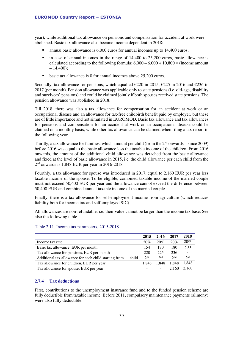year), while additional tax allowance on pensions and compensation for accident at work were abolished. Basic tax allowance also became income dependent in 2018:

- annual basic allowance is 6,000 euros for annual incomes up to 14,400 euros;
- $\blacksquare$  in case of annual incomes in the range of 14,400 to 25,200 euros, basic allowance is calculated according to the following formula:  $6,000 - 6,000 \div 10,800 \times$  (income amount  $-14,400$ ;
- **basic tax allowance is 0 for annual incomes above 25,200 euros.**

Secondly, tax allowance for pensions, which equalled  $\epsilon$ 220 in 2015,  $\epsilon$ 225 in 2016 and  $\epsilon$ 236 in 2017 (per month). Pension allowance was applicable only to state pensions (i.e. old-age, disability and survivors' pensions) and could be claimed jointly if both spouses received state pensions. The pension allowance was abolished in 2018.

Till 2018, there was also a tax allowance for compensation for an accident at work or an occupational disease and an allowance for tax-free childbirth benefit paid by employer, but these are of little importance and not simulated in EUROMOD. Basic tax allowance and tax allowances for pensions and compensation for an accident at work or an occupational disease could be claimed on a monthly basis, while other tax allowance can be claimed when filing a tax report in the following year.

Thirdly, a tax allowance for families, which amount per child (from the  $2<sup>nd</sup>$  onwards – since 2009) before 2016 was equal to the basic allowance less the taxable income of the children. From 2016 onwards, the amount of the additional child allowance was detached from the basic allowance and fixed at the level of basic allowance in 2015, i.e. the child allowance per each child from the 2 nd onwards is 1,848 EUR per year in 2016-2018.

Fourthly, a tax allowance for spouse was introduced in 2017, equal to 2,160 EUR per year less taxable income of the spouse. To be eligible, combined taxable income of the married couple must not exceed 50,400 EUR per year and the allowance cannot exceed the difference between 50,400 EUR and combined annual taxable income of the married couple.

Finally, there is a tax allowance for self-employment income from agriculture (which reduces liability both for income tax and self-employed SIC).

All allowances are non-refundable, i.e. their value cannot be larger than the income tax base. See also the following table.

|                                                              | 2015  | 2016  | 2017            | 2018                     |
|--------------------------------------------------------------|-------|-------|-----------------|--------------------------|
| Income tax rate                                              | 20%   | 20%   | 20%             | 20%                      |
| Basic tax allowance, EUR per month                           | 154   | 170   | 180             | 500                      |
| Tax allowance for pensions, EUR per month                    | 220   | 225   | 236             | $\overline{\phantom{a}}$ |
| Additional tax allowance for each child starting from  child | 2nd   | 2nd   | 2 <sub>nd</sub> | 2 <sub>nd</sub>          |
| Tax allowance for children, EUR per year                     | 1.848 | 1.848 | 1.848           | 1,848                    |
| Tax allowance for spouse, EUR per year                       |       |       | 2.160           | 2,160                    |

#### Table 2.11. Income tax parameters, 2015-2018

#### **2.7.4 Tax deductions**

First, contributions to the unemployment insurance fund and to the funded pension scheme are fully deductible from taxable income. Before 2011, compulsory maintenance payments (alimony) were also fully deductible.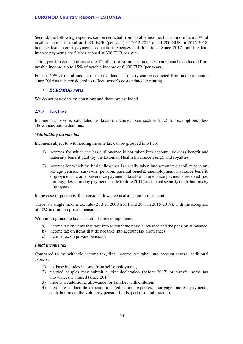Second, the following expenses can be deducted from taxable income, but no more than 50% of taxable income in total or 1,920 EUR (per year) in 2012-2015 and 1,200 EUR in 2016-2018: housing loan interest payments, education expenses and donations. Since 2017, housing loan interest payments are further capped at 300 EUR per year.

Third, pension contributions to the  $3<sup>rd</sup>$  pillar (i.e. voluntary funded scheme) can be deducted from taxable income, up to 15% of taxable income or 6,000 EUR (per year).

Fourth, 20% of rental income of one residential property can be deducted from taxable income since 2016 as it is considered to reflect owner's costs related to renting.

#### • *EUROMOD notes*

We do not have data on donations and these are excluded.

#### **2.7.5 Tax base**

Income tax base is calculated as taxable incomes (see section 2.7.2 for exemptions) less allowances and deductions.

#### *Withholding income tax*

Incomes subject to withholding income tax can be grouped into two:

- 1) incomes for which the basic allowance is not taken into account: sickness benefit and maternity benefit paid (by the Estonian Health Insurance Fund), and royalties.
- 2) incomes for which the basic allowance is usually taken into account: disability pension, old-age pension, survivors' pension, parental benefit, unemployment insurance benefit, employment income, severance payments, taxable maintenance payments received (i.e. alimony), less alimony payments made (before 2011) and social security contributions by employees.

In the case of pensions, the pension allowance is also taken into account.

There is a single income tax rate  $(21\%$  in 2008-2014 and 20% in 2015-2018), with the exception of 10% tax rate on private pensions.

Withholding income tax is a sum of three components:

- a) income tax on items that take into account the basic allowance and the pension allowance,
- b) income tax on items that do not take into account tax allowances,
- c) income tax on private pensions.

#### *Final income tax*

Compared to the withhold income tax, final income tax takes into account several additional aspects:

- 1) tax base includes income from self-employment,
- 2) married couples may submit a joint declaration (before 2017) or transfer some tax allowances if unused (since 2017),
- 3) there is an additional allowance for families with children,
- 4) there are deductible expenditures (education expenses, mortgage interest payments, contributions to the voluntary pension funds, part of rental income).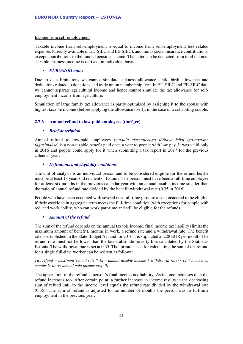#### Income from self-employment

Taxable income from self-employment is equal to income from self-employment less related expenses (directly available in EU-SILC and EE-SILC), and minus social insurance contributions, except contributions to the funded pension scheme. The latter can be deducted from total income. Taxable business income is derived on individual basis.

#### • *EUROMOD notes*

Due to data limitations we cannot simulate sickness allowance, child birth allowance and deductions related to donations and trade union membership fees. In EU-SILC and EE-SILC data we cannot separate agricultural income and hence cannot simulate the tax allowance for selfemployment income from agriculture.

Simulation of large family tax allowance is partly optimised by assigning it to the spouse with highest taxable income (before applying the allowance itself), in the case of a cohabiting couple.

#### **2.7.6 Annual refund to low-paid employees (tinrf\_ee)**

#### • *Brief description*

Annual refund to low-paid employees (*madala sissetulekuga töötava isiku iga-aastane tagasimakse*) is a non-taxable benefit paid once a year to people with low pay. It was valid only in 2016 and people could apply for it when submitting a tax report in 2017 for the previous calendar year.

#### • *Definitions and eligibility conditions*

The unit of analysis is an individual person and to be considered eligible for the refund he/she must be at least 18 years old resident of Estonia. The person must have been a full-time employee for at least six months in the previous calendar year with an annual taxable income smaller than the ratio of annual refund rate divided by the benefit withdrawal rate (0.35 in 2016).

People who have been occupied with several non-full-time jobs are also considered to be eligible if their workload in aggregate term meets the full-time condition (with exceptions for people with reduced work ability, who can work part-time and still be eligible for the refund).

#### • *Amount of the refund*

The sum of the refund depends on the annual taxable income, final income tax liability (limits the maximum amount of benefit), months in work, a refund rate and a withdrawal rate. The benefit rate is established in the State Budget Act and for 2016 it is stipulated at 228 EUR per month. The refund rate must not be lower than the latest absolute poverty line calculated by the Statistics Estonia. The withdrawal rate is set at 0.35. The formula used for calculating the sum of tax refund for a single full-time worker can be written as follows:

*Tax refund = max{min[*(*refund rate \* 12 – annual taxable income* \* *withdrawal rate) / 12 \* number of months in work; annual paid income tax]; 0}* 

The upper limit of the refund is person's final income tax liability. As income increases then the refund increases too. After certain point, a further increase in income results in the decreasing sum of refund until to the income level equals the refund rate divided by the withdrawal rate (0.35). The sum of refund is adjusted to the number of months the person was in full-time employment in the previous year.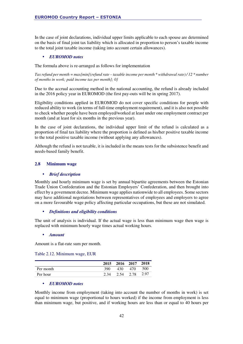In the case of joint declarations, individual upper limits applicable to each spouse are determined on the basis of final joint tax liability which is allocated in proportion to person's taxable income to the total joint taxable income (taking into account certain allowances).

#### • *EUROMOD notes*

The formula above is re-arranged as follows for implementation

*Tax refund per month = max{min[*(*refund rate – taxable income per month* \* *withdrawal rate) / 12 \* number of months in work; paid income tax per month]; 0}* 

Due to the accrual accounting method in the national accounting, the refund is already included in the 2016 policy year in EUROMOD (the first pay-outs will be in spring 2017).

Eligibility conditions applied in EUROMOD do not cover specific conditions for people with reduced ability to work (in terms of full-time employment requirement), and it is also not possible to check whether people have been employed/worked at least under one employment contract per month (and at least for six months in the previous year).

In the case of joint declarations, the individual upper limit of the refund is calculated as a proportion of final tax liability where the proportion is defined as his/her positive taxable income to the total positive taxable income (without applying any allowances).

Although the refund is not taxable, it is included in the means tests for the subsistence benefit and needs-based family benefit.

#### **2.8 Minimum wage**

#### • *Brief description*

Monthly and hourly minimum wage is set by annual bipartite agreements between the Estonian Trade Union Confederation and the Estonian Employers' Confederation, and then brought into effect by a government decree. Minimum wage applies nationwide to all employees. Some sectors may have additional negotiations between representatives of employees and employers to agree on a more favourable wage policy affecting particular occupations, but these are not simulated.

#### • *Definitions and eligibility conditions*

The unit of analysis is individual. If the actual wage is less than minimum wage then wage is replaced with minimum hourly wage times actual working hours.

#### • *Amount*

Amount is a flat-rate sum per month.

Table 2.12. Minimum wage, EUR

|           |      | 2015 2016 2017 2018 |           |      |
|-----------|------|---------------------|-----------|------|
| Per month | 390  | 430                 | 470       | 500  |
| Per hour  | 2.34 |                     | 2.54 2.78 | 2.97 |

#### • *EUROMOD notes*

Monthly income from employment (taking into account the number of months in work) is set equal to minimum wage (proportional to hours worked) if the income from employment is less than minimum wage, but positive, and if working hours are less than or equal to 40 hours per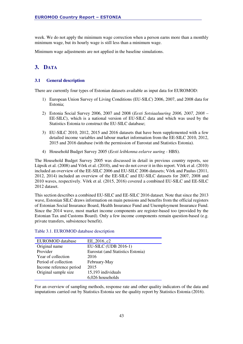week. We do not apply the minimum wage correction when a person earns more than a monthly minimum wage, but its hourly wage is still less than a minimum wage.

Minimum wage adjustments are not applied in the baseline simulations.

### **3. DATA**

#### **3.1 General description**

There are currently four types of Estonian datasets available as input data for EUROMOD:

- 1) European Union Survey of Living Conditions (EU-SILC) 2006, 2007, and 2008 data for Estonia;
- 2) Estonia Social Survey 2006, 2007 and 2008 (*Eesti Sotsiaaluuring 2006, 2007, 2008*  EE-SILC), which is a national version of EU-SILC data and which was used by the Statistics Estonia to construct the EU-SILC database;
- 3) EU-SILC 2010, 2012, 2015 and 2016 datasets that have been supplemented with a few detailed income variables and labour market information from the EE-SILC 2010, 2012, 2015 and 2016 database (with the permission of Eurostat and Statistics Estonia).
- 4) Household Budget Survey 2005 (*Eesti leibkonna eelarve uuring* HBS).

The Household Budget Survey 2005 was discussed in detail in previous country reports, see Lüpsik et al. (2008) and Võrk et al. (2010), and we do not cover it in this report. Võrk et al. (2010) included an overview of the EE-SILC 2006 and EU-SILC 2006 datasets; Võrk and Paulus (2011, 2012, 2014) included an overview of the EE-SILC and EU-SILC datasets for 2007, 2008 and 2010 waves, respectively. Võrk et al. (2015, 2016) covered a combined EU-SILC and EE-SILC 2012 dataset.

This section describes a combined EU-SILC and EE-SILC 2016 dataset. Note that since the 2013 wave, Estonian SILC draws information on main pensions and benefits from the official registers of Estonian Social Insurance Board, Health Insurance Fund and Unemployment Insurance Fund. Since the 2014 wave, most market income components are register-based too (provided by the Estonian Tax and Customs Board). Only a few income components remain question-based (e.g. private transfers, subsistence benefit).

| EUROMOD database        | EE 2016 c2                        |
|-------------------------|-----------------------------------|
| Original name           | EU-SILC (UDB 2016-1)              |
| Provider                | Eurostat (and Statistics Estonia) |
| Year of collection      | 2016                              |
| Period of collection    | February-May                      |
| Income reference period | 2015                              |
| Original sample size    | 15,193 individuals                |
|                         | 6,026 households                  |

#### Table 3.1. EUROMOD database description

For an overview of sampling methods, response rate and other quality indicators of the data and imputations carried out by Statistics Estonia see the quality report by Statistics Estonia (2016).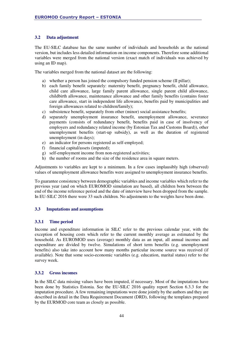#### **3.2 Data adjustment**

The EU-SILC database has the same number of individuals and households as the national version, but includes less detailed information on income components. Therefore some additional variables were merged from the national version (exact match of individuals was achieved by using an ID map).

The variables merged from the national dataset are the following:

- a) whether a person has joined the compulsory funded pension scheme (II pillar);
- b) each family benefit separately: maternity benefit, pregnancy benefit, child allowance, child care allowance, large family parent allowance, single parent child allowance, childbirth allowance, maintenance allowance and other family benefits (contains foster care allowance, start in independent life allowance, benefits paid by municipalities and foreign allowances related to children/family);
- c) subsistence benefit, separately from other (minor) social assistance benefits;
- d) separately unemployment insurance benefit, unemployment allowance, severance payments (consists of redundancy benefit, benefits paid in case of insolvency of employers and redundancy related income (by Estonian Tax and Customs Board)), other unemployment benefits (start-up subsidy), as well as the duration of registered unemployment (in days);
- e) an indicator for persons registered as self-employed;
- f) financial capital/assets (imputed);
- g) self-employment income from non-registered activities;
- h) the number of rooms and the size of the residence area in square meters.

Adjustments to variables are kept to a minimum. In a few cases implausibly high (observed) values of unemployment allowance benefits were assigned to unemployment insurance benefits.

To guarantee consistency between demographic variables and income variables which refer to the previous year (and on which EUROMOD simulation are based), all children born between the end of the income reference period and the date of interview have been dropped from the sample. In EU-SILC 2016 there were 33 such children. No adjustments to the weights have been done.

#### **3.3 Imputations and assumptions**

#### **3.3.1 Time period**

Income and expenditure information in SILC refer to the previous calendar year, with the exception of housing costs which refer to the current monthly average as estimated by the household. As EUROMOD uses (average) monthly data as an input, all annual incomes and expenditure are divided by twelve. Simulations of short term benefits (e.g. unemployment benefits) also take into account how many months particular income source was received (if available). Note that some socio-economic variables (e.g. education, marital status) refer to the survey week.

#### **3.3.2 Gross incomes**

In the SILC data missing values have been imputed, if necessary. Most of the imputations have been done by Statistics Estonia. See the EU-SILC 2016 quality report Section 6.3.3 for the imputation procedure. A few remaining imputations were done jointly by the authors and they are described in detail in the Data Requirement Document (DRD), following the templates prepared by the EURMOD core team as closely as possible.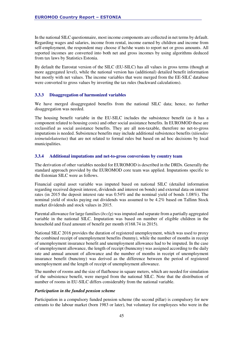In the national SILC questionnaire, most income components are collected in net terms by default. Regarding wages and salaries, income from rental, income earned by children and income from self-employment, the respondent may choose if he/she wants to report net or gross amounts. All reported incomes are converted into both net and gross incomes by using algorithms deduced from tax laws by Statistics Estonia.

By default the Eurostat version of the SILC (EU-SILC) has all values in gross terms (though at more aggregated level), while the national version has (additional) detailed benefit information but mostly with net values. The income variables that were merged from the EE-SILC database were converted to gross values by inverting the tax rules (backward calculations).

#### **3.3.3 Disaggregation of harmonized variables**

We have merged disaggregated benefits from the national SILC data; hence, no further disaggregation was needed.

The housing benefit variable in the EU-SILC includes the subsistence benefit (as it has a component related to housing costs) and other social assistance benefits. In EUROMOD these are reclassified as social assistance benefits. They are all non-taxable, therefore no net-to-gross imputations is needed. Subsistence benefits may include additional subsistence benefits (*täiendav toimetulekutoetus*) that are not related to formal rules but based on ad hoc decisions by local municipalities.

#### **3.3.4 Additional imputations and net-to-gross conversions by country team**

The derivation of other variables needed for EUROMOD is described in the DRDs. Generally the standard approach provided by the EUROMOD core team was applied. Imputations specific to the Estonian SILC were as follows.

Financial capital asset variable was imputed based on national SILC (detailed information regarding received deposit interest, dividends and interest on bonds) and external data on interest rates (in 2015 the deposit interest rate was 0.54% and the nominal yield of bonds 1.08%). The nominal yield of stocks paying out dividends was assumed to be 4.2% based on Tallinn Stock market dividends and stock values in 2015.

Parental allowance for large families (*bcclg*) was imputed and separate from a partially aggregated variable in the national SILC. Imputation was based on number of eligible children in the household and fixed amount of benefit per month (€168.74 in 2015).

National SILC 2016 provides the duration of registered unemployment, which was used to proxy the combined receipt of unemployment benefits (bunmy), while the number of months in receipt of unemployment insurance benefit and unemployment allowance had to be imputed. In the case of unemployment allowance, the length of receipt (bunncmy) was assigned according to the daily rate and annual amount of allowance and the number of months in receipt of unemployment insurance benefit (bunctmy) was derived as the difference between the period of registered unemployment and the length of receipt of unemployment allowance.

The number of rooms and the size of flat/house in square meters, which are needed for simulation of the subsistence benefit, were merged from the national SILC. Note that the distribution of number of rooms in EU-SILC differs considerably from the national variable.

#### *Participation in the funded pension scheme*

Participation in a compulsory funded pension scheme (the second pillar) is compulsory for new entrants to the labour market (born 1983 or later), but voluntary for employees who were in the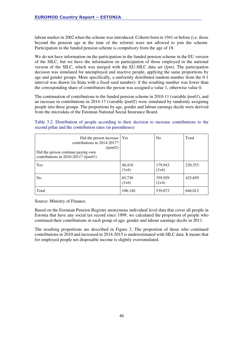labour market in 2002 when the scheme was introduced. Cohorts born in 1941 or before (i.e. those beyond the pension age at the time of the reform) were not allowed to join the scheme. Participation in the funded pension scheme is compulsory from the age of 18.

We do not have information on the participation in the funded pension scheme in the EU version of the SILC, but we have the information on participation of those employed in the national version of the SILC, which was merged with the EU-SILC data set (*lpm*). The participation decision was simulated for unemployed and inactive people, applying the same proportions by age and gender groups. More specifically, a uniformly distributed random number from the 0-1 interval was drawn (in Stata with a fixed seed number): if the resulting number was lower than the corresponding share of contributors the person was assigned a value 1, otherwise value 0.

The continuation of contributions to the funded pension scheme in 2010-11 (variable *lpm01*), and an increase in contributions in 2014-17 (variable *lpm02*) were simulated by randomly assigning people into these groups. The proportions by age, gender and labour earnings decile were derived from the microdata of the Estonian National Social Insurance Board.

Table 3.2. Distribution of people according to their decision to increase contributions to the second pillar and the contribution rates (in parentheses)

| Did the person increase<br>contributions in 2014-2017?<br>(lpm02)<br>Did the person continue paying own<br>contributions in 2010-2011? $(lpm01)$ | l Yes             | N <sub>o</sub>     | Total   |
|--------------------------------------------------------------------------------------------------------------------------------------------------|-------------------|--------------------|---------|
| Yes                                                                                                                                              | 40,410<br>$(3+6)$ | 179,943<br>$(2+6)$ | 220,353 |
| N <sub>o</sub>                                                                                                                                   | 65,730<br>$(3+6)$ | 359,929<br>$(2+4)$ | 425,659 |
| Total                                                                                                                                            | 106,140           | 539,872            | 646,012 |

Source: Ministry of Finance.

Based on the Estonian Pension Register anonymous individual level data that cover all people in Estonia that have any social tax record since 1999, we calculated the proportion of people who continued their contributions in each group of age, gender and labour earnings decile in 2011.

The resulting proportions are described in Figure 3. The proportion of those who continued contributions in 2010 and increased in 2014-2015 is underestimated with SILC data. It means that for employed people net disposable income is slightly oversimulated.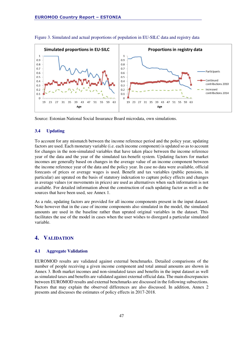

Figure 3. Simulated and actual proportions of population in EU-SILC data and registry data

Source: Estonian National Social Insurance Board microdata, own simulations.

#### **3.4 Updating**

To account for any mismatch between the income reference period and the policy year, updating factors are used. Each monetary variable (i.e. each income component) is updated so as to account for changes in the non-simulated variables that have taken place between the income reference year of the data and the year of the simulated tax-benefit system. Updating factors for market incomes are generally based on changes in the average value of an income component between the income reference year of the data and the policy year. In case no data were available, official forecasts of prices or average wages is used. Benefit and tax variables (public pensions, in particular) are uprated on the basis of statutory indexation to capture policy effects and changes in average values (or movements in prices) are used as alternatives when such information is not available. For detailed information about the construction of each updating factor as well as the sources that have been used, see Annex 1.

As a rule, updating factors are provided for all income components present in the input dataset. Note however that in the case of income components also simulated in the model, the simulated amounts are used in the baseline rather than uprated original variables in the dataset. This facilitates the use of the model in cases when the user wishes to disregard a particular simulated variable.

#### **4. VALIDATION**

#### **4.1 Aggregate Validation**

EUROMOD results are validated against external benchmarks. Detailed comparisons of the number of people receiving a given income component and total annual amounts are shown in Annex 3. Both market incomes and non-simulated taxes and benefits in the input dataset as well as simulated taxes and benefits are validated against external official data. The main discrepancies between EUROMOD results and external benchmarks are discussed in the following subsections. Factors that may explain the observed differences are also discussed. In addition, Annex 2 presents and discusses the estimates of policy effects in 2017-2018.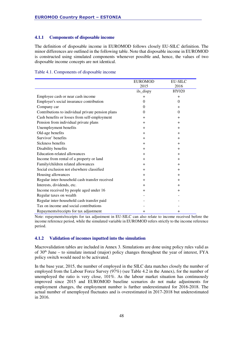#### **4.1.1 Components of disposable income**

The definition of disposable income in EUROMOD follows closely EU-SILC definition. The minor differences are outlined in the following table. Note that disposable income in EUROMOD is constructed using simulated components whenever possible and, hence, the values of two disposable income concepts are not identical.

|  | Table 4.1. Components of disposable income |  |
|--|--------------------------------------------|--|
|  |                                            |  |

|                                                   | <b>EUROMOD</b> | <b>EU-SILC</b> |
|---------------------------------------------------|----------------|----------------|
|                                                   | 2015           | 2016           |
|                                                   | ils_dispy      | HY020          |
| Employee cash or near cash income                 | $+$            | $+$            |
| Employer's social insurance contribution          | $\Omega$       | $\Omega$       |
| Company car                                       | $\Omega$       | $+$            |
| Contributions to individual private pension plans | $\Omega$       | $\theta$       |
| Cash benefits or losses from self-employment      | $+$            | $+$            |
| Pension from individual private plans             | $+$            | $+$            |
| Unemployment benefits                             | $+$            | $+$            |
| Old-age benefits                                  | $+$            | $+$            |
| Survivor' benefits                                | $+$            | $+$            |
| Sickness benefits                                 | $+$            | $+$            |
| Disability benefits                               | $+$            | $+$            |
| Education-related allowances                      | $^{+}$         | $+$            |
| Income from rental of a property or land          | $^{+}$         | $^{+}$         |
| Family/children related allowances                | $\pm$          | $\pm$          |
| Social exclusion not elsewhere classified         | $+$            | $+$            |
| Housing allowances                                | $\pm$          | $\pm$          |
| Regular inter-household cash transfer received    | $^{+}$         | $+$            |
| Interests, dividends, etc.                        | $^{+}$         | $+$            |
| Income received by people aged under 16           | $^{+}$         | $^{+}$         |
| Regular taxes on wealth                           |                |                |
| Regular inter-household cash transfer paid        |                |                |
| Tax on income and social contributions            |                |                |
| Repayments/receipts for tax adjustment            | $^{+}$         | $^{+}$         |

Note: repayments/receipts for tax adjustment in EU-SILC can also relate to income received before the income reference period, while the simulated variable in EUROMOD refers strictly to the income reference period.

#### **4.1.2 Validation of incomes inputted into the simulation**

Macrovalidation tables are included in Annex 3. Simulations are done using policy rules valid as of 30th June – to simulate instead (major) policy changes throughout the year of interest, FYA policy switch would need to be activated.

In the base year, 2015, the number of employed in the SILC data matches closely the number of employed from the Labour Force Survey (97%) (see Table 4.2 in the Annex), for the number of unemployed the ratio is very close, 101%. As the labour market situation has continuously improved since 2015 and EUROMOD baseline scenarios do not make adjustments for employment changes, the employment number is further underestimated for 2016-2018. The actual number of unemployed fluctuates and is overestimated in 2017-2018 but underestimated in 2016.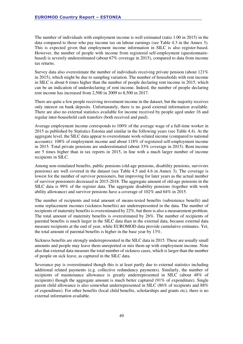The number of individuals with employment income is well estimated (ratio 1.00 in 2015) in the data compared to those who pay income tax on labour earnings (see Table 4.3 in the Annex 3). This is expected given that employment income information in SILC is also register-based. However, the number of people with income from registered self-employment (questionnairebased) is severely underestimated (about 67% coverage in 2015), compared to data from income tax returns.

Survey data also overestimate the number of individuals receiving private pension (about  $121\%$ ) in 2015), which might be due to sampling variation. The number of households with rent income in SILC is about 6 times higher than the number of people declaring rent income in 2015, which can be an indication of underdeclaring of rent income. Indeed, the number of people declaring rent income has increased from 2,500 in 2009 to 8,500 in 2017.

There are quite a few people receiving investment income in the dataset, but the majority receives only interest on bank deposits. Unfortunately, there is no good external information available. There are also no external statistics available for income received by people aged under 16 and regular inter-household cash transfers (both received and paid).

Average employment income corresponds to 100% of the average wage of a full-time worker in 2015 as published by Statistics Estonia and similar in the following years (see Table 4.4). At the aggregate level, the SILC data appear to overestimate work-related income (compared to national accounts): 108% of employment income and about 118% of registered self-employment income in 2015. Total private pensions are underestimated (about 33% coverage in 2015). Rent income are 5 times higher than in tax reports in 2015, in line with a much larger number of income recipients in SILC.

Among non-simulated benefits, public pensions (old-age pensions, disability pensions, survivors pensions) are well covered in the dataset (see Table 4.5 and 4.6 in Annex 3). The coverage is lowest for the number of survivor pensioners, but improving for later years as the actual number of survivor pensioners decreased in 2015-2018. The aggregate amount of old-age pensions in the SILC data is 99% of the register data. The aggregate disability pensions (together with work ability allowance) and survivor pensions have a coverage of 102% and 64% in 2015.

The number of recipients and total amount of means-tested benefits (subsistence benefit) and some replacement incomes (sickness benefits) are underrepresented in the data. The number of recipients of maternity benefits is overestimated by 22%, but there is also a measurement problem. The total amount of maternity benefits is overestimated by 26%. The number of recipients of parental benefits is much larger in the SILC data than in the external data, because external data measure recipients at the end of year, while EUROMOD data provide cumulative estimates. Yet, the total amount of parental benefits is higher in the base year by 13%.

Sickness benefits are strongly underrepresented in the SILC data in 2015. These are usually small amounts and people may leave them unreported or mix them up with employment income. Note also that external data measure the total number of sickness cases, which is larger than the number of people on sick leave, as captured in the SILC data.

Severance pay is overestimated though this is at least partly due to external statistics including additional related payments (e.g. collective redundancy payments). Similarly, the number of recipients of maintenance allowance is greatly underrepresented in SILC (about 48% of recipients) though the aggregate amount is much better captured (91% of expenditure). Single parent child allowance is also somewhat underrepresented in SILC (86% of recipients and 88% of expenditure). For other benefits (local child benefits, scholarships and grants etc), there is no external information available.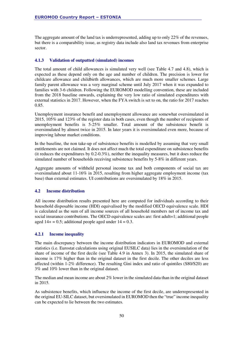The aggregate amount of the land tax is underrepresented, adding up to only 22% of the revenues, but there is a comparability issue, as registry data include also land tax revenues from enterprise sector.

#### **4.1.3 Validation of outputted (simulated) incomes**

The total amount of child allowances is simulated very well (see Table 4.7 and 4.8), which is expected as these depend only on the age and number of children. The precision is lower for childcare allowance and childbirth allowances, which are much more smaller schemes. Large family parent allowance was a very marginal scheme until July 2017 when it was expanded to families with 3-6 children. Following the EUROMOD modelling convention, these are included from the 2018 baseline onwards, explaining the very low ratio of simulated expenditures with external statistics in 2017. However, when the FYA switch is set to on, the ratio for 2017 reaches 0.85.

Unemployment insurance benefit and unemployment allowance are somewhat oversimulated in 2015, 105% and 123% of the register data in both cases, even though the number of recipients of unemployment benefits is 5-25% smaller. Total amount of the subsistence benefit is oversimulated by almost twice in 2015. In later years it is oversimulated even more, because of improving labour market conditions.

In the baseline, the non take-up of subsistence benefits is modelled by assuming that very small entitlements are not claimed. It does not affect much the total expenditure on subsistence benefits (it reduces the expenditures by 0.2-0.3%), neither the inequality measures, but it does reduce the simulated number of households receiving subsistence benefits by 5-8% in different years.

Aggregate amounts of withheld personal income tax and both components of social tax are oversimulated about 11-16% in 2015, resulting from higher aggregate employment income (tax base) than external estimates. UI contributions are oversimulated by 18% in 2015.

#### **4.2 Income distribution**

All income distribution results presented here are computed for individuals according to their household disposable income (HDI) equivalised by the modified OECD equivalence scale. HDI is calculated as the sum of all income sources of all household members net of income tax and social insurance contributions. The OECD equivalence scales are: first adult=1; additional people aged  $14+ = 0.5$ ; additional people aged under  $14 = 0.3$ .

#### **4.2.1 Income inequality**

The main discrepancy between the income distribution indicators in EUROMOD and external statistics (i.e. Eurostat calculations using original EUSILC data) lies in the oversimulation of the share of income of the first decile (see Table 4.9 in Annex 3). In 2015, the simulated share of income is 17% higher than in the original dataset in the first decile. The other deciles are less affected (within 1-2% difference). The resulting Gini index and ratio of quintiles (S80/S20) are 3% and 10% lower than in the original dataset.

The median and mean income are about 2% lower in the simulated data than in the original dataset in 2015.

As subsistence benefits, which influence the income of the first decile, are underrepresented in the original EU-SILC dataset, but oversimulated in EUROMOD then the "true" income inequality can be expected to lie between the two estimates.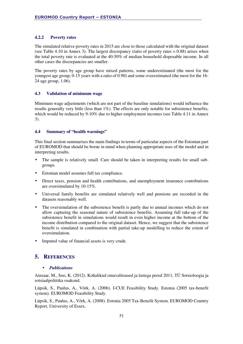#### **4.2.2 Poverty rates**

The simulated relative poverty rates in 2015 are close to those calculated with the original dataset (see Table 4.10 in Annex 3). The largest discrepancy (ratio of poverty rates  $= 0.88$ ) arises when the total poverty rate is evaluated at the 40-50% of median household disposable income. In all other cases the discrepancies are smaller.

The poverty rates by age group have mixed patterns, some underestimated (the most for the youngest age group, 0-15 years with a ratio of 0.90) and some overestimated (the most for the 16- 24 age group, 1.06).

#### **4.3 Validation of minimum wage**

Minimum wage adjustments (which are not part of the baseline simulations) would influence the results generally very little (less than 1%). The effects are only notable for subsistence benefits, which would be reduced by 9-10% due to higher employment incomes (see Table 4.11 in Annex 3).

#### **4.4 Summary of "health warnings"**

This final section summarises the main findings in terms of particular aspects of the Estonian part of EUROMOD that should be borne in mind when planning appropriate uses of the model and in interpreting results.

- The sample is relatively small. Care should be taken in interpreting results for small subgroups.
- Estonian model assumes full tax compliance.
- Direct taxes, pension and health contributions, and unemployment insurance contributions are oversimulated by 10-15%.
- Universal family benefits are simulated relatively well and pensions are recorded in the datasets reasonably well.
- The oversimulation of the subsistence benefit is partly due to annual incomes which do not allow capturing the seasonal nature of subsistence benefits. Assuming full take-up of the subsistence benefit in simulations would result in even higher income at the bottom of the income distribution compared to the original dataset. Hence, we suggest that the subsistence benefit is simulated in combination with partial take-up modelling to reduce the extent of oversimulation.
- Imputed value of financial assets is very crude.

### **5. REFERENCES**

#### • *Publications*

Ainsaar, M., Soo, K. (2012). Kohalikud omavalitsused ja lastega pered 2011, TÜ Sotsioloogia ja sotsiaalpoliitika osakond.

Lüpsik, S., Paulus, A., Võrk, A. (2006). I-CUE Feasibility Study. Estonia (2005 tax-benefit system). EUROMOD Feasibility Study.

Lüpsik, S., Paulus, A., Võrk, A. (2008). Estonia 2005 Tax-Benefit System. EUROMOD Country Report, University of Essex.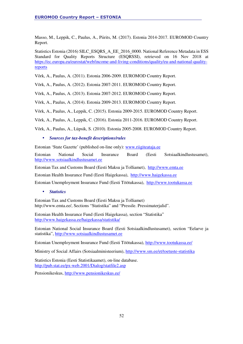Masso, M., Leppik, C., Paulus, A., Piirits, M. (2017). Estonia 2014-2017. EUROMOD Country Report.

Statistics Estonia (2016) SILC\_ESQRS\_A\_EE\_2016\_0000. National Reference Metadata in ESS Standard for Quality Reports Structure (ESQRSSI), retrieved on 16 Nov 2018 at https://ec.europa.eu/eurostat/web/income-and-living-conditions/quality/eu-and-national-qualityreports

Võrk, A., Paulus, A. (2011). Estonia 2006-2009. EUROMOD Country Report.

Võrk, A., Paulus, A. (2012). Estonia 2007-2011. EUROMOD Country Report.

Võrk, A., Paulus, A. (2013). Estonia 2007-2012. EUROMOD Country Report.

Võrk, A., Paulus, A. (2014). Estonia 2009-2013. EUROMOD Country Report.

Võrk, A., Paulus, A., Leppik, C. (2015). Estonia 2009-2015. EUROMOD Country Report.

Võrk, A., Paulus, A., Leppik, C. (2016). Estonia 2011-2016. EUROMOD Country Report.

Võrk, A., Paulus, A., Lüpsik, S. (2010). Estonia 2005-2008. EUROMOD Country Report.

#### • *Sources for tax-benefit descriptions/rules*

Estonian 'State Gazette' (published on-line only): www.riigiteataja.ee

Estonian National Social Insurance Board (Eesti Sotsiaalkindlustusamet), http://www.sotsiaalkindlustusamet.ee

Estonian Tax and Customs Board (Eesti Maksu ja Tolliamet), http://www.emta.ee

Estonian Health Insurance Fund (Eesti Haigekassa), http://www.haigekassa.ee

Estonian Unemployment Insurance Fund (Eesti Töötukassa), http://www.tootukassa.ee

#### • *Statistics*

Estonian Tax and Customs Board (Eesti Maksu ja Tolliamet) http://www.emta.ee/, Sections "Statistika" and "Pressile. Pressimaterjalid".

Estonian Health Insurance Fund (Eesti Haigekassa), section "Statistika" http://www.haigekassa.ee/haigekassa/statistika/

Estonian National Social Insurance Board (Eesti Sotsiaalkindlustusamet), section "Eelarve ja statistika", http://www.sotsiaalkindlustusamet.ee

Estonian Unemployment Insurance Fund (Eesti Töötukassa), http://www.tootukassa.ee/

Ministry of Social Affairs (Sotsiaalministeerium), http://www.sm.ee/et/toetuste-statistika

Statistics Estonia (Eesti Statistikaamet), on-line database. http://pub.stat.ee/px-web.2001/Dialog/statfile2.asp

Pensionikeskus, http://www.pensionikeskus.ee/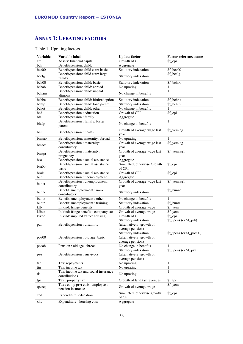### **ANNEX 1: UPRATING FACTORS**

| <b>Variable</b> | Variable label                         | <b>Update factor</b>        | Factor reference name    |
|-----------------|----------------------------------------|-----------------------------|--------------------------|
| afc             | Assets: financial capital              | Growth of CPI               | \$f_cpi                  |
| bch             | Benefit/pension: child:                | Aggregate                   |                          |
| bcc00           | Benefit/pension: child care: basic     | Statutory indexation        | \$f_bcc00                |
|                 | Benefit/pension: child care: large     |                             | \$f_bcclg                |
| bcclg           | family                                 | Statutory indexation        |                          |
| bch00           | Benefit/pension: child: basic          | Statutory indexation        | \$f bch00                |
| bchab           | Benefit/pension: child: abroad         | No uprating                 | 1                        |
|                 | Benefit/pension: child: unpaid         |                             | $\mathbf{1}$             |
| bcham           | alimony                                | No change in benefits       |                          |
| bchba           | Benefit/pension: child: birth/adoption | Statutory indexation        | \$f_bchba                |
| bchlp           | Benefit/pension: child: lone parent    | Statutory indexation        | \$f_bchlp                |
| bchot           | Benefit/pension: child: other          | No change in benefits       | 1                        |
| bed             | Benefit/pension : education            | Growth of CPI               | \$f_cpi                  |
| bfa             | Benefit/pension : family               | Aggregate                   |                          |
|                 | Benefit/pension : family: foster       |                             | $\mathbf{1}$             |
| bfafp           | parent                                 | No change in benefits       |                          |
|                 |                                        | Growth of average wage last | \$f_yemlag1              |
| bhl             | Benefit/pension : health               | year                        |                          |
| bmaab           | Benefit/pension: maternity: abroad     | No uprating                 | 1                        |
|                 | Benefit/pension : maternity:           | Growth of average wage last | \$f_yemlag1              |
| bmact           | contributory                           | year                        |                          |
|                 | Benefit/pension : maternity:           | Growth of average wage last | \$f_yemlag1              |
| bmapr           | pregnancy                              | year                        |                          |
| bsa             | Benefit/pension : social assistance    | Aggregate                   |                          |
|                 | Benefit/pension : social assistance:   | Simulated, otherwise Growth | \$f_cpi                  |
| bsa00           | basic                                  | of CPI                      |                          |
| bsals           | Benefit/pension : social assistance    | Growth of CPI               | \$f_cpi                  |
| bun             | Benefit/pension: unemployment          | Aggregate                   |                          |
|                 | Benefit/pension : unemployment:        | Growth of average wage last | \$f_yemlag1              |
| bunct           | contributory                           | year                        |                          |
|                 | Benefit: unemployment : non-           |                             | \$f_bunnc                |
| bunnc           | contributory                           | Statutory indexation        |                          |
| bunot           | Benefit: unemployment : other          | No change in benefits       | 1                        |
| buntr           | Benefit: unemployment : training       | Statutory indexation        | \$f_buntr                |
| kfb             | In kind: fringe benefits               | Growth of average wage      | \$f_yem                  |
| kfbcc           | In kind: fringe benefits: company car  | Growth of average wage      | \$f_yem                  |
| kivho           | In kind: imputed value: housing        | Growth of CPI               | \$f cpi                  |
|                 |                                        | Statutory indexation        | \$f_ipens (or \$f_pdi)   |
| pdi             | Benefit/pension : disability           | (alternatively: growth of   |                          |
|                 |                                        | average pension)            |                          |
|                 |                                        | Statutory indexation        | \$f_ipens (or \$f_poa00) |
| poa00           | Benefit/pension : old age: basic       | (alternatively: growth of   |                          |
|                 |                                        | average pension)            |                          |
| poaab           | Pension : old age: abroad              | No change in benefits       | 1                        |
|                 |                                        | Statutory indexation        | \$f_ipens (or \$f_psu)   |
| psu             | Benefit/pension : survivors            | (alternatively: growth of   |                          |
|                 |                                        | average pension)            |                          |
| tad             | Tax: repayments                        | No uprating                 | $\mathbf{1}$             |
| tin             | Tax: income tax                        | No uprating                 | $\mathbf{1}$             |
|                 | Tax: income tax and social insurance   |                             | $\mathbf{1}$             |
| tis             | contributions                          | No uprating                 |                          |
| tpr             | Tax: property tax                      | Growth of land tax revenues | \$f_tpr                  |
|                 | Tax: comp prvt ctrb: employee:         | Growth of average wage      | \$f_yem                  |
| tpceepi         | pension insurance                      |                             |                          |
| xed             | Expenditure: education                 | Simulated, otherwise growth | \$f_cpi                  |
|                 |                                        | of CPI                      |                          |
| xhc             | Expenditure : housing cost             | Aggregate                   |                          |

### Table 1. Uprating factors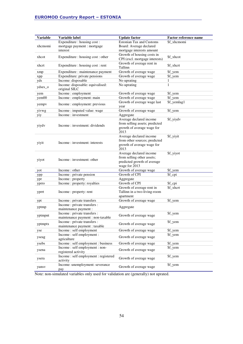| <b>Variable</b> | Variable label                      | <b>Update factor</b>            | <b>Factor reference name</b> |
|-----------------|-------------------------------------|---------------------------------|------------------------------|
|                 | Expenditure : housing cost :        | <b>Estonian Tax and Customs</b> | \$f xhcmomi                  |
| xhcmomi         | mortgage payment : mortgage         | Board: Average declared         |                              |
|                 | interest                            | mortgage interests amount       |                              |
|                 |                                     | Growth of housing costs in      |                              |
| xhcot           | Expenditure : housing cost : other  | CPI (excl. mortgage interests)  | \$f_xhcot                    |
|                 |                                     | Growth of average rent in       |                              |
| xhcrt           | Expenditure : housing cost : rent   | Tallinn                         | \$f xhcrt                    |
| xmp             | Expenditure : maintenance payment   | Growth of average wage          | \$f_yem                      |
| xpp             | Expenditure: private pensions       | Growth of average wage          | \$f_yem                      |
| yds             | Income: disposable                  | No uprating                     | 1                            |
| ydses_o         | Income: disposable: equivalised:    | No uprating                     | 1                            |
|                 | original SILC                       |                                 |                              |
| yem             | Income: employment                  | Growth of average wage          | \$f_yem                      |
| yem00           | Income : employment: main           | Growth of average wage          | \$f_yem                      |
| yempv           | Income : employment: previous       | Growth of average wage last     | \$f_yemlag1                  |
|                 |                                     | year                            |                              |
| yivwg           | Income: imputed value: wage         | Growth of average wage          | \$f_yem                      |
| yiy             | Income: investment                  | Aggregate                       |                              |
|                 |                                     | Average declared income         | \$f_yiydv                    |
| yiydv           | Income: investment: dividends       | from selling assets; predicted  |                              |
|                 |                                     | growth of average wage for      |                              |
|                 |                                     | 2013                            |                              |
|                 |                                     | Average declared income         | \$f_yiyit                    |
| yiyit           | Income: investment: interests       | from other sources; predicted   |                              |
|                 |                                     | growth of average wage for      |                              |
|                 |                                     | 2013                            |                              |
|                 |                                     | Average declared income         | \$f_yiyot                    |
| yiyot           | Income: investment: other           | from selling other assets;      |                              |
|                 |                                     | predicted growth of average     |                              |
|                 |                                     | wage for 2013                   |                              |
| yot             | Income : other                      | Growth of average wage          | \$f_yem                      |
| ypp             | Income : private pension            | Growth of CPI                   | \$f_cpi                      |
| ypr             | Income: property                    | Aggregate                       |                              |
| yprro           | Income: property: royalties         | Growth of CPI                   | \$f_cpi                      |
|                 |                                     | Growth of average rent in       | \$f_xhcrt                    |
| yprrt           | Income : property: rent             | Tallinn in a two-living-room    |                              |
|                 |                                     | apartment                       |                              |
| ypt             | Income : private transfers          | Growth of average wage          | \$f_yem                      |
| yptmp           | Income : private transfers :        | Aggregate                       |                              |
|                 | maintenance payment :               |                                 |                              |
| yptmpnt         | Income : private transfers :        | Growth of average wage          | \$f_yem                      |
|                 | maintenance payment : non-taxable   |                                 |                              |
| yptmptx         | Income : private transfers :        | Growth of average wage          | \$f_yem                      |
|                 | maintenance payment : taxable       |                                 |                              |
| yse             | Income: self employment             | Growth of average wage          | \$f_yem                      |
| yseag           | Income: self employment:            | Growth of average wage          | \$f_yem                      |
|                 | agriculture                         |                                 |                              |
| ysebs           | Income : self employment : business | Growth of average wage          | \$f_yem                      |
| ysena           | Income: self employment: non-       | Growth of average wage          | \$f_yem                      |
|                 | registered activity                 |                                 |                              |
| ysera           | Income: self employment: registered | Growth of average wage          | \$f_yem                      |
|                 | activity                            |                                 |                              |
| yunsv           | Income: unemployment: severance     | Growth of average wage          | \$f_yem                      |
|                 | pay                                 |                                 |                              |

Note: non-simulated variables only used for validation are (generally) not uprated.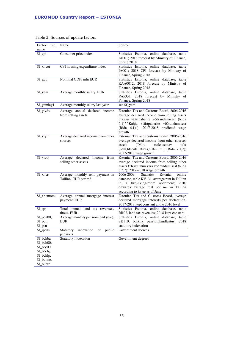| ref.<br>Factor                                       | Name                                                       | Source                                                                                                                                                                                                                                 |
|------------------------------------------------------|------------------------------------------------------------|----------------------------------------------------------------------------------------------------------------------------------------------------------------------------------------------------------------------------------------|
| name<br>\$f_cpi                                      | Consumer price index                                       | Statistics Estonia, online database, table<br>IA001; 2018 forecast by Ministry of Finance,<br>Spring 2018                                                                                                                              |
| \$f_xhcot                                            | CPI housing expenditure index                              | Statistics Estonia, online database, table<br>IA001; 2018 CPI forecast by Ministry of<br>Finance, Spring 2018                                                                                                                          |
| \$f_gdp                                              | Nominal GDP, mln EUR                                       | Statistics Estonia, online<br>database, table<br>RAA0012; 2018 forecast by Ministry of<br>Finance, Spring 2018                                                                                                                         |
| \$f_yem                                              | Average monthly salary, EUR                                | Statistics Estonia, online database, table<br>PA5331, 2018 forecast by Ministry of<br>Finance, Spring 2018                                                                                                                             |
| \$f_yemlag1                                          | Average monthly salary last year                           | see \$f_yem                                                                                                                                                                                                                            |
| \$f_yiydv                                            | Average annual declared income<br>from selling assets      | Estonian Tax and Customs Board, 2006-2016<br>average declared income from selling assets<br>("Kasu väärtpaberite võõrandamisest (Rida<br>6.1)"-"Kahju väärtpaberite võõrandamisest<br>(Rida 6.1)"); 2017-2018 predicted wage<br>growth |
| \$f_yiyit                                            | Average declared income from other<br>sources              | Estonian Tax and Customs Board, 2006-2016<br>average declared income from other sources<br>("Muu<br>maksustatav<br>assets<br>tulu<br>(palk, litsents, intress, elatis jm.) (Rida 7.1)");<br>2017-2018 wage growth                      |
| \$f_yiyot                                            | Average declared<br>income<br>from<br>selling other assets | Estonian Tax and Customs Board, 2006-2016<br>average declared income from selling other<br>assets ("Kasu muu vara võõrandamisest (Rida<br>6.3)"); 2017-2018 wage growth                                                                |
| \$f_xhcrt                                            | Average monthly rent payment in<br>Tallinn, EUR per m2     | 2006-2009:<br><b>Statistics</b><br>Estonia,<br>online<br>database, table KV131, average rent in Tallinn<br>a two-living-room apartment;<br>in<br>2010<br>onwards average rent per m2 in Tallinn<br>according to kv.ee as of June       |
| \$f_xhcmomi                                          | Average annual mortgage interest<br>payment, EUR           | Estonian Tax and Customs Board, average<br>declared mortgage interests per declaration.<br>2017-2018 kept constant at the 2016 level                                                                                                   |
| \$f_tpr                                              | Total annual land tax revenues,<br>thous. EUR              | Statistics Estonia, online database, table<br>RR02, land tax revenues; 2018 kept constant                                                                                                                                              |
| \$f_poa00,                                           | Average monthly pension (end year),                        | Statistics Estonia, online database,<br>table                                                                                                                                                                                          |
| \$f_pdi,                                             | EUR                                                        | SK110: Riiklik pensionikindlustus;<br>2018                                                                                                                                                                                             |
| \$f_psu                                              |                                                            | statutory indexation                                                                                                                                                                                                                   |
| \$f_ipens                                            | indexation<br>of<br>public<br>Statutory<br>pensions        | Government decrees                                                                                                                                                                                                                     |
| \$f_bchba,<br>\$f_bch00,<br>\$f_bcc00,<br>\$f_bcclg, | Statutory indexation                                       | Government degrees                                                                                                                                                                                                                     |
| \$f_bchlp,                                           |                                                            |                                                                                                                                                                                                                                        |
| \$f_bunnc,                                           |                                                            |                                                                                                                                                                                                                                        |
| \$f_buntr                                            |                                                            |                                                                                                                                                                                                                                        |

### Table 2. Sources of update factors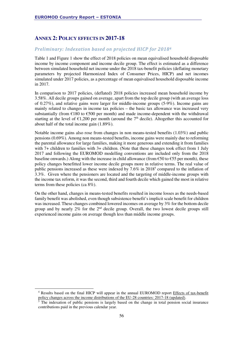### **ANNEX 2: POLICY EFFECTS IN 2017-18**

#### *Preliminary: Indexation based on projected HICP for 2018<sup>4</sup>*

Table 1 and Figure 1 show the effect of 2018 policies on mean equivalised household disposable income by income component and income decile group. The effect is estimated as a difference between simulated household net income under the 2018 tax-benefit policies (deflating monetary parameters by projected Harmonized Index of Consumer Prices, HICP) and net incomes simulated under 2017 policies, as a percentage of mean equivalised household disposable income in 2017.

In comparison to 2017 policies, (deflated) 2018 policies increased mean household income by 3.58%. All decile groups gained on average, apart from the top decile group (with an average loss of 0.27%), and relative gains were larger for middle-income groups (5-9%). Income gains are mainly related to changes in income tax policies – the basic tax allowance was increased very substantially (from  $\epsilon$ 180 to  $\epsilon$ 500 per month) and made income-dependent with the withdrawal starting at the level of  $\epsilon$ 1,200 per month (around the 7<sup>th</sup> decile). Altogether this accounted for about half of the total income gain (1.89%).

Notable income gains also rose from changes in non means-tested benefits (1.03%) and public pensions (0.69%). Among non means-tested benefits, income gains were mainly due to reforming the parental allowance for large families, making it more generous and extending it from families with 7+ children to families with 3+ children. (Note that these changes took effect from 1 July 2017 and following the EUROMOD modelling conventions are included only from the 2018 baseline onwards.) Along with the increase in child allowance (from  $\epsilon$ 50 to  $\epsilon$ 55 per month), these policy changes benefitted lower income decile groups more in relative terms. The real value of public pensions increased as these were indexed by 7.6% in 2018<sup>5</sup> compared to the inflation of 3.3%. Given where the pensioners are located and the targeting of middle-income groups with the income tax reform, it was the second, third and fourth decile which gained the most in relative terms from these policies (ca 8%).

On the other hand, changes in means-tested benefits resulted in income losses as the needs-based family benefit was abolished, even though subsistence benefit's implicit scale benefit for children was increased. These changes combined lowered incomes on average by 3% for the bottom decile group and by nearly  $2\%$  for the  $2<sup>nd</sup>$  decile group. Overall, the two lowest decile groups still experienced income gains on average though less than middle income groups.

l

<sup>&</sup>lt;sup>4</sup> Results based on the final HICP will appear in the annual EUROMOD report Effects of tax-benefit policy changes across the income distributions of the EU-28 countries: 2017-18 (updated).

<sup>&</sup>lt;sup>5</sup> The indexation of public pensions is largely based on the change in total pension social insurance contributions paid in the previous calendar year.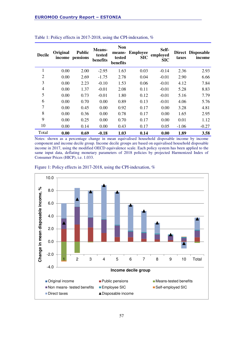| <b>Decile</b>  | Original<br>income | <b>Public</b><br>pensions | Means-<br>tested<br>benefits | <b>Non</b><br>means-<br>tested<br>benefits | <b>Employee</b><br><b>SIC</b> | Self-<br>employed<br><b>SIC</b> | taxes   | Direct Disposable<br>income |
|----------------|--------------------|---------------------------|------------------------------|--------------------------------------------|-------------------------------|---------------------------------|---------|-----------------------------|
| 1              | 0.00               | 2.00                      | $-2.95$                      | 1.63                                       | 0.03                          | $-0.14$                         | 2.36    | 2.93                        |
| $\overline{2}$ | 0.00               | 2.69                      | $-1.75$                      | 2.78                                       | 0.04                          | $-0.01$                         | 2.90    | 6.66                        |
| 3              | 0.00               | 2.23                      | $-0.10$                      | 1.53                                       | 0.06                          | $-0.01$                         | 4.12    | 7.84                        |
| $\overline{4}$ | 0.00               | 1.37                      | $-0.01$                      | 2.08                                       | 0.11                          | $-0.01$                         | 5.28    | 8.83                        |
| 5              | 0.00               | 0.73                      | $-0.01$                      | 1.80                                       | 0.12                          | $-0.01$                         | 5.16    | 7.79                        |
| 6              | 0.00               | 0.70                      | 0.00                         | 0.89                                       | 0.13                          | $-0.01$                         | 4.06    | 5.76                        |
| 7              | 0.00               | 0.45                      | 0.00                         | 0.92                                       | 0.17                          | 0.00                            | 3.28    | 4.81                        |
| 8              | 0.00               | 0.36                      | 0.00                         | 0.78                                       | 0.17                          | 0.00                            | 1.65    | 2.95                        |
| 9              | 0.00               | 0.25                      | 0.00                         | 0.70                                       | 0.17                          | 0.00                            | 0.01    | 1.12                        |
| 10             | 0.00               | 0.14                      | 0.00                         | 0.43                                       | 0.17                          | 0.05                            | $-1.06$ | $-0.27$                     |
| Total          | 0.00               | 0.69                      | $-0.18$                      | 1.03                                       | 0.14                          | 0.00                            | 1.89    | 3.58                        |

#### Table 1: Policy effects in 2017-2018, using the CPI-indexation, %

Notes: shown as a percentage change in mean equivalised household disposable income by income component and income decile group. Income decile groups are based on equivalised household disposable income in 2017, using the modified OECD equivalence scale. Each policy system has been applied to the same input data, deflating monetary parameters of 2018 policies by projected Harmonized Index of Consumer Prices (HICP), i.e. 1.033.



Figure 1: Policy effects in 2017-2018, using the CPI-indexation, %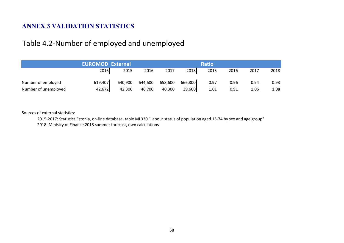## **ANNEX 3 VALIDATION STATISTICS**

# Table 4.2-Number of employed and unemployed

|                      | <b>EUROMOD External</b> |         |         |         |         |      |      |      |      |
|----------------------|-------------------------|---------|---------|---------|---------|------|------|------|------|
|                      | 2015                    | 2015    | 2016    | 2017    | 2018    | 2015 | 2016 | 2017 | 2018 |
| Number of employed   | 619,407                 | 640,900 | 644,600 | 658,600 | 666,800 | 0.97 | 0.96 | 0.94 | 0.93 |
| Number of unemployed | 42,672                  | 42,300  | 46,700  | 40,300  | 39,600  | 1.01 | 0.91 | 1.06 | 1.08 |

Sources of external statistics:

2015-2017: Statistics Estonia, on-line database, table ML330 "Labour status of population aged 15-74 by sex and age group"2018: Ministry of Finance 2018 summer forecast, own calculations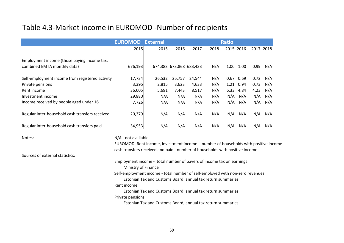# Table 4.3-Market income in EUROMOD -Number of recipients

|                                                                            | <b>EUROMOD</b>      | <b>External</b> | <b>Ratio</b>            |        |      |           |      |           |     |  |
|----------------------------------------------------------------------------|---------------------|-----------------|-------------------------|--------|------|-----------|------|-----------|-----|--|
|                                                                            | 2015                | 2015            | 2016                    | 2017   | 2018 | 2015 2016 |      | 2017 2018 |     |  |
| Employment income (those paying income tax,<br>combined EMTA monthly data) | 676,193             |                 | 674,383 673,868 683,433 |        | N/A  | 1.00      | 1.00 | 0.99      | N/A |  |
| Self-employment income from registered activity                            | 17,734              | 26,532          | 25,757                  | 24,544 | N/A  | 0.67      | 0.69 | 0.72      | N/A |  |
| Private pensions                                                           | 3,395               | 2,815           | 3,623                   | 4,633  | N/A  | 1.21      | 0.94 | 0.73      | N/A |  |
| Rent income                                                                | 36,005              | 5,691           | 7,443                   | 8,517  | N/A  | 6.33      | 4.84 | 4.23      | N/A |  |
| Investment income                                                          | 29,880              | N/A             | N/A                     | N/A    | N/A  | N/A       | N/A  | N/A       | N/A |  |
| Income received by people aged under 16                                    | 7,726               | N/A             | N/A                     | N/A    | N/A  | N/A       | N/A  | N/A       | N/A |  |
| Regular inter-household cash transfers received                            | 20,379              | N/A             | N/A                     | N/A    | N/A  | N/A       | N/A  | N/A       | N/A |  |
| Regular inter-household cash transfers paid                                | 34,953              | N/A             | N/A                     | N/A    | N/A  | N/A       | N/A  | N/A       | N/A |  |
| Notes:                                                                     | N/A - not available |                 |                         |        |      |           |      |           |     |  |

 EUROMOD: Rent income, investment income - number of households with positive incomecash transfers received and paid - number of households with positive income

Sources of external statistics:

Employment income - total number of payers of income tax on earnings

Ministry of Finance

Self-employment income - total number of self-employed with non-zero revenues

Estonian Tax and Customs Board, annual tax return summaries

Rent income

Estonian Tax and Customs Board, annual tax return summaries

Private pensions

Estonian Tax and Customs Board, annual tax return summaries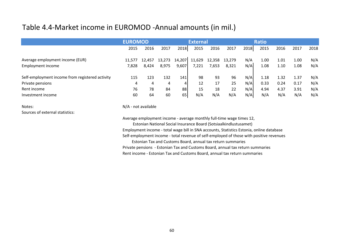# Table 4.4-Market income in EUROMOD -Annual amounts (in mil.)

|                                                 | <b>EUROMOD</b> |        |        |            | <b>External</b> |        |        |      | <b>Ratio</b> |      |      |      |
|-------------------------------------------------|----------------|--------|--------|------------|-----------------|--------|--------|------|--------------|------|------|------|
|                                                 | 2015           | 2016   | 2017   | 2018       | 2015            | 2016   | 2017   | 2018 | 2015         | 2016 | 2017 | 2018 |
| Average employment income (EUR)                 | 11.577         | 12,457 | 13,273 | 14,207     | 11,629          | 12,358 | 13,279 | N/A  | 1.00         | 1.01 | 1.00 | N/A  |
| Employment income                               | 7,828          | 8,424  | 8,975  | 9,607      | 7,221           | 7,653  | 8,321  | N/A  | 1.08         | 1.10 | 1.08 | N/A  |
| Self-employment income from registered activity | 115            | 123    | 132    | <b>141</b> | 98              | 93     | 96     | N/A  | 1.18         | 1.32 | 1.37 | N/A  |
| Private pensions                                | 4              | 4      | 4      | 4          | 12              | 17     | 25     | N/A  | 0.33         | 0.24 | 0.17 | N/A  |
| Rent income                                     | 76             | 78     | 84     | 88         | 15              | 18     | 22     | N/A  | 4.94         | 4.37 | 3.91 | N/A  |
| Investment income                               | 60             | 64     | 60     | 65         | N/A             | N/A    | N/A    | N/A  | N/A          | N/A  | N/A  | N/A  |

Notes:Sources of external statistics: N/A - not available

Average employment income - average monthly full-time wage times 12,

 Estonian National Social Insurance Board (Sotsiaalkindlustusamet) Employment income - total wage bill in SNA accounts, Statistics Estonia, online databaseSelf-employment income - total revenue of self-employed of those with positive revenues

Estonian Tax and Customs Board, annual tax return summaries Private pensions - Estonian Tax and Customs Board, annual tax return summariesRent income - Estonian Tax and Customs Board, annual tax return summaries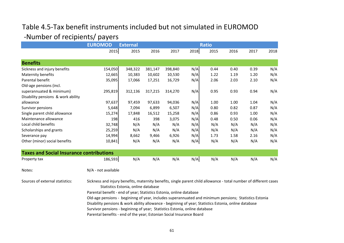# Table 4.5-Tax benefit instruments included but not simulated in EUROMOD-Number of recipients/ payers

|                                                 | <b>EUROMOD</b>                                                                                                                                                                                                                                                                                                                                                                                             | <b>External</b>                     | <b>Ratio</b> |         |      |      |      |      |      |  |  |  |
|-------------------------------------------------|------------------------------------------------------------------------------------------------------------------------------------------------------------------------------------------------------------------------------------------------------------------------------------------------------------------------------------------------------------------------------------------------------------|-------------------------------------|--------------|---------|------|------|------|------|------|--|--|--|
|                                                 | 2015                                                                                                                                                                                                                                                                                                                                                                                                       | 2015                                | 2016         | 2017    | 2018 | 2015 | 2016 | 2017 | 2018 |  |  |  |
| <b>Benefits</b>                                 |                                                                                                                                                                                                                                                                                                                                                                                                            |                                     |              |         |      |      |      |      |      |  |  |  |
| Sickness and injury benefits                    | 154,050                                                                                                                                                                                                                                                                                                                                                                                                    | 348,322                             | 381,147      | 398,840 | N/A  | 0.44 | 0.40 | 0.39 | N/A  |  |  |  |
| Maternity benefits                              | 12,665                                                                                                                                                                                                                                                                                                                                                                                                     | 10,383                              | 10,602       | 10,530  | N/A  | 1.22 | 1.19 | 1.20 | N/A  |  |  |  |
| Parental benefit                                | 35,095                                                                                                                                                                                                                                                                                                                                                                                                     | 17,066                              | 17,251       | 16,729  | N/A  | 2.06 | 2.03 | 2.10 | N/A  |  |  |  |
| Old-age pensions (incl.                         |                                                                                                                                                                                                                                                                                                                                                                                                            |                                     |              |         |      |      |      |      |      |  |  |  |
| superannuated & minimum)                        | 295,819                                                                                                                                                                                                                                                                                                                                                                                                    | 312,136                             | 317,215      | 314,270 | N/A  | 0.95 | 0.93 | 0.94 | N/A  |  |  |  |
| Disability pensions & work ability              |                                                                                                                                                                                                                                                                                                                                                                                                            |                                     |              |         |      |      |      |      |      |  |  |  |
| allowance                                       | 97,637                                                                                                                                                                                                                                                                                                                                                                                                     | 97,459                              | 97,633       | 94,036  | N/A  | 1.00 | 1.00 | 1.04 | N/A  |  |  |  |
| Survivor pensions                               | 5,648                                                                                                                                                                                                                                                                                                                                                                                                      | 7,094                               | 6,899        | 6,507   | N/A  | 0.80 | 0.82 | 0.87 | N/A  |  |  |  |
| Single parent child allowance                   | 15,274                                                                                                                                                                                                                                                                                                                                                                                                     | 17,848                              | 16,512       | 15,258  | N/A  | 0.86 | 0.93 | 1.00 | N/A  |  |  |  |
| Maintenance allowance                           | 198                                                                                                                                                                                                                                                                                                                                                                                                        | 416                                 | 398          | 3,075   | N/A  | 0.48 | 0.50 | 0.06 | N/A  |  |  |  |
| Local child benefits                            | 32,748                                                                                                                                                                                                                                                                                                                                                                                                     | N/A                                 | N/A          | N/A     | N/A  | N/A  | N/A  | N/A  | N/A  |  |  |  |
| Scholarships and grants                         | 25,259                                                                                                                                                                                                                                                                                                                                                                                                     | N/A                                 | N/A          | N/A     | N/A  | N/A  | N/A  | N/A  | N/A  |  |  |  |
| Severance pay                                   | 14,994                                                                                                                                                                                                                                                                                                                                                                                                     | 8,662                               | 9,466        | 6,926   | N/A  | 1.73 | 1.58 | 2.16 | N/A  |  |  |  |
| Other (minor) social benefits                   | 10,841                                                                                                                                                                                                                                                                                                                                                                                                     | N/A                                 | N/A          | N/A     | N/A  | N/A  | N/A  | N/A  | N/A  |  |  |  |
| <b>Taxes and Social Insurance contributions</b> |                                                                                                                                                                                                                                                                                                                                                                                                            |                                     |              |         |      |      |      |      |      |  |  |  |
| Property tax                                    | 186,593                                                                                                                                                                                                                                                                                                                                                                                                    | N/A                                 | N/A          | N/A     | N/A  | N/A  | N/A  | N/A  | N/A  |  |  |  |
| Notes:                                          | N/A - not available                                                                                                                                                                                                                                                                                                                                                                                        |                                     |              |         |      |      |      |      |      |  |  |  |
| Sources of external statistics:                 | Sickness and injury benefits, maternity benefits, single parent child allowance - total number of different cases<br>Parental benefit - end of year; Statistics Estonia, online database<br>Old-age pensions - begininng of year, includes superannuated and minimum pensions; Statistics Estonia<br>Disability pensions & work ability allowance - begininng of year; Statistics Estonia, online database | Statistics Estonia, online database |              |         |      |      |      |      |      |  |  |  |
|                                                 | Survivor pensions - begininng of year; Statistics Estonia, online database                                                                                                                                                                                                                                                                                                                                 |                                     |              |         |      |      |      |      |      |  |  |  |

Parental benefits - end of the year; Estonian Social Insurance Board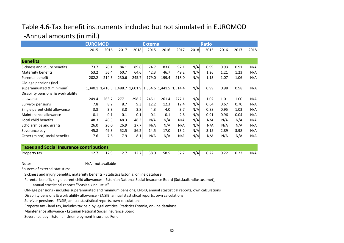# Table 4.6-Tax benefit instruments included but not simulated in EUROMOD-Annual amounts (in mil.)

|                                                 | <b>EUROMOD</b> |       |       |       | <b>External</b> |       |                                                         |      | <b>Ratio</b> |      |      |      |
|-------------------------------------------------|----------------|-------|-------|-------|-----------------|-------|---------------------------------------------------------|------|--------------|------|------|------|
|                                                 | 2015           | 2016  | 2017  | 2018  | 2015            | 2016  | 2017                                                    | 2018 | 2015         | 2016 | 2017 | 2018 |
|                                                 |                |       |       |       |                 |       |                                                         |      |              |      |      |      |
| <b>Benefits</b>                                 |                |       |       |       |                 |       |                                                         |      |              |      |      |      |
| Sickness and injury benefits                    | 73.7           | 78.1  | 84.1  | 89.6  | 74.7            | 83.6  | 92.1                                                    | N/A  | 0.99         | 0.93 | 0.91 | N/A  |
| Maternity benefits                              | 53.2           | 56.4  | 60.7  | 64.6  | 42.3            | 46.7  | 49.2                                                    | N/A  | 1.26         | 1.21 | 1.23 | N/A  |
| Parental benefit                                | 202.2          | 214.3 | 230.6 | 245.7 | 179.0           | 199.4 | 218.0                                                   | N/A  | 1.13         | 1.07 | 1.06 | N/A  |
| Old-age pensions (incl.                         |                |       |       |       |                 |       |                                                         |      |              |      |      |      |
| superannuated & minimum)                        |                |       |       |       |                 |       | 1,340.1 1,416.5 1,488.7 1,601.9 1,354.6 1,441.5 1,514.4 | N/A  | 0.99         | 0.98 | 0.98 | N/A  |
| Disability pensions & work ability              |                |       |       |       |                 |       |                                                         |      |              |      |      |      |
| allowance                                       | 249.4          | 263.7 | 277.1 | 298.2 | 245.1           | 261.4 | 277.1                                                   | N/A  | 1.02         | 1.01 | 1.00 | N/A  |
| Survivor pensions                               | 7.8            | 8.2   | 8.7   | 9.3   | 12.2            | 12.3  | 12.4                                                    | N/A  | 0.64         | 0.67 | 0.70 | N/A  |
| Single parent child allowance                   | 3.8            | 3.8   | 3.8   | 3.8   | 4.3             | 4.0   | 3.7                                                     | N/A  | 0.88         | 0.95 | 1.03 | N/A  |
| Maintenance allowance                           | 0.1            | 0.1   | 0.1   | 0.1   | 0.1             | 0.1   | 2.6                                                     | N/A  | 0.91         | 0.96 | 0.04 | N/A  |
| Local child benefits                            | 48.3           | 48.3  | 48.3  | 48.3  | N/A             | N/A   | N/A                                                     | N/A  | N/A          | N/A  | N/A  | N/A  |
| Scholarships and grants                         | 26.0           | 26.0  | 26.9  | 27.7  | N/A             | N/A   | N/A                                                     | N/A  | N/A          | N/A  | N/A  | N/A  |
| Severance pay                                   | 45.8           | 49.3  | 52.5  | 56.2  | 14.5            | 17.0  | 13.2                                                    | N/A  | 3.15         | 2.89 | 3.98 | N/A  |
| Other (minor) social benefits                   | 7.6            | 7.6   | 7.9   | 8.1   | N/A             | N/A   | N/A                                                     | N/A  | N/A          | N/A  | N/A  | N/A  |
|                                                 |                |       |       |       |                 |       |                                                         |      |              |      |      |      |
| <b>Taves and Social Insurance contributions</b> |                |       |       |       |                 |       |                                                         |      |              |      |      |      |

| <b>Taxes and Social Insurance contributions</b> |  |  |  |  |  |  |  |  |  |  |                                                           |  |
|-------------------------------------------------|--|--|--|--|--|--|--|--|--|--|-----------------------------------------------------------|--|
| Property tax                                    |  |  |  |  |  |  |  |  |  |  | 12.7 12.9 12.7 12.7 58.0 58.5 57.7 N/A 0.22 0.22 0.22 N/A |  |

Notes:

N/A - not available

Sources of external statistics:

Sickness and injury benefits, maternity benefits - Statistics Estonia, online database

Parental benefit, single parent child allowances - Estonian National Social Insurance Board (Sotsiaalkindlustusamet),

annual stastistical reports "Sotsiaalkindlustus"

Old-age pensions - includes superannuated and minimum pensions; ENSIB, annual stastistical reports, own calculations

Disability pensions & work ability allowance - ENSIB, annual stastistical reports, own calculations

Survivor pensions - ENSIB, annual stastistical reports, own calculations

Property tax - land tax, includes tax paid by legal entities; Statistics Estonia, on-line database

Maintenance allowance - Estonian National Social Insurance Board

Severance pay - Estonian Unemployment Insurance Fund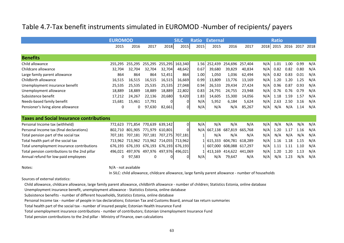## Table 4.7-Tax benefit instruments simulated in EUROMOD -Number of recipients/ payers

|                                                 |         | <b>EUROMOD</b>  |         |                         |                 | <b>Ratio</b> | <b>External</b> |         | <b>Ratio</b> |     |           |      |      |      |
|-------------------------------------------------|---------|-----------------|---------|-------------------------|-----------------|--------------|-----------------|---------|--------------|-----|-----------|------|------|------|
|                                                 | 2015    | 2016            | 2017    | 2018                    | 2015            | 2015         | 2015            | 2016    | 2017         |     | 2018 2015 | 2016 | 2017 | 2018 |
|                                                 |         |                 |         |                         |                 |              |                 |         |              |     |           |      |      |      |
| <b>Benefits</b>                                 |         |                 |         |                         |                 |              |                 |         |              |     |           |      |      |      |
| Child allowance                                 | 255,295 | 255,295         | 255,295 |                         | 255,295 163,340 | 1.56         | 252,439         | 254,696 | 257,404      | N/A | 1.01      | 1.00 | 0.99 | N/A  |
| Childcare allowance                             | 32,704  | 32,704          | 32,704  | 32,704                  | 48,642          | 0.67         | 39,680          | 39,829  | 40,834       | N/A | 0.82      | 0.82 | 0.80 | N/A  |
| Large family parent allowance                   | 864     | 864             | 864     | 52,451                  | 864             | 1.00         | 1,050           | 1,036   | 62,494       | N/A | 0.82      | 0.83 | 0.01 | N/A  |
| Childbirth allowance                            | 16,515  | 16,515          | 16,515  | 16,515                  | 16,669          | 0.99         | 13,809          | 13,776  | 13,169       | N/A | 1.20      | 1.20 | 1.25 | N/A  |
| Unemployment insurance benefit                  | 25,535  | 25,535          | 25,535  | 25,535                  | 27,048          | 0.94         | 26,533          | 29,434  | 27,424       | N/A | 0.96      | 0.87 | 0.93 | N/A  |
| Unemployment allowance                          | 18,889  | 18,889          | 18,889  | 18,889                  | 22,802          | 0.83         | 24,791          | 24,755  | 23,948       | N/A | 0.76      | 0.76 | 0.79 | N/A  |
| Subsistence benefit                             | 17,212  | 24,267          | 22,136  | 20,680                  | 9,420           | 1.83         | 14,605          | 15,300  | 14,056       | N/A | 1.18      | 1.59 | 1.57 | N/A  |
| Needs-based family benefit                      | 15,681  | 15,461          | 17,791  | 0                       | 0               | N/A          | 5,952           | 6,184   | 5,624        | N/A | 2.63      | 2.50 | 3.16 | N/A  |
| Pensioner's living alone allowance              |         | 0               | 97,630  | 82,661                  | 01              | N/A          | N/A             | N/A     | 85,267       | N/A | N/A       | N/A  | 1.14 | N/A  |
| <b>Taxes and Social Insurance contributions</b> |         |                 |         |                         |                 |              |                 |         |              |     |           |      |      |      |
| Personal Income tax (withheld)                  | 772,623 | 771,854         | 770,639 | 639,142                 | οI              | N/A          | N/A             | N/A     | N/A          | N/A | N/A       | N/A  | N/A  | N/A  |
| Personal Income tax (final declarations)        | 802,710 | 801,905         | 771,979 | 610,801                 | ΩI              | N/A          | 667,138         | 687,819 | 665,768      | N/A | 1.20      | 1.17 | 1.16 | N/A  |
| Total pension part of the social tax            |         | 707.181 707.181 |         | 707,181 707,275 707,181 |                 |              | N/A             | N/A     | N/A          | N/A | N/A       | N/A  | N/A  | N/A  |
|                                                 |         |                 |         |                         |                 |              |                 |         |              |     |           |      |      |      |

| Total pension part of the social tax          | 707,181 707,181 707,181 707,275 707,181 |  |     | N/A | N/A                       | N/A |  | N/A N/A N/A N/A N/A    |  |
|-----------------------------------------------|-----------------------------------------|--|-----|-----|---------------------------|-----|--|------------------------|--|
| Total health part of the social tax           | 713,962 713,962 713,962 714,055 713,962 |  |     |     | 1 615,333 604,781 618,289 |     |  | N/A 1.16 1.18 1.15 N/A |  |
| Total unemployment insurance contributions    | 676,193 676,193 676,193 676,193 676,193 |  |     |     | 1 607,000 608,088 617,297 |     |  | N/A 1.11 1.11 1.10 N/A |  |
| Total pension contributions to the 2nd pillar | 496,021 497,976 497,976 497,976 496,021 |  |     |     | 1 413,169 414,622 441,069 |     |  | N/A 1.20 1.20 1.13 N/A |  |
| Annual refund for low-paid employees          | 0 97,583                                |  | N/A | N/A | 79,647                    | N/A |  | N/A N/A 1.23 N/A N/A   |  |

Notes:

N/A - not available

In SILC: child allowance, childcare allowance, large family parent allowance - number of households

Sources of external statistics:

Child allowance, childcare allowance, large family parent allowance, childbirth allowance - number of children; Statistics Estonia, online database

Unemployment insurance benefit, unemployment allowance - Statistics Estonia, online database

Subsistence benefits - number of different households, Statistics Estonia, online database

Personal Income tax - number of people in tax declarations; Estonian Tax and Customs Board, annual tax return summaries

Total health part of the social tax - number of insured people; Estonian Health Insurance Fund

Total unemployment insurance contributions - number of contributors; Estonian Unemployment Insurance Fund

Total pension contributions to the 2nd pillar - Ministry of Finance, own calculations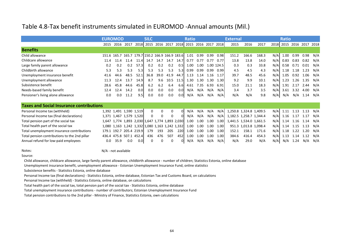### Table 4.8-Tax benefit instruments simulated in EUROMOD -Annual amounts (Mil.)

|                                                 | <b>EUROMOD</b> |                                                 |             |      | <b>SILC</b><br><b>Ratio</b>             |          |          |           |      |      | <b>External</b> |            |                         |                       | <b>Ratio</b> |      |      |      |                          |     |
|-------------------------------------------------|----------------|-------------------------------------------------|-------------|------|-----------------------------------------|----------|----------|-----------|------|------|-----------------|------------|-------------------------|-----------------------|--------------|------|------|------|--------------------------|-----|
|                                                 | 2015           | 2016                                            | 2017        |      | 2018 2015 2016 2017 2018 2015 2016 2017 |          |          |           |      |      |                 | 2018       | 2015                    | 2016                  | 2017         |      |      |      | 2018 2015 2016 2017 2018 |     |
| <b>Benefits</b>                                 |                |                                                 |             |      |                                         |          |          |           |      |      |                 |            |                         |                       |              |      |      |      |                          |     |
| Child allowance                                 | 151.6          | 165.7 165.7 179.7 150.2 166.9 166.9 183.6 1.01  |             |      |                                         |          |          |           |      | 0.99 | 0.99            | 0.98       | 151.2                   | 166.6                 | 168.3        | N/A  | 1.00 | 0.99 | 0.98                     | N/A |
| Childcare allowance                             | 11.4           | 11.4                                            | 11.4        | 11.4 | 14.7                                    | 14.7     |          | 14.7 14.7 | 0.77 | 0.77 | 0.77            | 0.77       | 13.8                    | 13.8                  | 14.0         | N/A  | 0.83 | 0.83 | 0.82                     | N/A |
| Large family parent allowance                   | 0.2            | 0.2                                             | 0.2         | 57.3 | 0.2                                     | 0.2      | 0.2      | 0.5       | 1.00 | 1.00 |                 | 1.00 124.5 | 0.3                     | 0.3                   | 33.8         | N/A  | 0.58 | 0.71 | 0.01                     | N/A |
| Childbirth allowance                            | 5.3            | 5.3                                             | 5.3         | 5.3  | 5.3                                     | 5.3      | 5.3      | 5.3       | 0.99 | 0.99 | 0.99            | 0.99       | 4.5                     | 4.5                   | 4.3          | N/A  | 1.18 |      | 1.18 1.23                | N/A |
| Unemployment insurance benefit                  | 41.6           | 44.6                                            | 48.5        | 52.1 | 36.8                                    | 39.0     | 41.9     | 44.7      | 1.13 | 1.14 | 1.16            | 1.17       | 39.7                    | 48.5                  | 45.6         | N/A  | 1.05 | 0.92 | 1.06                     | N/A |
| Unemployment allowance                          | 11.3           | 12.4                                            | 13.7        | 14.9 | 8.7                                     | 9.6      | 10.5     | 11.5I     | 1.30 | 1.30 | 1.30            | 1.30       | 9.2                     | 9.9                   | 10.1         | N/A  | 1.23 |      | 1.26 1.35                | N/A |
| Subsistence benefit                             | 28.6           | 45.8                                            | 44.6        | 45.8 | 6.2                                     | 6.2      | 6.4      | 6.6I      | 4.61 | 7.35 | 6.93            | 6.91       | 15.0                    | 21.1                  | 18.3         | N/A  | 1.91 | 2.17 | 2.44 N/A                 |     |
| Needs-based family benefit                      | 12.4           | 12.4                                            | 14.2        | 0.01 | 0.0                                     | 0.0      | 0.0      | 0.0       | N/A  | N/A  | N/A             | N/A        | 3.4                     | 3.7                   | 3.5          | N/AI | 3.61 | 3.32 | 4.00                     | N/A |
| Pensioner's living alone allowance              | 0.0            | 0.0                                             | 11.2        | 9.5  | 0.0                                     | 0.0      | 0.0      | 0.0       | N/A  | N/A  | N/A             | N/A        | N/A                     | N/A                   | 9.8          | N/A  | N/A  | N/A  | 1.14                     | N/A |
| <b>Taxes and Social Insurance contributions</b> |                |                                                 |             |      |                                         |          |          |           |      |      |                 |            |                         |                       |              |      |      |      |                          |     |
| Personal Income tax (withheld)                  |                | 1,392 1,491 1,590 1,519                         |             |      | $\Omega$                                | $\Omega$ | $\Omega$ | $\Omega$  | N/A  | N/A  | N/A             | N/A        | 1,250.8 1,324.8 1,409.5 |                       |              | N/AI | 1.11 |      | 1.13 1.13                | N/A |
| Personal Income tax (final declarations)        |                | 1,371 1,467 1,579 1,520                         |             |      | $\Omega$                                | 0        | $\Omega$ |           | N/A  | N/A  | N/A             | N/A        | 1,182.5 1,258.7 1,344.4 |                       |              | N/A  | 1.16 | 1.17 | 1.17                     | N/A |
| Total pension part of the social tax            |                | 1,647 1,774 1,893 2,030 1,647 1,774 1,893 2,030 |             |      |                                         |          |          |           | 1.00 | 1.00 | 1.00            | 1.00       | 1,441.5 1,534.0 1,661.5 |                       |              | N/A  | 1.14 | 1.16 | 1.14                     | N/A |
| Total health part of the social tax             | 1,080          | 1,163 1,242 1,332 1,080 1,163 1,242 1,332       |             |      |                                         |          |          |           | 1.00 | 1.00 | 1.00            | 1.00       |                         | 951.3 1,013.8 1,098.4 |              | N/A  | 1.14 | 1.15 | 1.13                     | N/A |
| Total unemployment insurance contributions      | 179.1          | 192.7                                           | 205.4 219.9 |      | 179                                     | 193      | 205      | 220       | 1.00 | 1.00 | 1.00            | 1.00       | 152.1                   | 158.1                 | 171.6        | N/AI | 1.18 | 1.22 | 1.20                     | N/A |

1.13 1.14 1.12 N/A

Total pension contributions to the 2nd pillar 436.4 475.8 507.1 452.4 <sup>436</sup> <sup>476</sup> <sup>507</sup> <sup>452</sup> 1.00 1.00 1.00 1.00 384.6 416.4 454.3 N/AAnnual refund for low-paid employees0.0 35.9 0.0 0.0 <sup>0</sup> <sup>0</sup> <sup>0</sup> <sup>0</sup> N/A N/A N/A N/A N/A 29.0 N/A N/A N/A 1.24 N/A N/A

Notes:

N/A - not available

Source:

Child allowance, childcare allowance, large family parent allowance, childbirth allowance - number of children; Statistics Estonia, online database

Unemployment insurance benefit, unemployment allowance - Estonian Unemployment Insurance Fund, online statistics

Subsistence benefits - Statistics Estonia, online database

Personal Income tax (final declarations) - Statistics Estonia, online database, Estonian Tax and Customs Board, on calculations

Personal Income tax (withheld) - Statistics Estonia, online database, on calculations

Total health part of the social tax, total pension part of the social tax - Statistics Estonia, online database

Total unemployment insurance contributions - number of contributors; Estonian Unemployment Insurance Fund

Total pension contributions to the 2nd pillar - Ministry of Finance, Statistics Estonia, own calculations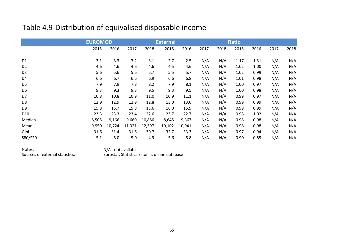# Table 4.9-Distribution of equivalised disposable income

|                 | <b>EUROMOD</b> |        |        |        | <b>External</b> |        |      | <b>Ratio</b> |      |      |      |      |
|-----------------|----------------|--------|--------|--------|-----------------|--------|------|--------------|------|------|------|------|
|                 | 2015           | 2016   | 2017   | 2018   | 2015            | 2016   | 2017 | 2018         | 2015 | 2016 | 2017 | 2018 |
| D <sub>1</sub>  | 3.1            | 3.3    | 3.2    | 3.1    | 2.7             | 2.5    | N/A  | N/A          | 1.17 | 1.31 | N/A  | N/A  |
| D <sub>2</sub>  | 4.6            | 4.6    | 4.6    | 4.6    | 4.5             | 4.6    | N/A  | N/A          | 1.02 | 1.00 | N/A  | N/A  |
| D <sub>3</sub>  | 5.6            | 5.6    | 5.6    | 5.7    | 5.5             | 5.7    | N/A  | N/A          | 1.02 | 0.99 | N/A  | N/A  |
| D <sub>4</sub>  | 6.6            | 6.7    | 6.6    | 6.9    | 6.6             | 6.8    | N/A  | N/A          | 1.01 | 0.98 | N/A  | N/A  |
| D <sub>5</sub>  | 7.9            | 7.9    | 7.8    | 8.2    | 7.9             | 8.1    | N/A  | N/A          | 1.00 | 0.97 | N/A  | N/A  |
| D <sub>6</sub>  | 9.3            | 9.3    | 9.3    | 9.5    | 9.3             | 9.5    | N/A  | N/A          | 1.00 | 0.98 | N/A  | N/A  |
| D7              | 10.8           | 10.8   | 10.9   | 11.0   | 10.9            | 11.1   | N/A  | N/A          | 0.99 | 0.97 | N/A  | N/A  |
| D <sub>8</sub>  | 12.9           | 12.9   | 12.9   | 12.8   | 13.0            | 13.0   | N/A  | N/A          | 0.99 | 0.99 | N/A  | N/A  |
| D <sub>9</sub>  | 15.8           | 15.7   | 15.8   | 15.6   | 16.0            | 15.9   | N/A  | N/A          | 0.99 | 0.99 | N/A  | N/A  |
| D <sub>10</sub> | 23.3           | 23.3   | 23.4   | 22.6   | 23.7            | 22.7   | N/A  | N/A          | 0.98 | 1.02 | N/A  | N/A  |
| Median          | 8,506          | 9,166  | 9,660  | 10,886 | 8,645           | 9,367  | N/A  | N/A          | 0.98 | 0.98 | N/A  | N/A  |
| Mean            | 9,950          | 10,724 | 11,321 | 12,397 | 10,102          | 10,941 | N/A  | N/A          | 0.98 | 0.98 | N/A  | N/A  |
| Gini            | 31.6           | 31.4   | 31.6   | 30.7   | 32.7            | 33.3   | N/A  | N/A          | 0.97 | 0.94 | N/A  | N/A  |
| S80/S20         | 5.1            | 5.0    | 5.0    | 4.9    | 5.6             | 5.8    | N/A  | N/A          | 0.90 | 0.85 | N/A  | N/A  |

Notes:Sources of external statistics:

 N/A - not availableEurostat, Statistics Estonia, online database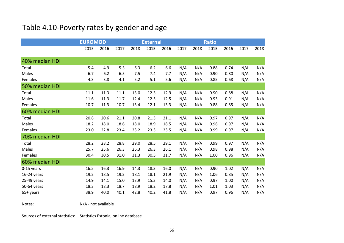# Table 4.10-Poverty rates by gender and age

|                | <b>EUROMOD</b> |      |      |      | <b>External</b> |      |      | <b>Ratio</b> |      |      |      |      |
|----------------|----------------|------|------|------|-----------------|------|------|--------------|------|------|------|------|
|                | 2015           | 2016 | 2017 | 2018 | 2015            | 2016 | 2017 | 2018         | 2015 | 2016 | 2017 | 2018 |
|                |                |      |      |      |                 |      |      |              |      |      |      |      |
| 40% median HDI |                |      |      |      |                 |      |      |              |      |      |      |      |
| Total          | 5.4            | 4.9  | 5.3  | 6.3  | 6.2             | 6.6  | N/A  | N/A          | 0.88 | 0.74 | N/A  | N/A  |
| Males          | 6.7            | 6.2  | 6.5  | 7.5  | 7.4             | 7.7  | N/A  | N/A          | 0.90 | 0.80 | N/A  | N/A  |
| Females        | 4.3            | 3.8  | 4.1  | 5.2  | 5.1             | 5.6  | N/A  | N/A          | 0.85 | 0.68 | N/A  | N/A  |
| 50% median HDI |                |      |      |      |                 |      |      |              |      |      |      |      |
| Total          | 11.1           | 11.3 | 11.1 | 13.0 | 12.3            | 12.9 | N/A  | N/A          | 0.90 | 0.88 | N/A  | N/A  |
| Males          | 11.6           | 11.3 | 11.7 | 12.4 | 12.5            | 12.5 | N/A  | N/A          | 0.93 | 0.91 | N/A  | N/A  |
| Females        | 10.7           | 11.3 | 10.7 | 13.4 | 12.1            | 13.3 | N/A  | N/A          | 0.88 | 0.85 | N/A  | N/A  |
| 60% median HDI |                |      |      |      |                 |      |      |              |      |      |      |      |
| Total          | 20.8           | 20.6 | 21.1 | 20.8 | 21.3            | 21.1 | N/A  | N/A          | 0.97 | 0.97 | N/A  | N/A  |
| <b>Males</b>   | 18.2           | 18.0 | 18.6 | 18.0 | 18.9            | 18.5 | N/A  | N/A          | 0.96 | 0.97 | N/A  | N/A  |
| Females        | 23.0           | 22.8 | 23.4 | 23.2 | 23.3            | 23.5 | N/A  | N/A          | 0.99 | 0.97 | N/A  | N/A  |
| 70% median HDI |                |      |      |      |                 |      |      |              |      |      |      |      |
| Total          | 28.2           | 28.2 | 28.8 | 29.0 | 28.5            | 29.1 | N/A  | N/A          | 0.99 | 0.97 | N/A  | N/A  |
| Males          | 25.7           | 25.6 | 26.3 | 26.3 | 26.3            | 26.1 | N/A  | N/A          | 0.98 | 0.98 | N/A  | N/A  |
| Females        | 30.4           | 30.5 | 31.0 | 31.3 | 30.5            | 31.7 | N/A  | N/A          | 1.00 | 0.96 | N/A  | N/A  |
| 60% median HDI |                |      |      |      |                 |      |      |              |      |      |      |      |
| 0-15 years     | 16.5           | 16.3 | 16.9 | 14.3 | 18.3            | 16.0 | N/A  | N/A          | 0.90 | 1.02 | N/A  | N/A  |
| 16-24 years    | 19.2           | 18.5 | 19.2 | 18.1 | 18.1            | 21.9 | N/A  | N/A          | 1.06 | 0.85 | N/A  | N/A  |
| 25-49 years    | 14.9           | 14.1 | 15.0 | 13.9 | 15.3            | 14.0 | N/A  | N/A          | 0.97 | 1.00 | N/A  | N/A  |
| 50-64 years    | 18.3           | 18.3 | 18.7 | 18.9 | 18.2            | 17.8 | N/A  | N/A          | 1.01 | 1.03 | N/A  | N/A  |
| 65+ years      | 38.9           | 40.0 | 40.1 | 42.8 | 40.2            | 41.8 | N/A  | N/A          | 0.97 | 0.96 | N/A  | N/A  |

Notes:

N/A - not available

Sources of external statistics: Statistics Estonia, online database